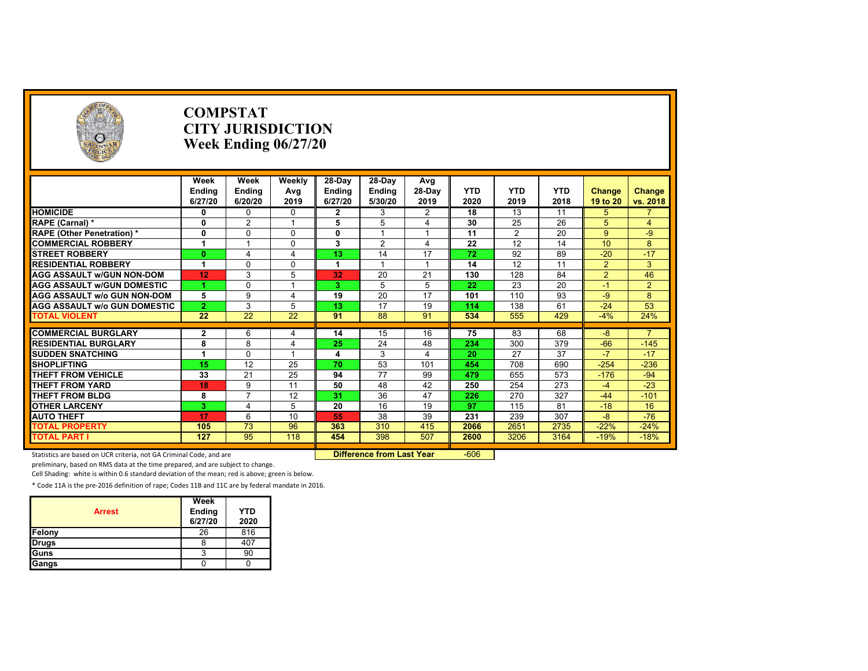| O                                   |                 | <b>COMPSTAT</b><br><b>CITY JURISDICTION</b><br>Week Ending $06/27/20$ |                 |                |                 |                |                 |            |            |                |                |
|-------------------------------------|-----------------|-----------------------------------------------------------------------|-----------------|----------------|-----------------|----------------|-----------------|------------|------------|----------------|----------------|
|                                     | Week            | Week                                                                  | Weekly          | 28-Day         | 28-Day          | Avg            |                 |            |            |                |                |
|                                     | Ending          | Ending                                                                | Avg             | <b>Ending</b>  | <b>Ending</b>   | 28-Day         | <b>YTD</b>      | <b>YTD</b> | <b>YTD</b> | Change         | Change         |
|                                     | 6/27/20         | 6/20/20                                                               | 2019            | 6/27/20        | 5/30/20         | 2019           | 2020            | 2019       | 2018       | 19 to 20       | vs. 2018       |
| <b>HOMICIDE</b>                     | 0               | $\Omega$                                                              | $\mathbf 0$     | $\overline{2}$ | 3               | $\overline{2}$ | $\overline{18}$ | 13         | 11         | 5              |                |
| RAPE (Carnal) *                     | 0               | $\overline{2}$                                                        |                 | 5              | 5               | $\overline{4}$ | 30              | 25         | 26         | 5              | $\overline{4}$ |
| <b>RAPE (Other Penetration) *</b>   | $\mathbf{0}$    | $\Omega$                                                              | $\Omega$        | 0              |                 |                | 11              | 2          | 20         | 9              | $-9$           |
| <b>COMMERCIAL ROBBERY</b>           | 1               |                                                                       | $\Omega$        | 3              | 2               | $\overline{4}$ | 22              | 12         | 14         | 10             | 8              |
| <b>STREET ROBBERY</b>               | $\mathbf{0}$    | 4                                                                     | $\overline{4}$  | 13             | 14              | 17             | 72              | 92         | 89         | $-20$          | $-17$          |
| <b>RESIDENTIAL ROBBERY</b>          | 1               | $\Omega$                                                              | $\Omega$        | -1             |                 | $\overline{1}$ | 14              | 12         | 11         | 2              | 3              |
| <b>AGG ASSAULT W/GUN NON-DOM</b>    | 12              | 3                                                                     | 5               | 32             | 20              | 21             | 130             | 128        | 84         | $\overline{2}$ | 46             |
| <b>AGG ASSAULT W/GUN DOMESTIC</b>   | 1               | $\Omega$                                                              |                 | 3              | 5               | 5              | 22              | 23         | 20         | $-1$           | $\overline{2}$ |
| <b>AGG ASSAULT w/o GUN NON-DOM</b>  | 5               | 9                                                                     | $\overline{4}$  | 19             | 20              | 17             | 101             | 110        | 93         | $-9$           | 8              |
| <b>AGG ASSAULT W/o GUN DOMESTIC</b> | $\overline{2}$  | 3                                                                     | 5               | 13             | 17              | 19             | 114             | 138        | 61         | $-24$          | 53             |
| <b>TOTAL VIOLENT</b>                | $\overline{22}$ | 22                                                                    | $\overline{22}$ | 91             | 88              | 91             | 534             | 555        | 429        | $-4%$          | 24%            |
| <b>COMMERCIAL BURGLARY</b>          | $\mathbf{2}$    | 6                                                                     | 4               | 14             | 15              | 16             | 75              | 83         | 68         | $-8$           |                |
| <b>RESIDENTIAL BURGLARY</b>         | 8               | 8                                                                     | $\overline{4}$  | 25             | 24              | 48             | 234             | 300        | 379        | $-66$          | $-145$         |
| <b>SUDDEN SNATCHING</b>             | 1               | $\Omega$                                                              |                 | 4              | 3               | 4              | 20              | 27         | 37         | $-7$           | $-17$          |
| <b>SHOPLIFTING</b>                  | 15              | 12                                                                    | 25              | 70             | 53              | 101            | 454             | 708        | 690        | $-254$         | $-236$         |
| <b>THEFT FROM VEHICLE</b>           | 33              | 21                                                                    | 25              | 94             | $\overline{77}$ | 99             | 479             | 655        | 573        | $-176$         | $-94$          |
| <b>THEFT FROM YARD</b>              | 18              | 9                                                                     | 11              | 50             | 48              | 42             | 250             | 254        | 273        | $-4$           | $-23$          |
| <b>THEFT FROM BLDG</b>              | 8               | $\overline{7}$                                                        | 12              | 31             | $\overline{36}$ | 47             | 226             | 270        | 327        | $-44$          | $-101$         |
| <b>OTHER LARCENY</b>                | 3               | 4                                                                     | 5               | 20             | 16              | 19             | 97              | 115        | 81         | $-18$          | 16             |
| <b>AUTO THEFT</b>                   | 17              | 6                                                                     | 10              | 55             | 38              | 39             | 231             | 239        | 307        | $-8$           | $-76$          |
| <b>TOTAL PROPERTY</b>               | 105             | 73                                                                    | 96              | 363            | 310             | 415            | 2066            | 2651       | 2735       | $-22%$         | $-24%$         |
| <b>TOTAL PART I</b>                 | 127             | 95                                                                    | 118             | 454            | 398             | 507            | 2600            | 3206       | 3164       | $-19%$         | $-18%$         |
|                                     |                 |                                                                       |                 |                |                 |                |                 |            |            |                |                |

Statistics are based on UCR criteria, not GA Criminal Code, and are **Difference from Last Year** -606

preliminary, based on RMS data at the time prepared, and are subject to change.

Cell Shading: white is within 0.6 standard deviation of the mean; red is above; green is below.

| <b>Arrest</b> | Week<br>Ending<br>6/27/20 | <b>YTD</b><br>2020 |
|---------------|---------------------------|--------------------|
| Felony        | 26                        | 816                |
| <b>Drugs</b>  | 8                         | 407                |
| Guns          | 3                         | 90                 |
| Gangs         |                           |                    |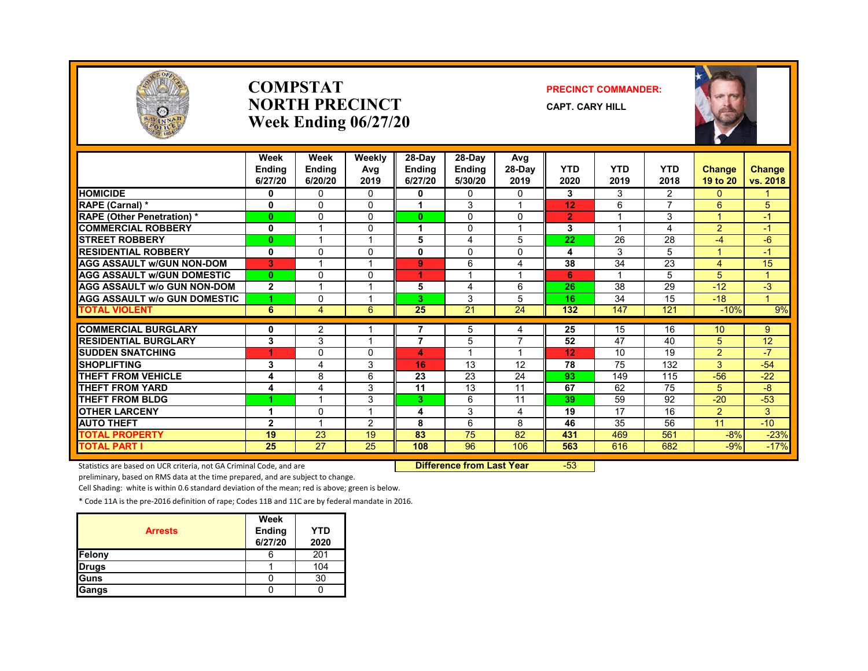

#### **COMPSTATNORTH PRECINCTWeek Ending 06/27/20**

#### **PRECINCT COMMANDER:**

**CAPT. CARY HILL**



|                                     | Week<br><b>Endina</b><br>6/27/20 | Week<br><b>Ending</b><br>6/20/20 | Weekly<br>Avg<br>2019 | $28-Day$<br><b>Endina</b><br>6/27/20 | $28-Dav$<br><b>Ending</b><br>5/30/20 | Avg<br>$28-Dav$<br>2019 | <b>YTD</b><br>2020 | <b>YTD</b><br>2019       | <b>YTD</b><br>2018       | <b>Change</b><br>19 to 20 | Change<br>vs. 2018 |
|-------------------------------------|----------------------------------|----------------------------------|-----------------------|--------------------------------------|--------------------------------------|-------------------------|--------------------|--------------------------|--------------------------|---------------------------|--------------------|
| <b>HOMICIDE</b>                     | 0                                | $\mathbf{0}$                     | $\Omega$              | 0                                    | 0                                    | $\Omega$                | 3                  | 3                        | $\overline{2}$           | 0                         |                    |
| RAPE (Carnal) *                     | 0                                | $\Omega$                         | $\Omega$              |                                      | 3                                    |                         | 12                 | 6                        | $\overline{\phantom{a}}$ | 6                         | 5                  |
| <b>RAPE (Other Penetration) *</b>   | $\mathbf{0}$                     | $\Omega$                         | 0                     | $\bf{0}$                             | $\Omega$                             | $\Omega$                | $\overline{2}$     | $\overline{\phantom{a}}$ | 3                        | $\blacktriangleleft$      | $-1$               |
| <b>COMMERCIAL ROBBERY</b>           | $\mathbf 0$                      |                                  | 0                     |                                      | $\Omega$                             |                         | 3                  |                          | 4                        | $\overline{2}$            | $-1$               |
| <b>STREET ROBBERY</b>               | $\mathbf{0}$                     |                                  |                       | 5                                    | 4                                    | 5                       | 22                 | 26                       | 28                       | $-4$                      | $-6$               |
| <b>RESIDENTIAL ROBBERY</b>          | 0                                | $\Omega$                         | <sup>0</sup>          | 0                                    | 0                                    | $\Omega$                | 4                  | 3                        | 5                        |                           | $-1$               |
| <b>AGG ASSAULT W/GUN NON-DOM</b>    | 3                                |                                  |                       | 9                                    | 6                                    | 4                       | 38                 | 34                       | 23                       | 4                         | 15                 |
| <b>AGG ASSAULT W/GUN DOMESTIC</b>   | $\mathbf{0}$                     | $\Omega$                         | $\Omega$              | 4.                                   |                                      | $\overline{\mathbf{A}}$ | 6                  | -4                       | 5                        | 5                         | $\mathbf{1}$       |
| <b>AGG ASSAULT w/o GUN NON-DOM</b>  | $\overline{2}$                   |                                  |                       | 5                                    | 4                                    | 6                       | 26                 | 38                       | 29                       | $-12$                     | $-3$               |
| <b>AGG ASSAULT w/o GUN DOMESTIC</b> | 1                                | 0                                |                       | 3                                    | 3                                    | 5                       | 16                 | 34                       | 15                       | $-18$                     | 1                  |
| <b>TOTAL VIOLENT</b>                | 6                                | $\overline{4}$                   | 6                     | 25                                   | 21                                   | 24                      | 132                | 147                      | 121                      | $-10%$                    | 9%                 |
|                                     |                                  |                                  |                       |                                      |                                      |                         |                    |                          |                          |                           |                    |
| <b>COMMERCIAL BURGLARY</b>          | 0                                | 2                                |                       |                                      | 5                                    | 4                       | 25                 | 15                       | 16                       | 10                        | 9                  |
| <b>RESIDENTIAL BURGLARY</b>         | 3                                | 3                                |                       | 7                                    | 5                                    | 7                       | 52                 | 47                       | 40                       | 5                         | 12                 |
| <b>SUDDEN SNATCHING</b>             | 4                                | 0                                | 0                     | 4                                    |                                      |                         | 12                 | 10                       | 19                       | $\overline{2}$            | $-7$               |
| <b>SHOPLIFTING</b>                  | 3                                | 4                                | 3                     | 16                                   | 13                                   | 12                      | 78                 | 75                       | 132                      | 3                         | $-54$              |
| <b>THEFT FROM VEHICLE</b>           | 4                                | 8                                | 6                     | 23                                   | 23                                   | 24                      | 93                 | 149                      | 115                      | $-56$                     | $-22$              |
| <b>THEFT FROM YARD</b>              | 4                                | 4                                | 3                     | 11                                   | 13                                   | 11                      | 67                 | 62                       | 75                       | 5                         | $-8$               |
| <b>THEFT FROM BLDG</b>              | 4                                | $\overline{A}$                   | 3                     | 3                                    | 6                                    | 11                      | 39                 | 59                       | 92                       | $-20$                     | $-53$              |
| <b>OTHER LARCENY</b>                | 1                                | 0                                |                       | 4                                    | 3                                    | 4                       | 19                 | 17                       | 16                       | $\overline{2}$            | 3                  |
| <b>AUTO THEFT</b>                   | $\overline{2}$                   |                                  | 2                     | 8                                    | 6                                    | 8                       | 46                 | 35                       | 56                       | 11                        | $-10$              |
| <b>TOTAL PROPERTY</b>               | 19                               | 23                               | 19                    | 83                                   | 75                                   | 82                      | 431                | 469                      | 561                      | $-8%$                     | $-23%$             |
| <b>TOTAL PART I</b>                 | 25                               | $\overline{27}$                  | 25                    | 108                                  | 96                                   | 106                     | 563                | 616                      | 682                      | $-9%$                     | $-17%$             |

Statistics are based on UCR criteria, not GA Criminal Code, and are **Difference from Last Year** -53

preliminary, based on RMS data at the time prepared, and are subject to change.

Cell Shading: white is within 0.6 standard deviation of the mean; red is above; green is below.

| <b>Arrests</b> | Week<br>Ending<br>6/27/20 | YTD<br>2020 |
|----------------|---------------------------|-------------|
| <b>Felony</b>  | ь                         | 201         |
| <b>Drugs</b>   |                           | 104         |
| Guns           |                           | 30          |
| Gangs          |                           |             |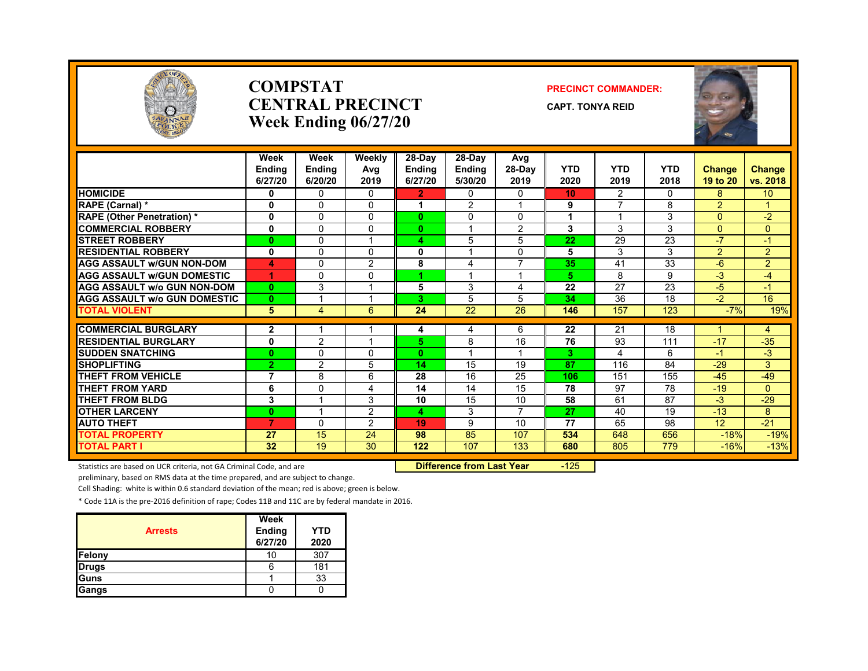

#### **COMPSTATCENTRAL PRECINCTWeek Ending 06/27/20**

#### **PRECINCT COMMANDER:**

**CAPT. TONYA REID**



|                                                           | Week<br><b>Endina</b><br>6/27/20 | Week<br><b>Ending</b><br>6/20/20 | Weekly<br>Avg<br>2019 | 28-Day<br><b>Ending</b><br>6/27/20 | 28-Day<br><b>Ending</b><br>5/30/20 | Avg<br>28-Day<br>2019 | <b>YTD</b><br>2020 | <b>YTD</b><br>2019       | <b>YTD</b><br>2018 | <b>Change</b><br>19 to 20 | <b>Change</b><br>vs. 2018 |
|-----------------------------------------------------------|----------------------------------|----------------------------------|-----------------------|------------------------------------|------------------------------------|-----------------------|--------------------|--------------------------|--------------------|---------------------------|---------------------------|
| <b>HOMICIDE</b>                                           | 0                                | $\Omega$                         | 0                     | 2.                                 | $\Omega$                           | 0                     | 10                 | 2                        | 0                  | 8                         | 10 <sup>°</sup>           |
| <b>RAPE (Carnal) *</b>                                    | 0                                | $\Omega$                         | $\Omega$              | 1                                  | 2                                  | $\overline{ }$        | 9                  | 7                        | 8                  | $\overline{2}$            | $\mathbf{1}$              |
| <b>RAPE</b> (Other Penetration) *                         | 0                                | $\mathbf{0}$                     | 0                     | $\bf{0}$                           | $\mathbf{0}$                       | $\mathbf{0}$          | 1                  | $\overline{\phantom{a}}$ | 3                  | $\Omega$                  | $-2$                      |
| <b>COMMERCIAL ROBBERY</b>                                 | 0                                | $\mathbf{0}$                     | 0                     | $\bf{0}$                           |                                    | 2                     | 3                  | 3                        | 3                  | $\Omega$                  | $\Omega$                  |
| <b>STREET ROBBERY</b>                                     | $\bf{0}$                         | $\mathbf{0}$                     |                       | $\overline{\mathbf{4}}$            | 5                                  | 5                     | 22                 | 29                       | 23                 | $-7$                      | $-1$                      |
| <b>RESIDENTIAL ROBBERY</b>                                | $\mathbf{0}$                     | $\Omega$                         | $\Omega$              | 0                                  |                                    | $\Omega$              | 5                  | 3                        | 3                  | $\overline{2}$            | $\overline{2}$            |
| <b>AGG ASSAULT w/GUN NON-DOM</b>                          | 4                                | $\Omega$                         | $\overline{2}$        | 8                                  | 4                                  | $\overline{7}$        | 35                 | 41                       | 33                 | $-6$                      | $\overline{2}$            |
| <b>AGG ASSAULT W/GUN DOMESTIC</b>                         | 4                                | $\Omega$                         | 0                     |                                    |                                    | $\overline{ }$        | 5                  | 8                        | 9                  | $-3$                      | $-4$                      |
| <b>AGG ASSAULT w/o GUN NON-DOM</b>                        | $\bf{0}$                         | 3                                |                       | 5                                  | 3                                  | 4                     | 22                 | 27                       | 23                 | $-5$                      | $-1$                      |
| <b>AGG ASSAULT W/o GUN DOMESTIC</b>                       | $\bf{0}$                         |                                  |                       | 3                                  | 5                                  | 5                     | 34                 | 36                       | 18                 | $-2$                      | 16                        |
| <b>TOTAL VIOLENT</b>                                      | 5                                | 4                                | 6                     | 24                                 | 22                                 | 26                    | 146                | 157                      | 123                | $-7%$                     | 19%                       |
|                                                           |                                  |                                  |                       |                                    |                                    |                       |                    |                          |                    |                           |                           |
| <b>COMMERCIAL BURGLARY</b><br><b>RESIDENTIAL BURGLARY</b> | $\mathbf{2}$                     | 2                                |                       | 4                                  | 4<br>8                             | 6<br>16               | 22<br>76           | 21<br>93                 | 18<br>111          | $-17$                     | 4                         |
|                                                           | 0                                |                                  |                       | 5                                  |                                    |                       |                    |                          |                    |                           | $-35$<br>$-3$             |
| <b>SUDDEN SNATCHING</b><br><b>SHOPLIFTING</b>             | 0                                | $\Omega$                         | 0<br>5                | $\mathbf{0}$                       | 15                                 | 19                    | 3<br>87            | 4<br>116                 | 6<br>84            | -1<br>$-29$               | 3                         |
| <b>THEFT FROM VEHICLE</b>                                 | $\overline{2}$                   | 2                                |                       | 14<br>28                           | 16                                 |                       |                    |                          | 155                |                           |                           |
| <b>THEFT FROM YARD</b>                                    | 7<br>6                           | 8                                | 6                     | 14                                 | 14                                 | 25<br>15              | 106<br>78          | 151<br>97                | 78                 | $-45$<br>$-19$            | $-49$                     |
|                                                           |                                  | $\mathbf{0}$                     | 4                     |                                    |                                    |                       |                    |                          |                    |                           | $\overline{0}$            |
| <b>THEFT FROM BLDG</b>                                    | 3                                |                                  | 3                     | 10                                 | 15                                 | 10<br>$\overline{7}$  | 58<br>27           | 61                       | 87                 | $-3$<br>$-13$             | $-29$                     |
| <b>OTHER LARCENY</b>                                      | $\mathbf{0}$                     |                                  | $\overline{2}$        | 4                                  | 3                                  |                       |                    | 40                       | 19                 |                           | 8                         |
| <b>AUTO THEFT</b>                                         | 7                                | $\Omega$                         | $\overline{2}$        | 19                                 | 9                                  | 10                    | 77                 | 65                       | 98                 | 12                        | $-21$                     |
| <b>TOTAL PROPERTY</b>                                     | 27                               | 15                               | 24                    | 98                                 | 85                                 | 107                   | 534                | 648                      | 656                | $-18%$                    | $-19%$                    |
| <b>TOTAL PART I</b>                                       | 32                               | 19                               | 30                    | 122                                | 107                                | 133                   | 680                | 805                      | 779                | $-16%$                    | $-13%$                    |

Statistics are based on UCR criteria, not GA Criminal Code, and are **Difference from Last Year** -125

preliminary, based on RMS data at the time prepared, and are subject to change.

Cell Shading: white is within 0.6 standard deviation of the mean; red is above; green is below.

|                | Week              |                    |
|----------------|-------------------|--------------------|
| <b>Arrests</b> | Ending<br>6/27/20 | <b>YTD</b><br>2020 |
|                |                   |                    |
| Felony         | 10                | 307                |
| <b>Drugs</b>   |                   | 181                |
| <b>Guns</b>    |                   | 33                 |
| <b>Gangs</b>   |                   |                    |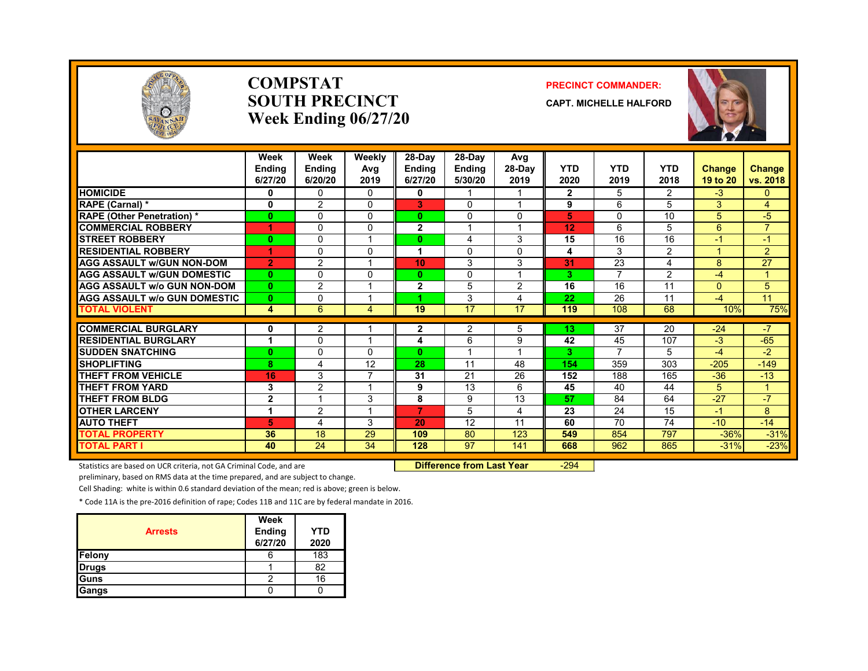

#### **COMPSTATSOUTH PRECINCTWeek Ending 06/27/20**

#### **PRECINCT COMMANDER:**

**CAPT. MICHELLE HALFORD**



|                                     | Week<br><b>Endina</b><br>6/27/20 | Week<br><b>Ending</b><br>6/20/20 | Weekly<br>Avg<br>2019 | 28-Day<br><b>Ending</b><br>6/27/20 | 28-Day<br><b>Ending</b><br>5/30/20 | Avg<br>28-Day<br>2019   | <b>YTD</b><br>2020 | <b>YTD</b><br>2019       | <b>YTD</b><br>2018 | Change<br>19 to 20 | <b>Change</b><br>vs. 2018 |
|-------------------------------------|----------------------------------|----------------------------------|-----------------------|------------------------------------|------------------------------------|-------------------------|--------------------|--------------------------|--------------------|--------------------|---------------------------|
| <b>HOMICIDE</b>                     | 0                                | $\mathbf{0}$                     | $\mathbf{0}$          | 0                                  |                                    |                         | $\mathbf{2}$       | 5                        | $\overline{2}$     | $-3$               | $\mathbf{0}$              |
| RAPE (Carnal) *                     | $\mathbf 0$                      | 2                                | 0                     | 3                                  | $\Omega$                           | $\overline{\mathbf{A}}$ | 9                  | 6                        | 5                  | 3                  | $\overline{4}$            |
| <b>RAPE (Other Penetration)*</b>    | 0                                | $\mathbf{0}$                     | 0                     | $\bf{0}$                           | $\mathbf{0}$                       | $\mathbf{0}$            | 5                  | $\Omega$                 | 10                 | 5                  | $-5$                      |
| <b>COMMERCIAL ROBBERY</b>           | 4                                | $\Omega$                         | $\Omega$              | $\overline{2}$                     |                                    |                         | 12                 | 6                        | 5                  | 6                  | $\overline{7}$            |
| <b>STREET ROBBERY</b>               | $\bf{0}$                         | $\Omega$                         |                       | $\bf{0}$                           | 4                                  | 3                       | 15                 | 16                       | 16                 | -1                 | $-1$                      |
| <b>RESIDENTIAL ROBBERY</b>          | 4                                | $\Omega$                         | 0                     | 1                                  | $\Omega$                           | $\Omega$                | 4                  | 3                        | $\overline{2}$     | $\overline{A}$     | $\overline{2}$            |
| <b>AGG ASSAULT w/GUN NON-DOM</b>    | $\overline{2}$                   | 2                                |                       | 10                                 | 3                                  | 3                       | 31                 | 23                       | 4                  | 8                  | 27                        |
| <b>AGG ASSAULT W/GUN DOMESTIC</b>   | $\bf{0}$                         | $\Omega$                         | $\Omega$              | $\bf{0}$                           | $\Omega$                           | $\overline{A}$          | 3                  | 7                        | $\overline{2}$     | $-4$               | $\mathbf{1}$              |
| <b>AGG ASSAULT w/o GUN NON-DOM</b>  | $\bf{0}$                         | 2                                |                       | $\mathbf{2}$                       | 5                                  | 2                       | 16                 | 16                       | 11                 | $\Omega$           | 5                         |
| <b>AGG ASSAULT w/o GUN DOMESTIC</b> | $\bf{0}$                         | $\Omega$                         |                       |                                    | 3                                  | 4                       | 22                 | 26                       | 11                 | $-4$               | 11                        |
| <b>TOTAL VIOLENT</b>                | 4                                | 6                                | 4                     | 19                                 | 17                                 | 17                      | 119                | 108                      | 68                 | 10%                | 75%                       |
|                                     |                                  |                                  |                       |                                    |                                    |                         |                    |                          |                    |                    |                           |
| <b>COMMERCIAL BURGLARY</b>          | 0                                | 2                                |                       | 2                                  | 2                                  | 5                       | 13                 | 37                       | 20                 | $-24$              | $-7$                      |
| <b>RESIDENTIAL BURGLARY</b>         |                                  | $\Omega$                         |                       | 4                                  | 6                                  | 9                       | 42                 | 45                       | 107                | $-3$               | $-65$                     |
| <b>SUDDEN SNATCHING</b>             | $\bf{0}$                         | $\Omega$                         | 0                     | $\bf{0}$                           | $\overline{\mathbf{A}}$            | $\overline{\mathbf{A}}$ | 3                  | $\overline{\phantom{a}}$ | 5                  | -4                 | $-2$                      |
| <b>SHOPLIFTING</b>                  | 8                                | 4                                | 12                    | 28                                 | 11                                 | 48                      | 154                | 359                      | 303                | $-205$             | $-149$                    |
| <b>THEFT FROM VEHICLE</b>           | 16                               | 3                                |                       | 31                                 | 21                                 | 26                      | 152                | 188                      | 165                | $-36$              | $-13$                     |
| <b>THEFT FROM YARD</b>              | 3                                | $\overline{2}$                   |                       | 9                                  | 13                                 | 6                       | 45                 | 40                       | 44                 | 5                  | 4                         |
| <b>THEFT FROM BLDG</b>              | $\mathbf 2$                      |                                  | 3                     | 8                                  | 9                                  | 13                      | 57                 | 84                       | 64                 | $-27$              | $-7$                      |
| <b>OTHER LARCENY</b>                | 1                                | 2                                |                       | 7                                  | 5                                  | $\overline{4}$          | 23                 | 24                       | 15                 | $-1$               | 8                         |
| <b>AUTO THEFT</b>                   | 5                                | 4                                | 3                     | 20                                 | 12                                 | 11                      | 60                 | 70                       | 74                 | $-10$              | $-14$                     |
| <b>TOTAL PROPERTY</b>               | 36                               | 18                               | 29                    | 109                                | 80                                 | 123                     | 549                | 854                      | 797                | $-36%$             | $-31%$                    |
| <b>TOTAL PART I</b>                 | 40                               | 24                               | 34                    | 128                                | 97                                 | 141                     | 668                | 962                      | 865                | $-31%$             | $-23%$                    |

Statistics are based on UCR criteria, not GA Criminal Code, and are **Difference from Last Year** -294

preliminary, based on RMS data at the time prepared, and are subject to change.

Cell Shading: white is within 0.6 standard deviation of the mean; red is above; green is below.

| <b>Arrests</b> | Week<br>Ending<br>6/27/20 | <b>YTD</b><br>2020 |
|----------------|---------------------------|--------------------|
| Felony         |                           | 183                |
| <b>Drugs</b>   |                           | 82                 |
| Guns           |                           | 16                 |
| Gangs          |                           |                    |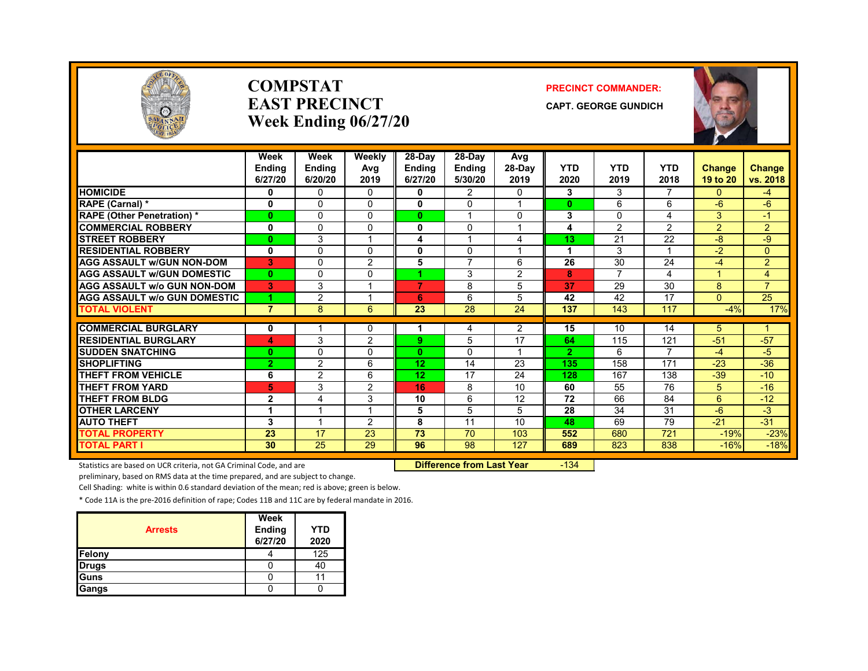

#### **COMPSTATEAST PRECINCTWeek Ending 06/27/20**

#### **PRECINCT COMMANDER:**

**CAPT. GEORGE GUNDICH**



|                                               | Week<br><b>Endina</b><br>6/27/20 | Week<br><b>Ending</b><br>6/20/20 | Weekly<br>Avg<br>2019 | $28-Dav$<br><b>Ending</b><br>6/27/20 | 28-Day<br><b>Endina</b><br>5/30/20 | Avg<br>$28-Dav$<br>2019 | <b>YTD</b><br>2020 | <b>YTD</b><br>2019 | <b>YTD</b><br>2018    | <b>Change</b><br>19 to 20 | Change<br>vs. 2018 |
|-----------------------------------------------|----------------------------------|----------------------------------|-----------------------|--------------------------------------|------------------------------------|-------------------------|--------------------|--------------------|-----------------------|---------------------------|--------------------|
| <b>HOMICIDE</b>                               | 0                                | 0                                | $\mathbf{0}$          | 0                                    | $\overline{2}$                     | 0                       | 3                  | 3                  | 7                     | $\mathbf{0}$              | $-4$               |
| RAPE (Carnal) *                               | $\mathbf 0$                      | $\Omega$                         | 0                     | 0                                    | $\Omega$                           | 1                       | $\mathbf{0}$       | 6                  | 6                     | $-6$                      | $-6$               |
| <b>RAPE (Other Penetration)*</b>              | $\mathbf{0}$                     | $\Omega$                         | $\Omega$              | $\mathbf{0}$                         | $\overline{ }$                     | $\Omega$                | 3                  | $\Omega$           | 4                     | 3                         | $-1$               |
| <b>COMMERCIAL ROBBERY</b>                     | 0                                | $\Omega$                         | 0                     | 0                                    | 0                                  |                         | 4                  | 2                  | $\overline{2}$        | $\overline{2}$            | $\overline{2}$     |
| <b>STREET ROBBERY</b>                         | $\mathbf{0}$                     | 3                                | 1                     | 4                                    | $\overline{\mathbf{A}}$            | 4                       | 13                 | 21                 | 22                    | $-8$                      | $-9$               |
| <b>RESIDENTIAL ROBBERY</b>                    | 0                                | $\Omega$                         | 0                     | 0                                    | 0                                  |                         |                    | 3                  |                       | $-2$                      | $\Omega$           |
| <b>AGG ASSAULT W/GUN NON-DOM</b>              | 3                                | $\Omega$                         | 2                     | 5                                    | $\overline{7}$                     | 6                       | 26                 | 30                 | 24                    | -4                        | $\overline{2}$     |
| <b>AGG ASSAULT W/GUN DOMESTIC</b>             | $\mathbf{0}$                     | $\Omega$                         | $\Omega$              | 4.                                   | 3                                  | 2                       | 8                  | $\overline{7}$     | 4                     | 4                         | 4                  |
| <b>AGG ASSAULT w/o GUN NON-DOM</b>            | G.                               | 3                                | 1                     | 7                                    | 8                                  | 5                       | 37                 | 29                 | 30                    | 8                         | $\overline{7}$     |
| <b>AGG ASSAULT w/o GUN DOMESTIC</b>           | 4                                | $\overline{2}$                   | и                     | 6                                    | 6                                  | 5                       | 42                 | 42                 | 17                    | $\Omega$                  | 25                 |
| <b>TOTAL VIOLENT</b>                          | $\overline{7}$                   | 8                                | 6                     | 23                                   | 28                                 | 24                      | 137                | 143                | 117                   | $-4%$                     | 17%                |
|                                               |                                  |                                  |                       |                                      |                                    |                         |                    |                    |                       |                           |                    |
| <b>COMMERCIAL BURGLARY</b>                    | 0                                |                                  | 0                     |                                      | 4                                  | $\overline{2}$          | 15                 | 10                 | 14                    | 5                         | 1                  |
| <b>RESIDENTIAL BURGLARY</b>                   | 4                                | 3                                | $\overline{2}$        | 9.                                   | 5                                  | 17<br>1                 | 64                 | 115                | 121<br>$\overline{ }$ | $-51$                     | $-57$              |
| <b>SUDDEN SNATCHING</b><br><b>SHOPLIFTING</b> | $\mathbf{0}$                     | $\Omega$                         | 0                     | 0                                    | $\Omega$                           |                         | $\overline{2}$     | 6                  |                       | $-4$                      | $-5$               |
|                                               | $\overline{2}$                   | 2                                | 6                     | 12                                   | 14                                 | 23                      | 135                | 158                | 171                   | $-23$                     | $-36$              |
| <b>THEFT FROM VEHICLE</b>                     | 6                                | $\overline{2}$                   | 6                     | 12 <sub>2</sub>                      | 17                                 | 24                      | 128                | 167                | 138                   | $-39$                     | $-10$              |
| <b>THEFT FROM YARD</b>                        | 5                                | 3                                | $\overline{2}$        | 16                                   | 8                                  | 10                      | 60                 | 55                 | 76                    | 5                         | $-16$              |
| <b>THEFT FROM BLDG</b>                        | $\mathbf{2}$                     | 4                                | 3                     | 10                                   | 6                                  | 12                      | 72                 | 66                 | 84                    | 6                         | $-12$              |
| <b>OTHER LARCENY</b>                          | 1                                | 1                                | 1                     | 5                                    | 5                                  | 5                       | 28                 | 34                 | 31                    | $-6$                      | $-3$               |
| <b>AUTO THEFT</b>                             | 3                                | ٠                                | $\mathcal{P}$         | 8                                    | 11                                 | 10                      | 48                 | 69                 | 79                    | $-21$                     | $-31$              |
| <b>TOTAL PROPERTY</b>                         | 23                               | 17                               | 23                    | 73                                   | 70                                 | 103                     | 552                | 680                | 721                   | $-19%$                    | $-23%$             |
| <b>TOTAL PART I</b>                           | 30                               | 25                               | 29                    | 96                                   | 98                                 | 127                     | 689                | 823                | 838                   | $-16%$                    | $-18%$             |

Statistics are based on UCR criteria, not GA Criminal Code, and are **Difference from Last Year** -134

preliminary, based on RMS data at the time prepared, and are subject to change.

Cell Shading: white is within 0.6 standard deviation of the mean; red is above; green is below.

| <b>Arrests</b> | Week<br>Ending<br>6/27/20 | YTD<br>2020 |
|----------------|---------------------------|-------------|
| Felony         |                           | 125         |
| <b>Drugs</b>   |                           | 40          |
| <b>Guns</b>    |                           |             |
| Gangs          |                           |             |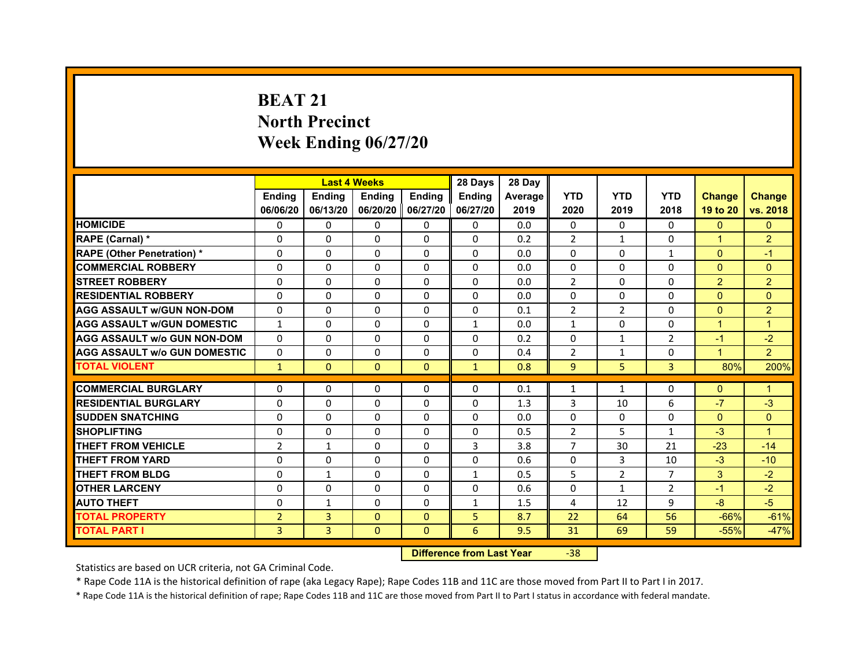# **BEAT 21North PrecinctWeek Ending 06/27/20**

|                                     |                | <b>Last 4 Weeks</b> |                     |               | 28 Days       | 28 Day  |                |                |                |                      |                |
|-------------------------------------|----------------|---------------------|---------------------|---------------|---------------|---------|----------------|----------------|----------------|----------------------|----------------|
|                                     | <b>Endina</b>  | <b>Ending</b>       | <b>Endina</b>       | <b>Endina</b> | <b>Endina</b> | Average | <b>YTD</b>     | <b>YTD</b>     | <b>YTD</b>     | <b>Change</b>        | <b>Change</b>  |
|                                     | 06/06/20       | 06/13/20            | 06/20/20   06/27/20 |               | 06/27/20      | 2019    | 2020           | 2019           | 2018           | 19 to 20             | vs. 2018       |
| <b>HOMICIDE</b>                     | $\Omega$       | 0                   | $\Omega$            | 0             | 0             | 0.0     | $\Omega$       | $\Omega$       | $\Omega$       | $\mathbf{0}$         | $\mathbf{0}$   |
| RAPE (Carnal) *                     | $\Omega$       | $\Omega$            | $\Omega$            | $\Omega$      | $\mathbf{0}$  | 0.2     | $\overline{2}$ | $\mathbf{1}$   | $\Omega$       | $\overline{1}$       | 2              |
| <b>RAPE (Other Penetration)*</b>    | 0              | $\Omega$            | $\Omega$            | $\mathbf{0}$  | $\Omega$      | 0.0     | $\Omega$       | $\Omega$       | $\mathbf{1}$   | $\Omega$             | $-1$           |
| <b>COMMERCIAL ROBBERY</b>           | 0              | 0                   | $\Omega$            | 0             | $\Omega$      | 0.0     | $\Omega$       | 0              | $\Omega$       | $\mathbf{0}$         | $\Omega$       |
| <b>STREET ROBBERY</b>               | 0              | 0                   | 0                   | $\mathbf{0}$  | 0             | 0.0     | $\overline{2}$ | 0              | $\Omega$       | 2                    | $\overline{2}$ |
| <b>RESIDENTIAL ROBBERY</b>          | 0              | $\Omega$            | 0                   | $\Omega$      | 0             | 0.0     | 0              | 0              | 0              | $\Omega$             | $\Omega$       |
| <b>AGG ASSAULT w/GUN NON-DOM</b>    | $\Omega$       | $\Omega$            | $\Omega$            | $\Omega$      | $\Omega$      | 0.1     | $\overline{2}$ | $\overline{2}$ | $\Omega$       | $\Omega$             | $\overline{2}$ |
| <b>AGG ASSAULT W/GUN DOMESTIC</b>   | $\mathbf{1}$   | 0                   | $\Omega$            | 0             | $\mathbf{1}$  | 0.0     | $\mathbf{1}$   | $\Omega$       | $\Omega$       | $\mathbf{1}$         | $\mathbf{1}$   |
| AGG ASSAULT w/o GUN NON-DOM         | $\Omega$       | 0                   | $\Omega$            | $\Omega$      | $\Omega$      | 0.2     | $\Omega$       | $\mathbf{1}$   | 2              | $-1$                 | $-2$           |
| <b>AGG ASSAULT W/o GUN DOMESTIC</b> | $\Omega$       | 0                   | $\Omega$            | 0             | 0             | 0.4     | $\overline{2}$ | $\mathbf{1}$   | $\Omega$       | $\blacktriangleleft$ | $\overline{2}$ |
| <b>TOTAL VIOLENT</b>                | $\mathbf{1}$   | $\mathbf{0}$        | $\mathbf{0}$        | $\mathbf{0}$  | $\mathbf{1}$  | 0.8     | 9              | 5              | 3              | 80%                  | 200%           |
|                                     |                |                     |                     |               |               |         |                |                |                |                      |                |
| <b>COMMERCIAL BURGLARY</b>          | 0              | 0                   | 0                   | 0             | 0             | 0.1     | $\mathbf{1}$   | $\mathbf{1}$   | 0              | $\mathbf{0}$         | 1              |
| <b>RESIDENTIAL BURGLARY</b>         | 0              | 0                   | 0                   | 0             | 0             | 1.3     | 3              | 10             | 6              | $-7$                 | $-3$           |
| <b>SUDDEN SNATCHING</b>             | 0              | $\Omega$            | $\Omega$            | $\Omega$      | $\Omega$      | 0.0     | $\Omega$       | $\Omega$       | $\Omega$       | $\Omega$             | $\Omega$       |
| <b>SHOPLIFTING</b>                  | $\Omega$       | $\Omega$            | $\Omega$            | $\mathbf{0}$  | $\Omega$      | 0.5     | $\overline{2}$ | 5              | $\mathbf{1}$   | $-3$                 | 1              |
| THEFT FROM VEHICLE                  | $\overline{2}$ | $\mathbf{1}$        | $\Omega$            | 0             | 3             | 3.8     | $\overline{7}$ | 30             | 21             | $-23$                | $-14$          |
| <b>THEFT FROM YARD</b>              | 0              | 0                   | $\Omega$            | $\Omega$      | $\Omega$      | 0.6     | $\Omega$       | 3              | 10             | $-3$                 | $-10$          |
| <b>THEFT FROM BLDG</b>              | 0              | $\mathbf{1}$        | 0                   | $\Omega$      | $\mathbf{1}$  | 0.5     | 5              | $\overline{2}$ | 7              | 3                    | $-2$           |
| <b>OTHER LARCENY</b>                | 0              | 0                   | $\Omega$            | $\Omega$      | $\Omega$      | 0.6     | $\Omega$       | $\mathbf{1}$   | $\overline{2}$ | $-1$                 | $-2$           |
| <b>AUTO THEFT</b>                   | $\Omega$       | $\mathbf{1}$        | $\Omega$            | $\mathbf{0}$  | $\mathbf{1}$  | 1.5     | 4              | 12             | 9              | $-8$                 | $-5$           |
| <b>TOTAL PROPERTY</b>               | $\overline{2}$ | 3                   | $\Omega$            | $\Omega$      | 5             | 8.7     | 22             | 64             | 56             | $-66%$               | $-61%$         |
| <b>TOTAL PART I</b>                 | 3              | 3                   | $\Omega$            | $\Omega$      | 6             | 9.5     | 31             | 69             | 59             | $-55%$               | $-47%$         |

 **Difference from Last Year**

‐38

Statistics are based on UCR criteria, not GA Criminal Code.

\* Rape Code 11A is the historical definition of rape (aka Legacy Rape); Rape Codes 11B and 11C are those moved from Part II to Part I in 2017.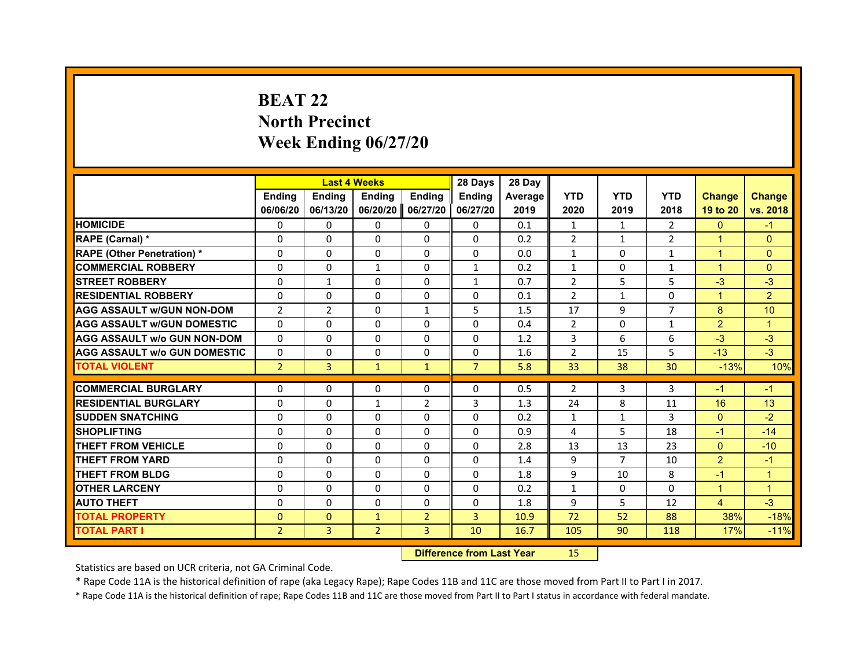# **BEAT 22North Precinct Week Ending 06/27/20**

|                                     |                | <b>Last 4 Weeks</b> |                |                   | 28 Days        | 28 Day         |                |                |                |                |                      |
|-------------------------------------|----------------|---------------------|----------------|-------------------|----------------|----------------|----------------|----------------|----------------|----------------|----------------------|
|                                     | <b>Endina</b>  | <b>Ending</b>       | <b>Endina</b>  | <b>Endina</b>     | <b>Endina</b>  | <b>Average</b> | <b>YTD</b>     | <b>YTD</b>     | <b>YTD</b>     | <b>Change</b>  | <b>Change</b>        |
|                                     | 06/06/20       | 06/13/20            |                | 06/20/20 06/27/20 | 06/27/20       | 2019           | 2020           | 2019           | 2018           | 19 to 20       | vs. 2018             |
| <b>HOMICIDE</b>                     | $\Omega$       | 0                   | 0              | 0                 | 0              | 0.1            | $\mathbf{1}$   | $\mathbf{1}$   | $\overline{2}$ | $\Omega$       | $-1$                 |
| RAPE (Carnal) *                     | $\Omega$       | $\Omega$            | $\Omega$       | $\Omega$          | $\Omega$       | 0.2            | $\overline{2}$ | $\mathbf{1}$   | $\overline{2}$ | $\mathbf{1}$   | $\Omega$             |
| <b>RAPE (Other Penetration)*</b>    | 0              | 0                   | 0              | 0                 | $\Omega$       | 0.0            | $\mathbf{1}$   | 0              | $\mathbf{1}$   | $\mathbf{1}$   | $\Omega$             |
| <b>COMMERCIAL ROBBERY</b>           | $\Omega$       | $\Omega$            | $\mathbf{1}$   | $\Omega$          | 1              | 0.2            | 1              | 0              | 1              | $\mathbf{1}$   | $\Omega$             |
| <b>STREET ROBBERY</b>               | 0              | 1                   | 0              | 0                 | $\mathbf{1}$   | 0.7            | $\overline{2}$ | 5              | 5              | $-3$           | $-3$                 |
| <b>RESIDENTIAL ROBBERY</b>          | 0              | 0                   | 0              | 0                 | 0              | 0.1            | $\overline{2}$ | $\mathbf{1}$   | 0              | $\mathbf{1}$   | $\overline{2}$       |
| <b>AGG ASSAULT w/GUN NON-DOM</b>    | $\overline{2}$ | $\overline{2}$      | $\Omega$       | $\mathbf{1}$      | 5              | 1.5            | 17             | 9              | $\overline{7}$ | 8              | 10                   |
| <b>AGG ASSAULT W/GUN DOMESTIC</b>   | $\Omega$       | $\Omega$            | $\Omega$       | $\Omega$          | $\Omega$       | 0.4            | 2              | 0              | $\mathbf{1}$   | $\overline{2}$ | $\mathbf{1}$         |
| AGG ASSAULT w/o GUN NON-DOM         | $\Omega$       | $\Omega$            | $\Omega$       | $\Omega$          | $\Omega$       | 1.2            | 3              | 6              | 6              | $-3$           | $-3$                 |
| <b>AGG ASSAULT W/o GUN DOMESTIC</b> | $\Omega$       | $\Omega$            | $\Omega$       | $\Omega$          | $\Omega$       | 1.6            | $\overline{2}$ | 15             | 5              | $-13$          | $-3$                 |
| <b>TOTAL VIOLENT</b>                | $\overline{2}$ | 3                   | $\mathbf{1}$   | $\mathbf{1}$      | $\overline{7}$ | 5.8            | 33             | 38             | 30             | $-13%$         | 10%                  |
|                                     |                |                     |                |                   |                |                |                |                |                |                |                      |
| <b>COMMERCIAL BURGLARY</b>          | 0              | 0                   | 0              | 0                 | 0              | 0.5            | $\overline{2}$ | 3              | 3              | $-1$           | $-1$                 |
| <b>RESIDENTIAL BURGLARY</b>         | $\Omega$       | 0                   | $\mathbf{1}$   | 2                 | 3              | 1.3            | 24             | 8              | 11             | 16             | 13                   |
| <b>SUDDEN SNATCHING</b>             | $\Omega$       | $\Omega$            | $\Omega$       | $\Omega$          | $\Omega$       | 0.2            | $\mathbf{1}$   | $\mathbf{1}$   | 3              | $\Omega$       | $-2$                 |
| <b>SHOPLIFTING</b>                  | $\Omega$       | $\Omega$            | $\Omega$       | $\Omega$          | $\Omega$       | 0.9            | 4              | 5              | 18             | $-1$           | $-14$                |
| <b>THEFT FROM VEHICLE</b>           | $\Omega$       | $\Omega$            | $\Omega$       | $\Omega$          | $\Omega$       | 2.8            | 13             | 13             | 23             | $\Omega$       | $-10$                |
| <b>THEFT FROM YARD</b>              | $\Omega$       | $\Omega$            | $\Omega$       | $\Omega$          | $\Omega$       | 1.4            | 9              | $\overline{7}$ | 10             | $\overline{2}$ | $-1$                 |
| <b>THEFT FROM BLDG</b>              | $\Omega$       | 0                   | 0              | 0                 | 0              | 1.8            | 9              | 10             | 8              | $-1$           | $\mathbf{1}$         |
| <b>OTHER LARCENY</b>                | $\Omega$       | $\Omega$            | $\Omega$       | $\Omega$          | $\Omega$       | 0.2            | $\mathbf{1}$   | $\Omega$       | $\Omega$       | $\mathbf{1}$   | $\blacktriangleleft$ |
| <b>AUTO THEFT</b>                   | $\Omega$       | $\Omega$            | $\Omega$       | $\Omega$          | $\Omega$       | 1.8            | 9              | 5              | 12             | $\overline{4}$ | $-3$                 |
| <b>TOTAL PROPERTY</b>               | $\Omega$       | $\mathbf{0}$        | $\mathbf{1}$   | $\overline{2}$    | 3              | 10.9           | 72             | 52             | 88             | 38%            | $-18%$               |
| <b>TOTAL PART I</b>                 | $\overline{2}$ | 3                   | $\overline{2}$ | 3                 | 10             | 16.7           | 105            | 90             | 118            | 17%            | $-11%$               |

 **Difference from Last Year**r 15

Statistics are based on UCR criteria, not GA Criminal Code.

\* Rape Code 11A is the historical definition of rape (aka Legacy Rape); Rape Codes 11B and 11C are those moved from Part II to Part I in 2017.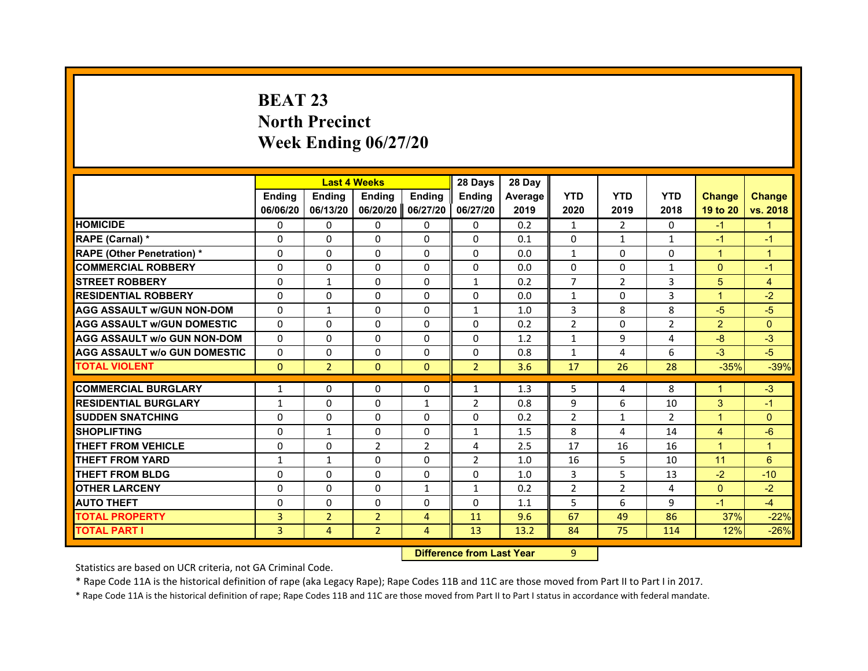# **BEAT 23North Precinct Week Ending 06/27/20**

|                                     |               | <b>Last 4 Weeks</b> |                   |                | 28 Days        | 28 Day  |                |                |                |                |                |
|-------------------------------------|---------------|---------------------|-------------------|----------------|----------------|---------|----------------|----------------|----------------|----------------|----------------|
|                                     | <b>Endina</b> | <b>Endina</b>       | <b>Endina</b>     | <b>Endina</b>  | <b>Ending</b>  | Average | <b>YTD</b>     | <b>YTD</b>     | <b>YTD</b>     | <b>Change</b>  | <b>Change</b>  |
|                                     | 06/06/20      | 06/13/20            | 06/20/20 06/27/20 |                | 06/27/20       | 2019    | 2020           | 2019           | 2018           | 19 to 20       | vs. 2018       |
| <b>HOMICIDE</b>                     | 0             | 0                   | 0                 | 0              | $\Omega$       | 0.2     | $\mathbf{1}$   | $\overline{2}$ | $\mathbf{0}$   | $-1$           | $\mathbf{1}$   |
| RAPE (Carnal) *                     | $\Omega$      | $\Omega$            | $\Omega$          | $\Omega$       | $\Omega$       | 0.1     | $\Omega$       | $\mathbf{1}$   | $\mathbf{1}$   | $-1$           | $-1$           |
| <b>RAPE (Other Penetration) *</b>   | $\Omega$      | $\Omega$            | $\Omega$          | $\Omega$       | $\Omega$       | 0.0     | $\mathbf{1}$   | $\Omega$       | $\Omega$       | $\mathbf{1}$   | $\mathbf{1}$   |
| <b>COMMERCIAL ROBBERY</b>           | $\Omega$      | $\Omega$            | $\Omega$          | $\Omega$       | $\Omega$       | 0.0     | $\Omega$       | $\mathbf{0}$   | 1              | $\Omega$       | $-1$           |
| <b>STREET ROBBERY</b>               | $\Omega$      | $\mathbf{1}$        | 0                 | 0              | $\mathbf{1}$   | 0.2     | $\overline{7}$ | $\overline{2}$ | 3              | 5              | $\overline{4}$ |
| <b>RESIDENTIAL ROBBERY</b>          | $\Omega$      | $\Omega$            | $\Omega$          | $\Omega$       | $\Omega$       | 0.0     | $\mathbf{1}$   | $\Omega$       | 3              | $\overline{1}$ | $-2$           |
| <b>AGG ASSAULT w/GUN NON-DOM</b>    | $\Omega$      | $\mathbf{1}$        | $\Omega$          | $\Omega$       | $\mathbf{1}$   | 1.0     | 3              | 8              | 8              | $-5$           | $-5$           |
| <b>AGG ASSAULT W/GUN DOMESTIC</b>   | $\Omega$      | $\Omega$            | $\Omega$          | $\Omega$       | $\Omega$       | 0.2     | $\overline{2}$ | 0              | $\overline{2}$ | $\overline{2}$ | $\Omega$       |
| <b>AGG ASSAULT W/o GUN NON-DOM</b>  | 0             | 0                   | 0                 | 0              | 0              | 1.2     | $\mathbf{1}$   | 9              | 4              | $-8$           | $-3$           |
| <b>AGG ASSAULT W/o GUN DOMESTIC</b> | $\Omega$      | 0                   | 0                 | 0              | 0              | 0.8     | $\mathbf{1}$   | 4              | 6              | $-3$           | $-5$           |
| <b>TOTAL VIOLENT</b>                | $\mathbf{0}$  | $\overline{2}$      | $\mathbf{0}$      | $\mathbf{0}$   | $\overline{2}$ | 3.6     | 17             | 26             | 28             | $-35%$         | $-39%$         |
|                                     |               |                     |                   |                |                |         |                |                |                |                |                |
| <b>COMMERCIAL BURGLARY</b>          | 1             | 0                   | $\Omega$          | 0              | $\mathbf{1}$   | 1.3     | 5              | 4              | 8              | 1              | $-3$           |
| <b>RESIDENTIAL BURGLARY</b>         | 1             | $\Omega$            | $\Omega$          | $\mathbf{1}$   | $\overline{2}$ | 0.8     | 9              | 6              | 10             | 3              | $-1$           |
| <b>SUDDEN SNATCHING</b>             | 0             | $\Omega$            | $\Omega$          | $\Omega$       | $\Omega$       | 0.2     | $\overline{2}$ | $\mathbf{1}$   | $\overline{2}$ | $\mathbf{1}$   | $\mathbf{0}$   |
| <b>SHOPLIFTING</b>                  | $\Omega$      | $\mathbf{1}$        | $\Omega$          | $\Omega$       | $\mathbf{1}$   | 1.5     | 8              | 4              | 14             | $\overline{4}$ | $-6$           |
| <b>THEFT FROM VEHICLE</b>           | $\Omega$      | $\Omega$            | 2                 | 2              | 4              | 2.5     | 17             | 16             | 16             | $\overline{1}$ | $\mathbf{1}$   |
| <b>THEFT FROM YARD</b>              | 1             | 1                   | $\Omega$          | $\Omega$       | $\overline{2}$ | 1.0     | 16             | 5              | 10             | 11             | 6              |
| <b>THEFT FROM BLDG</b>              | $\Omega$      | $\Omega$            | $\Omega$          | $\Omega$       | $\Omega$       | 1.0     | 3              | 5              | 13             | $-2$           | $-10$          |
| <b>OTHER LARCENY</b>                | 0             | 0                   | 0                 | $\mathbf{1}$   | $\mathbf{1}$   | 0.2     | $\overline{2}$ | $\overline{2}$ | 4              | $\Omega$       | $-2$           |
| <b>AUTO THEFT</b>                   | $\Omega$      | 0                   | $\Omega$          | $\Omega$       | $\Omega$       | 1.1     | 5              | 6              | 9              | $-1$           | $-4$           |
| <b>TOTAL PROPERTY</b>               | 3             | $\overline{2}$      | $\overline{2}$    | $\overline{4}$ | 11             | 9.6     | 67             | 49             | 86             | 37%            | $-22%$         |
| <b>TOTAL PART I</b>                 | 3             | 4                   | $\overline{2}$    | 4              | 13             | 13.2    | 84             | 75             | 114            | 12%            | $-26%$         |

 **Difference from Last Year**r 9

Statistics are based on UCR criteria, not GA Criminal Code.

\* Rape Code 11A is the historical definition of rape (aka Legacy Rape); Rape Codes 11B and 11C are those moved from Part II to Part I in 2017.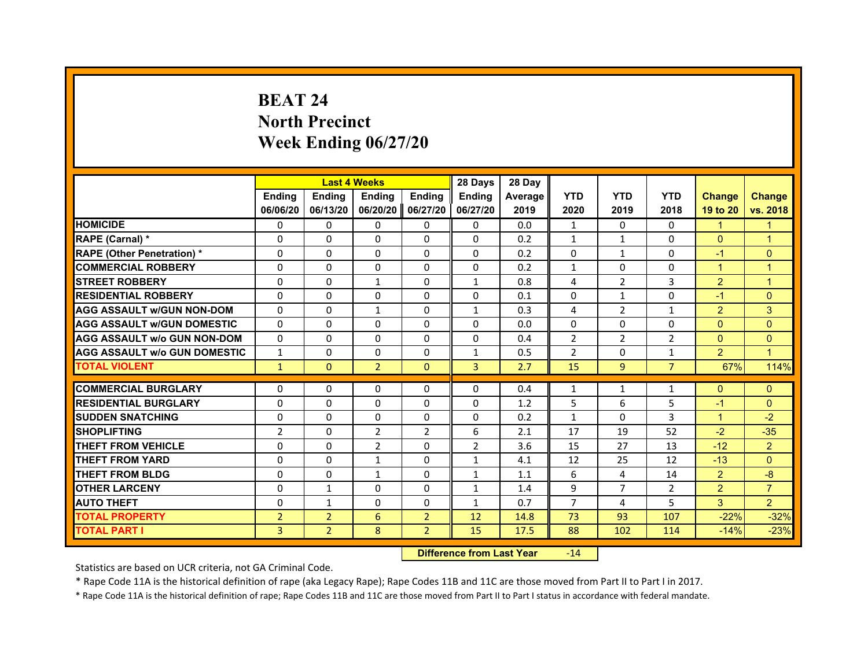# **BEAT 24North Precinct Week Ending 06/27/20**

|                                     |                | <b>Last 4 Weeks</b> |                |                | 28 Days        | 28 Day  |                |                |                |                      |                      |
|-------------------------------------|----------------|---------------------|----------------|----------------|----------------|---------|----------------|----------------|----------------|----------------------|----------------------|
|                                     | <b>Endina</b>  | <b>Ending</b>       | <b>Endina</b>  | <b>Endina</b>  | <b>Endina</b>  | Average | <b>YTD</b>     | <b>YTD</b>     | <b>YTD</b>     | <b>Change</b>        | <b>Change</b>        |
|                                     | 06/06/20       | 06/13/20            | 06/20/20       | 06/27/20       | 06/27/20       | 2019    | 2020           | 2019           | 2018           | 19 to 20             | vs. 2018             |
| <b>HOMICIDE</b>                     | $\Omega$       | $\Omega$            | $\Omega$       | 0              | 0              | 0.0     | $\mathbf{1}$   | $\Omega$       | $\Omega$       | 1                    | 1                    |
| RAPE (Carnal) *                     | $\Omega$       | $\Omega$            | $\Omega$       | $\Omega$       | $\Omega$       | 0.2     | $\mathbf{1}$   | $\mathbf{1}$   | $\Omega$       | $\Omega$             | $\overline{1}$       |
| <b>RAPE (Other Penetration) *</b>   | $\Omega$       | 0                   | $\Omega$       | 0              | $\Omega$       | 0.2     | $\Omega$       | $\mathbf{1}$   | $\Omega$       | $-1$                 | $\Omega$             |
| <b>COMMERCIAL ROBBERY</b>           | $\Omega$       | $\Omega$            | 0              | $\Omega$       | $\Omega$       | 0.2     | $\mathbf{1}$   | 0              | 0              | 1                    | 1                    |
| <b>STREET ROBBERY</b>               | $\Omega$       | $\Omega$            | $\mathbf{1}$   | $\Omega$       | $\mathbf{1}$   | 0.8     | 4              | $\overline{2}$ | 3              | $\overline{2}$       | $\mathbf 1$          |
| <b>RESIDENTIAL ROBBERY</b>          | 0              | 0                   | 0              | 0              | 0              | 0.1     | 0              | $\mathbf{1}$   | 0              | $-1$                 | $\Omega$             |
| <b>AGG ASSAULT W/GUN NON-DOM</b>    | $\Omega$       | $\Omega$            | $\mathbf{1}$   | $\Omega$       | $\mathbf{1}$   | 0.3     | 4              | $\overline{2}$ | $\mathbf{1}$   | $\overline{2}$       | 3                    |
| <b>AGG ASSAULT W/GUN DOMESTIC</b>   | $\Omega$       | $\Omega$            | $\Omega$       | $\Omega$       | $\Omega$       | 0.0     | $\Omega$       | $\Omega$       | $\Omega$       | $\Omega$             | $\Omega$             |
| <b>AGG ASSAULT w/o GUN NON-DOM</b>  | $\Omega$       | $\Omega$            | $\Omega$       | 0              | $\Omega$       | 0.4     | $\overline{2}$ | 2              | $\overline{2}$ | $\Omega$             | $\Omega$             |
| <b>AGG ASSAULT W/o GUN DOMESTIC</b> | $\mathbf{1}$   | $\Omega$            | 0              | $\Omega$       | $\mathbf{1}$   | 0.5     | $\overline{2}$ | $\Omega$       | $\mathbf{1}$   | $\overline{2}$       | $\blacktriangleleft$ |
| <b>TOTAL VIOLENT</b>                | $\mathbf{1}$   | $\mathbf{0}$        | $\overline{2}$ | $\Omega$       | 3              | 2.7     | 15             | 9              | $\overline{7}$ | 67%                  | 114%                 |
|                                     |                |                     |                |                |                |         |                |                |                |                      |                      |
| <b>COMMERCIAL BURGLARY</b>          | 0              | 0                   | 0              | 0              | 0              | 0.4     | $\mathbf{1}$   | $\mathbf{1}$   | $\mathbf{1}$   | $\mathbf{0}$         | $\mathbf{0}$         |
| <b>RESIDENTIAL BURGLARY</b>         | $\Omega$       | 0                   | $\Omega$       | 0              | $\Omega$       | 1.2     | 5              | 6              | 5              | $-1$                 | $\Omega$             |
| <b>SUDDEN SNATCHING</b>             | $\Omega$       | $\Omega$            | $\Omega$       | $\Omega$       | $\Omega$       | 0.2     | $\mathbf{1}$   | $\Omega$       | 3              | $\blacktriangleleft$ | $-2$                 |
| <b>SHOPLIFTING</b>                  | $\overline{2}$ | $\Omega$            | $\overline{2}$ | $\overline{2}$ | 6              | 2.1     | 17             | 19             | 52             | $-2$                 | $-35$                |
| <b>THEFT FROM VEHICLE</b>           | $\Omega$       | $\Omega$            | $\mathfrak{p}$ | $\Omega$       | $\overline{2}$ | 3.6     | 15             | 27             | 13             | $-12$                | $\overline{2}$       |
| <b>THEFT FROM YARD</b>              | $\Omega$       | $\Omega$            | 1              | 0              | $\mathbf{1}$   | 4.1     | 12             | 25             | 12             | $-13$                | $\Omega$             |
| <b>THEFT FROM BLDG</b>              | $\Omega$       | 0                   | $\mathbf{1}$   | 0              | $\mathbf{1}$   | 1.1     | 6              | 4              | 14             | $\overline{2}$       | $-8$                 |
| <b>OTHER LARCENY</b>                | $\Omega$       | $\mathbf{1}$        | $\Omega$       | $\Omega$       | $\mathbf{1}$   | 1.4     | 9              | $\overline{7}$ | $\overline{2}$ | 2                    | $\overline{7}$       |
| <b>AUTO THEFT</b>                   | $\Omega$       | $\mathbf{1}$        | $\Omega$       | $\Omega$       | $\mathbf{1}$   | 0.7     | $\overline{7}$ | 4              | 5              | 3                    | $\overline{2}$       |
| <b>TOTAL PROPERTY</b>               | $\overline{2}$ | $\overline{2}$      | 6              | $\overline{2}$ | 12             | 14.8    | 73             | 93             | 107            | $-22%$               | $-32%$               |
| <b>TOTAL PART I</b>                 | 3              | $\overline{2}$      | 8              | $\overline{2}$ | 15             | 17.5    | 88             | 102            | 114            | $-14%$               | $-23%$               |

 **Difference from Last Year**r -14

Statistics are based on UCR criteria, not GA Criminal Code.

\* Rape Code 11A is the historical definition of rape (aka Legacy Rape); Rape Codes 11B and 11C are those moved from Part II to Part I in 2017.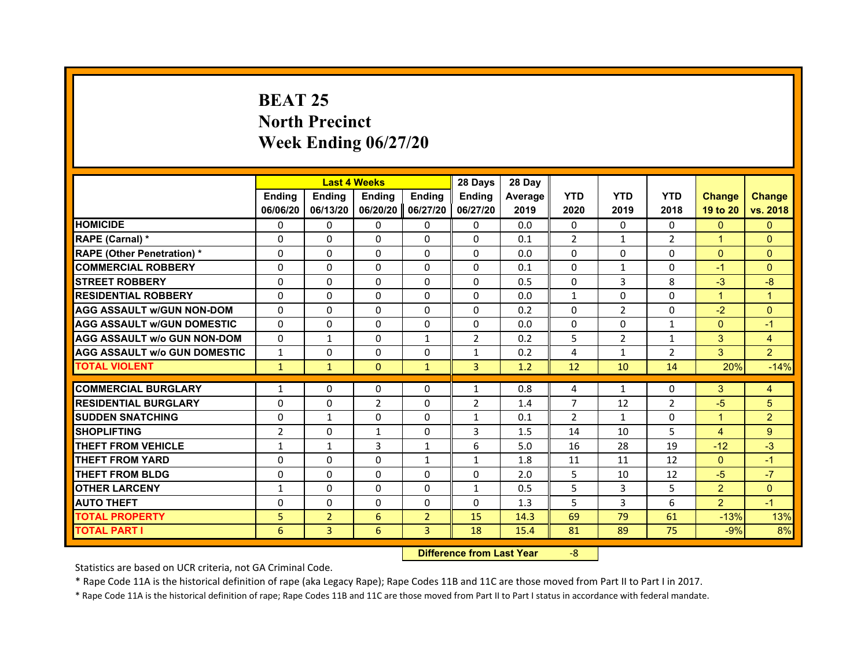# **BEAT 25North Precinct Week Ending 06/27/20**

|                                     |                |                | <b>Last 4 Weeks</b> |                | 28 Days        | 28 Day  |                |                |                |                      |                |
|-------------------------------------|----------------|----------------|---------------------|----------------|----------------|---------|----------------|----------------|----------------|----------------------|----------------|
|                                     | <b>Endina</b>  | Ending         | <b>Ending</b>       | <b>Ending</b>  | Ending         | Average | <b>YTD</b>     | <b>YTD</b>     | <b>YTD</b>     | <b>Change</b>        | <b>Change</b>  |
|                                     | 06/06/20       | 06/13/20       | 06/20/20            | 06/27/20       | 06/27/20       | 2019    | 2020           | 2019           | 2018           | 19 to 20             | vs. 2018       |
| <b>HOMICIDE</b>                     | 0              | $\mathbf{0}$   | 0                   | $\mathbf{0}$   | $\mathbf{0}$   | 0.0     | $\Omega$       | $\Omega$       | $\Omega$       | $\Omega$             | $\mathbf{0}$   |
| RAPE (Carnal) *                     | $\Omega$       | $\Omega$       | $\Omega$            | $\Omega$       | $\Omega$       | 0.1     | $\overline{2}$ | $\mathbf{1}$   | $\overline{2}$ | $\overline{1}$       | $\Omega$       |
| <b>RAPE (Other Penetration) *</b>   | 0              | 0              | 0                   | $\Omega$       | 0              | 0.0     | $\Omega$       | 0              | 0              | $\Omega$             | $\Omega$       |
| <b>COMMERCIAL ROBBERY</b>           | $\Omega$       | $\Omega$       | 0                   | $\Omega$       | $\Omega$       | 0.1     | $\Omega$       | $\mathbf{1}$   | $\Omega$       | $-1$                 | $\Omega$       |
| <b>STREET ROBBERY</b>               | $\Omega$       | $\Omega$       | 0                   | $\Omega$       | $\mathbf{0}$   | 0.5     | $\Omega$       | 3              | 8              | $-3$                 | -8             |
| <b>RESIDENTIAL ROBBERY</b>          | $\Omega$       | $\Omega$       | $\Omega$            | $\Omega$       | $\mathbf{0}$   | 0.0     | $\mathbf{1}$   | $\Omega$       | $\Omega$       | $\mathbf{1}$         | $\overline{1}$ |
| <b>AGG ASSAULT w/GUN NON-DOM</b>    | $\Omega$       | $\Omega$       | $\Omega$            | $\Omega$       | $\Omega$       | 0.2     | 0              | 2              | $\Omega$       | $-2$                 | $\Omega$       |
| <b>AGG ASSAULT W/GUN DOMESTIC</b>   | $\Omega$       | 0              | $\Omega$            | $\Omega$       | 0              | 0.0     | $\Omega$       | $\Omega$       | $\mathbf{1}$   | $\Omega$             | $-1$           |
| <b>AGG ASSAULT W/o GUN NON-DOM</b>  | $\Omega$       | $\mathbf{1}$   | 0                   | 1              | $\overline{2}$ | 0.2     | 5              | $\overline{2}$ | 1              | 3                    | $\overline{4}$ |
| <b>AGG ASSAULT W/o GUN DOMESTIC</b> | $\mathbf{1}$   | $\Omega$       | 0                   | $\Omega$       | $\mathbf{1}$   | 0.2     | 4              | $\mathbf{1}$   | $\overline{2}$ | 3                    | $\overline{2}$ |
| <b>TOTAL VIOLENT</b>                | $\mathbf{1}$   | $\mathbf{1}$   | $\mathbf{0}$        | $\mathbf{1}$   | 3              | 1.2     | 12             | 10             | 14             | 20%                  | $-14%$         |
|                                     |                |                |                     |                |                |         |                |                |                |                      |                |
| <b>COMMERCIAL BURGLARY</b>          | $\mathbf{1}$   | 0              | 0                   | $\Omega$       | 1              | 0.8     | 4              | 1              | 0              | 3                    | 4              |
| <b>RESIDENTIAL BURGLARY</b>         | $\Omega$       | $\Omega$       | $\overline{2}$      | $\Omega$       | $\overline{2}$ | 1.4     | $\overline{7}$ | 12             | $\overline{2}$ | $-5$                 | 5              |
| <b>SUDDEN SNATCHING</b>             | 0              | $\mathbf{1}$   | 0                   | $\Omega$       | $\mathbf{1}$   | 0.1     | $\overline{2}$ | $\mathbf{1}$   | $\Omega$       | $\blacktriangleleft$ | $\overline{2}$ |
| <b>SHOPLIFTING</b>                  | $\overline{2}$ | $\Omega$       | $\mathbf{1}$        | $\Omega$       | 3              | 1.5     | 14             | 10             | 5              | $\overline{4}$       | 9              |
| <b>THEFT FROM VEHICLE</b>           | $\mathbf{1}$   | $\mathbf{1}$   | 3                   | $\mathbf{1}$   | 6              | 5.0     | 16             | 28             | 19             | $-12$                | $-3$           |
| <b>THEFT FROM YARD</b>              | 0              | 0              | 0                   | $\mathbf{1}$   | $\mathbf{1}$   | 1.8     | 11             | 11             | 12             | $\Omega$             | $-1$           |
| <b>THEFT FROM BLDG</b>              | $\Omega$       | $\Omega$       | $\Omega$            | $\Omega$       | $\Omega$       | 2.0     | 5              | 10             | 12             | $-5$                 | $-7$           |
| <b>OTHER LARCENY</b>                | 1              | $\Omega$       | 0                   | $\Omega$       | $\mathbf{1}$   | 0.5     | 5              | 3              | 5              | $\overline{2}$       | $\Omega$       |
| <b>AUTO THEFT</b>                   | $\Omega$       | $\Omega$       | $\Omega$            | $\Omega$       | $\mathbf{0}$   | 1.3     | 5              | 3              | 6              | $\overline{2}$       | $-1$           |
| <b>TOTAL PROPERTY</b>               | 5              | $\overline{2}$ | 6                   | $\overline{2}$ | 15             | 14.3    | 69             | 79             | 61             | $-13%$               | 13%            |
| <b>TOTAL PART I</b>                 | 6              | 3              | 6                   | 3              | 18             | 15.4    | 81             | 89             | 75             | $-9%$                | 8%             |

 **Difference from Last Year**‐8

Statistics are based on UCR criteria, not GA Criminal Code.

\* Rape Code 11A is the historical definition of rape (aka Legacy Rape); Rape Codes 11B and 11C are those moved from Part II to Part I in 2017.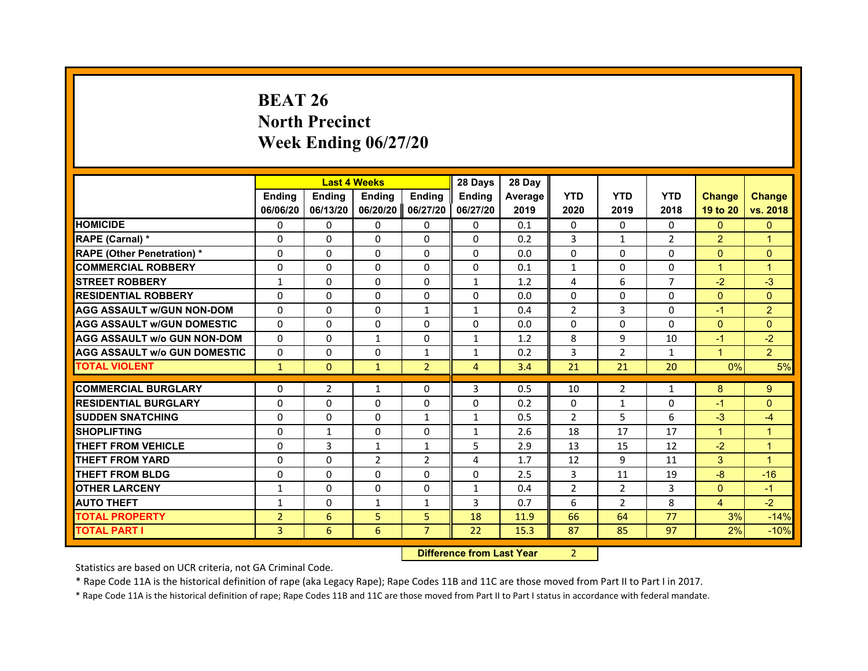# **BEAT 26North PrecinctWeek Ending 06/27/20**

|                                     |                | <b>Last 4 Weeks</b> |               |                | 28 Days        | 28 Day  |                |                |                |                      |                |
|-------------------------------------|----------------|---------------------|---------------|----------------|----------------|---------|----------------|----------------|----------------|----------------------|----------------|
|                                     | <b>Endina</b>  | <b>Ending</b>       | <b>Endina</b> | <b>Endina</b>  | <b>Endina</b>  | Average | <b>YTD</b>     | <b>YTD</b>     | <b>YTD</b>     | <b>Change</b>        | <b>Change</b>  |
|                                     | 06/06/20       | 06/13/20            | 06/20/20      | 06/27/20       | 06/27/20       | 2019    | 2020           | 2019           | 2018           | 19 to 20             | vs. 2018       |
| <b>HOMICIDE</b>                     | 0              | $\Omega$            | $\Omega$      | 0              | $\mathbf{0}$   | 0.1     | $\mathbf{0}$   | 0              | $\mathbf{0}$   | $\mathbf{0}$         | $\mathbf{0}$   |
| RAPE (Carnal) *                     | $\Omega$       | $\Omega$            | $\Omega$      | $\mathbf{0}$   | $\mathbf{0}$   | 0.2     | 3              | $\mathbf{1}$   | $\overline{2}$ | $\overline{2}$       | $\mathbf{1}$   |
| <b>RAPE (Other Penetration)*</b>    | $\Omega$       | $\Omega$            | $\Omega$      | $\mathbf{0}$   | $\mathbf{0}$   | 0.0     | $\mathbf{0}$   | $\mathbf{0}$   | $\Omega$       | $\mathbf{0}$         | $\mathbf{0}$   |
| <b>COMMERCIAL ROBBERY</b>           | 0              | $\Omega$            | 0             | $\Omega$       | $\Omega$       | 0.1     | $\mathbf{1}$   | 0              | $\Omega$       | $\overline{1}$       | $\overline{1}$ |
| <b>STREET ROBBERY</b>               | 1              | $\Omega$            | 0             | $\mathbf{0}$   | $\mathbf{1}$   | 1.2     | 4              | 6              | $\overline{7}$ | $-2$                 | $-3$           |
| <b>RESIDENTIAL ROBBERY</b>          | 0              | $\Omega$            | 0             | $\mathbf{0}$   | 0              | 0.0     | 0              | 0              | 0              | $\mathbf{0}$         | $\mathbf{0}$   |
| <b>AGG ASSAULT W/GUN NON-DOM</b>    | $\Omega$       | $\Omega$            | $\Omega$      | $\mathbf{1}$   | $\mathbf 1$    | 0.4     | $\overline{2}$ | 3              | $\Omega$       | $-1$                 | $\overline{2}$ |
| <b>AGG ASSAULT W/GUN DOMESTIC</b>   | $\Omega$       | $\Omega$            | $\Omega$      | $\Omega$       | $\Omega$       | 0.0     | $\Omega$       | $\Omega$       | $\Omega$       | $\Omega$             | $\Omega$       |
| <b>AGG ASSAULT w/o GUN NON-DOM</b>  | 0              | 0                   | $\mathbf{1}$  | 0              | $\mathbf{1}$   | 1.2     | 8              | 9              | 10             | $-1$                 | $-2$           |
| <b>AGG ASSAULT W/o GUN DOMESTIC</b> | $\Omega$       | $\Omega$            | 0             | $\mathbf{1}$   | $\mathbf{1}$   | 0.2     | 3              | $\overline{2}$ | $\mathbf{1}$   | $\blacktriangleleft$ | $\overline{2}$ |
| <b>TOTAL VIOLENT</b>                | $\mathbf{1}$   | $\mathbf{0}$        | $\mathbf{1}$  | $\overline{2}$ | $\overline{4}$ | 3.4     | 21             | 21             | 20             | 0%                   | 5%             |
|                                     |                |                     |               |                |                |         |                |                |                |                      |                |
| <b>COMMERCIAL BURGLARY</b>          | 0              | 2                   | $\mathbf{1}$  | 0              | 3              | 0.5     | 10             | $\overline{2}$ | $\mathbf{1}$   | 8                    | 9              |
| <b>RESIDENTIAL BURGLARY</b>         | $\Omega$       | $\Omega$            | 0             | $\Omega$       | $\Omega$       | 0.2     | $\mathbf{0}$   | $\mathbf{1}$   | 0              | $-1$                 | $\Omega$       |
| <b>SUDDEN SNATCHING</b>             | $\Omega$       | $\Omega$            | $\Omega$      | $\mathbf{1}$   | $\mathbf{1}$   | 0.5     | $\overline{2}$ | 5              | 6              | $-3$                 | $-4$           |
| <b>SHOPLIFTING</b>                  | $\Omega$       | $\mathbf{1}$        | $\Omega$      | $\Omega$       | $\mathbf{1}$   | 2.6     | 18             | 17             | 17             | $\mathbf{1}$         | $\overline{1}$ |
| <b>THEFT FROM VEHICLE</b>           | $\Omega$       | 3                   | $\mathbf{1}$  | $\mathbf{1}$   | 5              | 2.9     | 13             | 15             | 12             | $-2$                 | $\overline{1}$ |
| <b>THEFT FROM YARD</b>              | 0              | 0                   | 2             | 2              | 4              | 1.7     | 12             | 9              | 11             | 3                    | $\overline{1}$ |
| <b>THEFT FROM BLDG</b>              | $\Omega$       | $\Omega$            | 0             | $\Omega$       | $\mathbf{0}$   | 2.5     | 3              | 11             | 19             | $-8$                 | $-16$          |
| <b>OTHER LARCENY</b>                | $\mathbf{1}$   | $\Omega$            | $\Omega$      | $\Omega$       | $\mathbf{1}$   | 0.4     | $\overline{2}$ | $\overline{2}$ | 3              | $\Omega$             | $-1$           |
| <b>AUTO THEFT</b>                   | $\mathbf{1}$   | $\Omega$            | $\mathbf{1}$  | $\mathbf{1}$   | 3              | 0.7     | 6              | $\overline{2}$ | 8              | $\overline{4}$       | $-2$           |
| <b>TOTAL PROPERTY</b>               | $\overline{2}$ | 6                   | 5             | 5              | 18             | 11.9    | 66             | 64             | 77             | 3%                   | $-14%$         |
| <b>TOTAL PART I</b>                 | 3              | 6                   | 6             | $\overline{7}$ | 22             | 15.3    | 87             | 85             | 97             | 2%                   | $-10%$         |

 **Difference from Last Year**r 2

Statistics are based on UCR criteria, not GA Criminal Code.

\* Rape Code 11A is the historical definition of rape (aka Legacy Rape); Rape Codes 11B and 11C are those moved from Part II to Part I in 2017.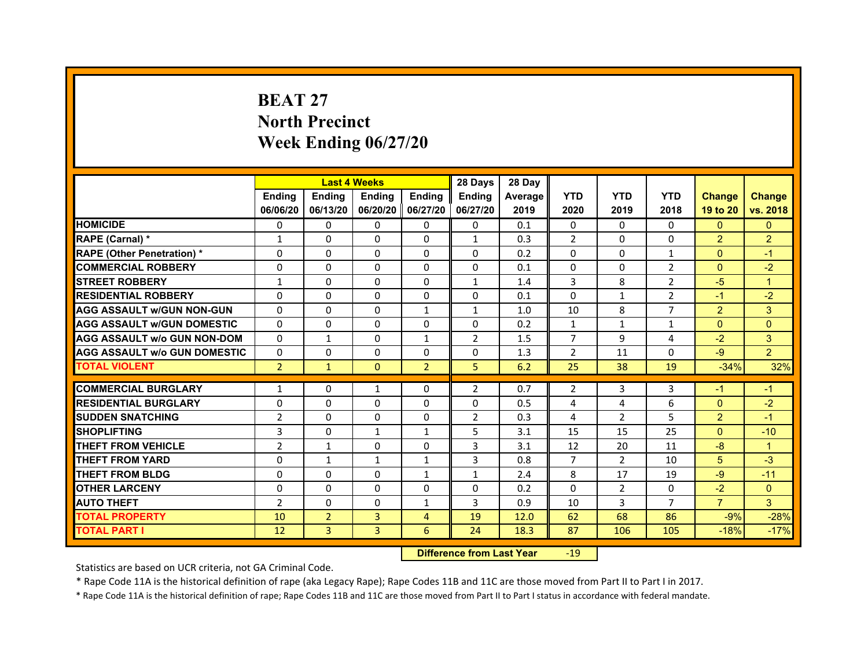# **BEAT 27North PrecinctWeek Ending 06/27/20**

|                                     |                | <b>Last 4 Weeks</b> |                     |                | 28 Days        | 28 Day  |                |                |                |                |                |
|-------------------------------------|----------------|---------------------|---------------------|----------------|----------------|---------|----------------|----------------|----------------|----------------|----------------|
|                                     | <b>Endina</b>  | <b>Endina</b>       | <b>Endina</b>       | <b>Endina</b>  | <b>Endina</b>  | Average | <b>YTD</b>     | <b>YTD</b>     | <b>YTD</b>     | <b>Change</b>  | <b>Change</b>  |
|                                     | 06/06/20       | 06/13/20            | 06/20/20   06/27/20 |                | 06/27/20       | 2019    | 2020           | 2019           | 2018           | 19 to 20       | vs. 2018       |
| <b>HOMICIDE</b>                     | 0              | 0                   | 0                   | 0              | 0              | 0.1     | 0              | 0              | $\Omega$       | $\mathbf{0}$   | $\mathbf{0}$   |
| RAPE (Carnal) *                     | $\mathbf{1}$   | $\Omega$            | $\Omega$            | $\Omega$       | $\mathbf{1}$   | 0.3     | $\overline{2}$ | $\Omega$       | $\Omega$       | $\overline{2}$ | $\overline{2}$ |
| <b>RAPE (Other Penetration) *</b>   | 0              | $\Omega$            | $\Omega$            | $\Omega$       | $\Omega$       | 0.2     | $\Omega$       | $\Omega$       | $\mathbf{1}$   | $\Omega$       | $-1$           |
| <b>COMMERCIAL ROBBERY</b>           | 0              | 0                   | $\Omega$            | $\Omega$       | $\Omega$       | 0.1     | $\Omega$       | $\Omega$       | $\overline{2}$ | $\Omega$       | $-2$           |
| <b>STREET ROBBERY</b>               | $\mathbf{1}$   | $\Omega$            | 0                   | $\Omega$       | $\mathbf{1}$   | 1.4     | 3              | 8              | $\overline{2}$ | $-5$           | $\overline{1}$ |
| <b>RESIDENTIAL ROBBERY</b>          | 0              | $\Omega$            | 0                   | 0              | 0              | 0.1     | 0              | $\mathbf{1}$   | $\overline{2}$ | $-1$           | $-2$           |
| <b>AGG ASSAULT w/GUN NON-GUN</b>    | $\Omega$       | $\mathbf 0$         | $\Omega$            | $\mathbf{1}$   | $\mathbf{1}$   | 1.0     | 10             | 8              | $\overline{7}$ | $\overline{2}$ | 3              |
| <b>AGG ASSAULT W/GUN DOMESTIC</b>   | $\Omega$       | $\Omega$            | $\Omega$            | 0              | $\Omega$       | 0.2     | $\mathbf{1}$   | $\mathbf{1}$   | $\mathbf{1}$   | $\Omega$       | $\Omega$       |
| <b>AGG ASSAULT W/o GUN NON-DOM</b>  | $\Omega$       | $\mathbf{1}$        | $\Omega$            | $\mathbf{1}$   | $\overline{2}$ | 1.5     | $\overline{7}$ | 9              | $\overline{a}$ | $-2$           | 3              |
| <b>AGG ASSAULT W/o GUN DOMESTIC</b> | $\Omega$       | $\Omega$            | $\Omega$            | $\Omega$       | $\Omega$       | 1.3     | $\overline{2}$ | 11             | $\Omega$       | $-9$           | $\overline{2}$ |
| <b>TOTAL VIOLENT</b>                | $\overline{2}$ | $\mathbf{1}$        | $\mathbf{0}$        | $\overline{2}$ | 5              | 6.2     | 25             | 38             | 19             | $-34%$         | 32%            |
|                                     |                |                     |                     |                |                |         |                |                |                |                |                |
| <b>COMMERCIAL BURGLARY</b>          | 1              | 0                   | $\mathbf{1}$        | 0              | $\overline{2}$ | 0.7     | $\overline{2}$ | 3              | 3              | $-1$           | $-1$           |
| <b>RESIDENTIAL BURGLARY</b>         | 0              | $\Omega$            | $\Omega$            | $\Omega$       | $\Omega$       | 0.5     | 4              | 4              | 6              | $\Omega$       | $-2$           |
| <b>SUDDEN SNATCHING</b>             | $\overline{2}$ | 0                   | $\Omega$            | $\Omega$       | $\overline{2}$ | 0.3     | 4              | $\overline{2}$ | 5              | $\overline{2}$ | $-1$           |
| <b>SHOPLIFTING</b>                  | 3              | 0                   | $\mathbf{1}$        | $\mathbf{1}$   | 5              | 3.1     | 15             | 15             | 25             | $\Omega$       | $-10$          |
| <b>THEFT FROM VEHICLE</b>           | $\overline{2}$ | $\mathbf{1}$        | $\Omega$            | $\Omega$       | 3              | 3.1     | 12             | 20             | 11             | $-8$           | $\overline{1}$ |
| <b>THEFT FROM YARD</b>              | 0              | $\mathbf{1}$        | $\mathbf{1}$        | $\mathbf{1}$   | 3              | 0.8     | $\overline{7}$ | $\overline{2}$ | 10             | 5              | $-3$           |
| <b>THEFT FROM BLDG</b>              | 0              | 0                   | 0                   | 1              | 1              | 2.4     | 8              | 17             | 19             | -9             | $-11$          |
| <b>OTHER LARCENY</b>                | 0              | $\Omega$            | $\Omega$            | $\Omega$       | $\Omega$       | 0.2     | $\Omega$       | $\overline{2}$ | $\Omega$       | $-2$           | $\Omega$       |
| <b>AUTO THEFT</b>                   | $\overline{2}$ | 0                   | $\Omega$            | $\mathbf{1}$   | 3              | 0.9     | 10             | 3              | $\overline{7}$ | $\overline{7}$ | 3              |
| <b>TOTAL PROPERTY</b>               | 10             | $\overline{2}$      | 3                   | 4              | 19             | 12.0    | 62             | 68             | 86             | $-9%$          | $-28%$         |
| <b>TOTAL PART I</b>                 | 12             | 3                   | 3                   | 6              | 24             | 18.3    | 87             | 106            | 105            | $-18%$         | $-17%$         |

 **Difference from Last Year**r -19

Statistics are based on UCR criteria, not GA Criminal Code.

\* Rape Code 11A is the historical definition of rape (aka Legacy Rape); Rape Codes 11B and 11C are those moved from Part II to Part I in 2017.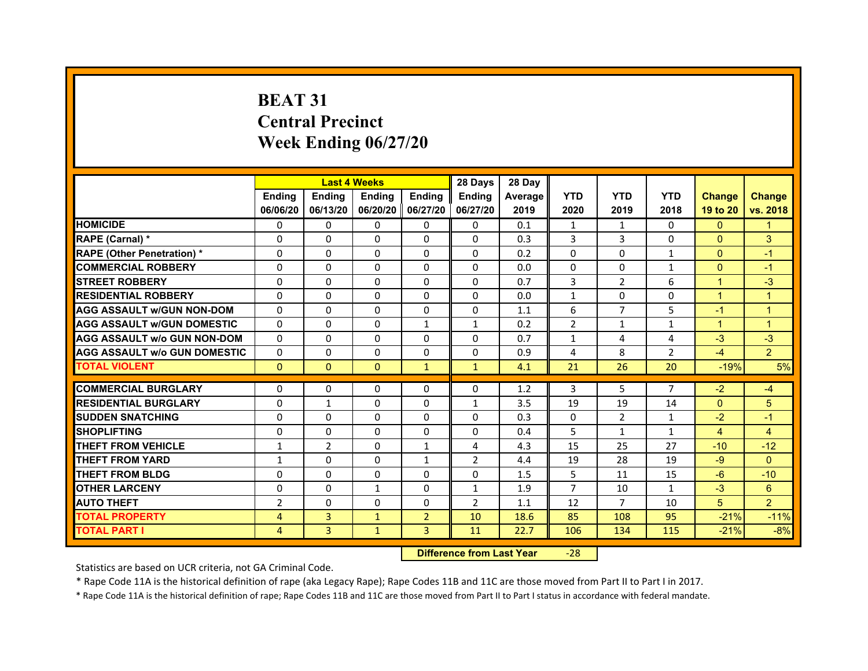# **BEAT 31Central PrecinctWeek Ending 06/27/20**

|                                     |                | <b>Last 4 Weeks</b> |                     |                | 28 Days        | 28 Day  |                |                |              |                      |                |
|-------------------------------------|----------------|---------------------|---------------------|----------------|----------------|---------|----------------|----------------|--------------|----------------------|----------------|
|                                     | <b>Endina</b>  | <b>Endina</b>       | <b>Endina</b>       | <b>Endina</b>  | <b>Endina</b>  | Average | <b>YTD</b>     | <b>YTD</b>     | <b>YTD</b>   | <b>Change</b>        | <b>Change</b>  |
|                                     | 06/06/20       | 06/13/20            | 06/20/20   06/27/20 |                | 06/27/20       | 2019    | 2020           | 2019           | 2018         | 19 to 20             | vs. 2018       |
| <b>HOMICIDE</b>                     | 0              | 0                   | $\Omega$            | 0              | 0              | 0.1     | $\mathbf{1}$   | $\mathbf{1}$   | $\Omega$     | $\mathbf{0}$         | 1              |
| RAPE (Carnal) *                     | $\Omega$       | $\Omega$            | $\Omega$            | $\Omega$       | $\Omega$       | 0.3     | 3              | 3              | $\Omega$     | $\Omega$             | 3              |
| <b>RAPE (Other Penetration)*</b>    | $\Omega$       | $\Omega$            | $\Omega$            | $\Omega$       | $\Omega$       | 0.2     | $\Omega$       | $\Omega$       | $\mathbf{1}$ | $\Omega$             | $-1$           |
| <b>COMMERCIAL ROBBERY</b>           | 0              | 0                   | $\Omega$            | 0              | 0              | 0.0     | $\Omega$       | 0              | $\mathbf{1}$ | $\Omega$             | $-1$           |
| <b>STREET ROBBERY</b>               | 0              | $\Omega$            | 0                   | $\Omega$       | 0              | 0.7     | 3              | 2              | 6            | 1                    | $-3$           |
| <b>RESIDENTIAL ROBBERY</b>          | 0              | $\Omega$            | $\Omega$            | $\Omega$       | $\Omega$       | 0.0     | $\mathbf{1}$   | $\Omega$       | $\Omega$     | $\overline{1}$       | $\overline{1}$ |
| <b>AGG ASSAULT w/GUN NON-DOM</b>    | $\Omega$       | $\Omega$            | $\Omega$            | $\Omega$       | $\Omega$       | 1.1     | 6              | $\overline{7}$ | 5            | $-1$                 | $\mathbf{1}$   |
| <b>AGG ASSAULT W/GUN DOMESTIC</b>   | $\Omega$       | $\Omega$            | $\Omega$            | $\mathbf{1}$   | $\mathbf{1}$   | 0.2     | $\mathfrak{p}$ | $\mathbf{1}$   | $\mathbf{1}$ | $\blacktriangleleft$ | $\overline{1}$ |
| <b>AGG ASSAULT W/o GUN NON-DOM</b>  | $\Omega$       | 0                   | $\Omega$            | 0              | $\Omega$       | 0.7     | 1              | 4              | 4            | $-3$                 | $-3$           |
| <b>AGG ASSAULT W/o GUN DOMESTIC</b> | 0              | $\Omega$            | 0                   | 0              | 0              | 0.9     | 4              | 8              | 2            | $-4$                 | $\overline{2}$ |
| <b>TOTAL VIOLENT</b>                | $\Omega$       | $\mathbf{0}$        | $\mathbf{0}$        | $\mathbf{1}$   | $\mathbf{1}$   | 4.1     | 21             | 26             | 20           | $-19%$               | 5%             |
|                                     |                |                     |                     |                |                |         |                |                |              |                      |                |
| <b>COMMERCIAL BURGLARY</b>          | 0              | 0                   | $\Omega$            | 0              | $\Omega$       | 1.2     | 3              | 5              | 7            | $-2$                 | $-4$           |
| <b>RESIDENTIAL BURGLARY</b>         | 0              | $\mathbf{1}$        | 0                   | $\Omega$       | $\mathbf{1}$   | 3.5     | 19             | 19             | 14           | $\mathbf{0}$         | 5              |
| <b>SUDDEN SNATCHING</b>             | 0              | $\Omega$            | $\Omega$            | $\Omega$       | $\Omega$       | 0.3     | $\Omega$       | 2              | $\mathbf{1}$ | $-2$                 | $-1$           |
| <b>SHOPLIFTING</b>                  | $\Omega$       | $\Omega$            | $\Omega$            | $\mathbf{0}$   | $\Omega$       | 0.4     | 5              | $\mathbf{1}$   | $\mathbf{1}$ | $\overline{4}$       | $\overline{4}$ |
| <b>THEFT FROM VEHICLE</b>           | $\mathbf{1}$   | $\overline{2}$      | 0                   | $\mathbf{1}$   | 4              | 4.3     | 15             | 25             | 27           | $-10$                | $-12$          |
| <b>THEFT FROM YARD</b>              | 1              | 0                   | $\Omega$            | $\mathbf{1}$   | $\overline{2}$ | 4.4     | 19             | 28             | 19           | $-9$                 | $\Omega$       |
| <b>THEFT FROM BLDG</b>              | $\Omega$       | $\Omega$            | $\Omega$            | $\mathbf{0}$   | $\Omega$       | 1.5     | 5              | 11             | 15           | $-6$                 | $-10$          |
| <b>OTHER LARCENY</b>                | 0              | 0                   | $\mathbf{1}$        | $\Omega$       | $\mathbf{1}$   | 1.9     | 7              | 10             | 1            | $-3$                 | 6              |
| <b>AUTO THEFT</b>                   | $\overline{2}$ | $\mathbf 0$         | $\Omega$            | $\Omega$       | $\overline{2}$ | 1.1     | 12             | 7              | 10           | 5                    | $\overline{2}$ |
| <b>TOTAL PROPERTY</b>               | $\overline{4}$ | 3                   | $\mathbf{1}$        | $\overline{2}$ | 10             | 18.6    | 85             | 108            | 95           | $-21%$               | $-11%$         |
| <b>TOTAL PART I</b>                 | 4              | 3                   | $\mathbf{1}$        | 3              | 11             | 22.7    | 106            | 134            | 115          | $-21%$               | $-8%$          |

 **Difference from Last Year**‐28

Statistics are based on UCR criteria, not GA Criminal Code.

\* Rape Code 11A is the historical definition of rape (aka Legacy Rape); Rape Codes 11B and 11C are those moved from Part II to Part I in 2017.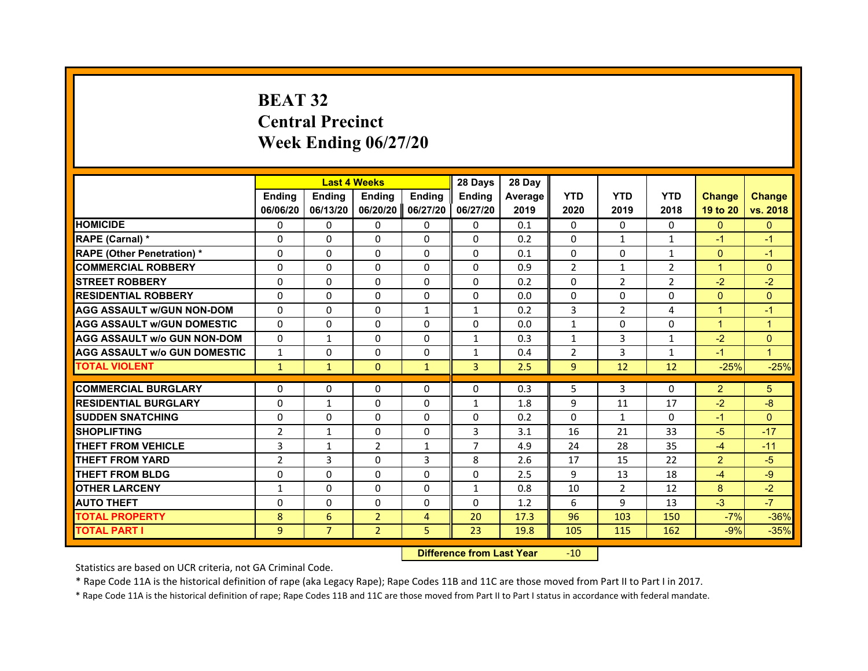# **BEAT 32Central Precinct Week Ending 06/27/20**

|                                     |                | <b>Last 4 Weeks</b> |                |                   | 28 Days       | 28 Day         |                |                |                |                |               |
|-------------------------------------|----------------|---------------------|----------------|-------------------|---------------|----------------|----------------|----------------|----------------|----------------|---------------|
|                                     | <b>Endina</b>  | <b>Endina</b>       | <b>Endina</b>  | <b>Endina</b>     | <b>Ending</b> | <b>Average</b> | <b>YTD</b>     | <b>YTD</b>     | <b>YTD</b>     | <b>Change</b>  | <b>Change</b> |
|                                     | 06/06/20       | 06/13/20            |                | 06/20/20 06/27/20 | 06/27/20      | 2019           | 2020           | 2019           | 2018           | 19 to 20       | vs. 2018      |
| <b>HOMICIDE</b>                     | $\Omega$       | $\Omega$            | <sup>0</sup>   | 0                 | 0             | 0.1            | $\Omega$       | $\Omega$       | $\Omega$       | $\Omega$       | $\Omega$      |
| RAPE (Carnal) *                     | $\Omega$       | $\Omega$            | $\Omega$       | $\Omega$          | $\Omega$      | 0.2            | $\Omega$       | $\mathbf{1}$   | $\mathbf{1}$   | $-1$           | $-1$          |
| <b>RAPE (Other Penetration)*</b>    | $\Omega$       | $\Omega$            | $\Omega$       | $\Omega$          | $\Omega$      | 0.1            | $\Omega$       | $\Omega$       | $\mathbf{1}$   | $\Omega$       | $-1$          |
| <b>COMMERCIAL ROBBERY</b>           | $\Omega$       | $\Omega$            | $\Omega$       | $\Omega$          | $\Omega$      | 0.9            | $\overline{2}$ | $\mathbf{1}$   | $\overline{2}$ | $\mathbf{1}$   | $\Omega$      |
| <b>STREET ROBBERY</b>               | $\Omega$       | 0                   | 0              | 0                 | 0             | 0.2            | $\Omega$       | $\overline{2}$ | $\overline{2}$ | $-2$           | $-2$          |
| <b>RESIDENTIAL ROBBERY</b>          | $\Omega$       | $\Omega$            | $\Omega$       | $\Omega$          | $\Omega$      | 0.0            | $\Omega$       | $\Omega$       | 0              | $\Omega$       | $\Omega$      |
| <b>AGG ASSAULT w/GUN NON-DOM</b>    | $\Omega$       | $\Omega$            | $\Omega$       | $\mathbf{1}$      | $\mathbf{1}$  | 0.2            | 3              | $\overline{2}$ | 4              | $\mathbf{1}$   | $-1$          |
| <b>AGG ASSAULT W/GUN DOMESTIC</b>   | $\Omega$       | $\Omega$            | $\Omega$       | $\Omega$          | $\Omega$      | 0.0            | $\mathbf{1}$   | 0              | $\Omega$       | $\mathbf{1}$   | $\mathbf{1}$  |
| <b>AGG ASSAULT W/o GUN NON-DOM</b>  | $\Omega$       | $\mathbf{1}$        | $\Omega$       | 0                 | 1             | 0.3            | $\mathbf{1}$   | 3              | $\mathbf{1}$   | $-2$           | $\Omega$      |
| <b>AGG ASSAULT W/o GUN DOMESTIC</b> | 1              | 0                   | 0              | 0                 | 1             | 0.4            | 2              | 3              | $\mathbf{1}$   | $-1$           | $\mathbf{1}$  |
| <b>TOTAL VIOLENT</b>                | $\mathbf{1}$   | $\mathbf{1}$        | $\Omega$       | $\mathbf{1}$      | 3             | 2.5            | 9              | 12             | 12             | $-25%$         | $-25%$        |
|                                     |                |                     |                |                   |               |                |                |                |                |                |               |
| <b>COMMERCIAL BURGLARY</b>          | $\Omega$       | 0                   | $\Omega$       | 0                 | $\Omega$      | 0.3            | 5              | 3              | $\Omega$       | $\overline{2}$ | 5             |
| <b>RESIDENTIAL BURGLARY</b>         | $\Omega$       | $\mathbf{1}$        | $\Omega$       | 0                 | $\mathbf{1}$  | 1.8            | 9              | 11             | 17             | $-2$           | -8            |
| <b>SUDDEN SNATCHING</b>             | $\Omega$       | $\Omega$            | $\Omega$       | $\Omega$          | $\Omega$      | 0.2            | $\Omega$       | $\mathbf{1}$   | 0              | $-1$           | $\Omega$      |
| <b>SHOPLIFTING</b>                  | $\overline{2}$ | $\mathbf{1}$        | $\Omega$       | $\Omega$          | 3             | 3.1            | 16             | 21             | 33             | $-5$           | $-17$         |
| <b>THEFT FROM VEHICLE</b>           | 3              | $\mathbf{1}$        | $\mathcal{P}$  | $\mathbf{1}$      | 7             | 4.9            | 24             | 28             | 35             | $-4$           | $-11$         |
| <b>THEFT FROM YARD</b>              | $\overline{2}$ | 3                   | $\Omega$       | 3                 | 8             | 2.6            | 17             | 15             | 22             | $\overline{2}$ | $-5$          |
| <b>THEFT FROM BLDG</b>              | $\Omega$       | 0                   | 0              | 0                 | 0             | 2.5            | 9              | 13             | 18             | $-4$           | $-9$          |
| <b>OTHER LARCENY</b>                | $\mathbf{1}$   | $\Omega$            | $\Omega$       | $\Omega$          | $\mathbf{1}$  | 0.8            | 10             | $\overline{2}$ | 12             | 8              | $-2$          |
| <b>AUTO THEFT</b>                   | $\Omega$       | $\Omega$            | $\Omega$       | $\Omega$          | $\Omega$      | 1.2            | 6              | 9              | 13             | $-3$           | $-7$          |
| <b>TOTAL PROPERTY</b>               | 8              | 6                   | $\overline{2}$ | $\overline{4}$    | 20            | 17.3           | 96             | 103            | 150            | $-7%$          | $-36%$        |
| <b>TOTAL PART I</b>                 | 9              | $\overline{7}$      | $\overline{2}$ | 5.                | 23            | 19.8           | 105            | 115            | 162            | $-9%$          | $-35%$        |

 **Difference from Last Year**r -10

Statistics are based on UCR criteria, not GA Criminal Code.

\* Rape Code 11A is the historical definition of rape (aka Legacy Rape); Rape Codes 11B and 11C are those moved from Part II to Part I in 2017.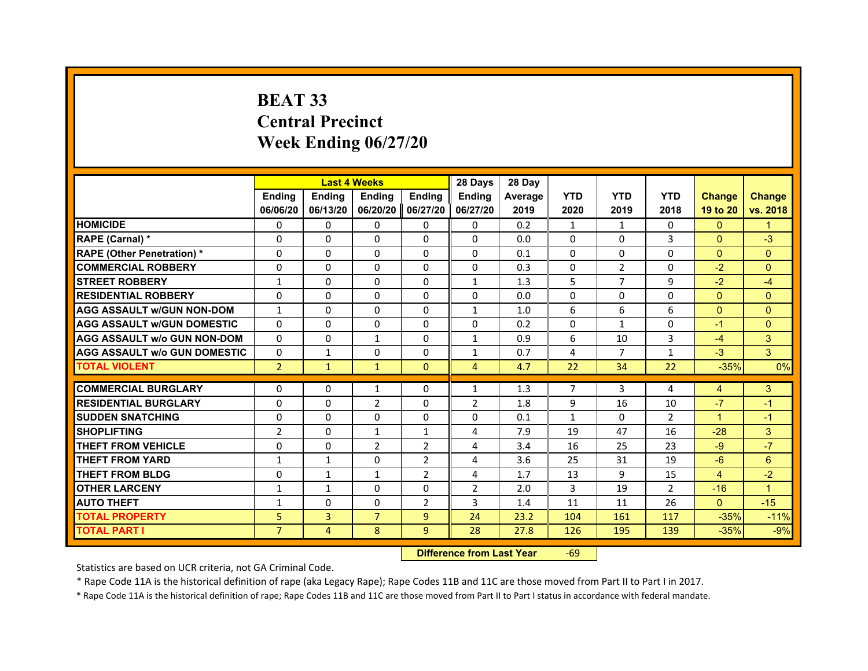# **BEAT 33Central PrecinctWeek Ending 06/27/20**

|                                     |                | <b>Last 4 Weeks</b> |                |                | 28 Days        | 28 Day  |                |              |                |                      |               |
|-------------------------------------|----------------|---------------------|----------------|----------------|----------------|---------|----------------|--------------|----------------|----------------------|---------------|
|                                     | <b>Endina</b>  | <b>Ending</b>       | Ending         | <b>Endina</b>  | <b>Endina</b>  | Average | <b>YTD</b>     | <b>YTD</b>   | <b>YTD</b>     | <b>Change</b>        | <b>Change</b> |
|                                     | 06/06/20       | 06/13/20            | 06/20/20       | 06/27/20       | 06/27/20       | 2019    | 2020           | 2019         | 2018           | 19 to 20             | vs. 2018      |
| <b>HOMICIDE</b>                     | 0              | 0                   | 0              | 0              | 0              | 0.2     | $\mathbf{1}$   | $\mathbf{1}$ | $\Omega$       | $\mathbf{0}$         | 1             |
| RAPE (Carnal) *                     | $\Omega$       | $\Omega$            | $\Omega$       | $\Omega$       | $\Omega$       | 0.0     | $\Omega$       | $\Omega$     | 3              | $\Omega$             | $-3$          |
| <b>RAPE (Other Penetration) *</b>   | $\Omega$       | $\Omega$            | 0              | $\Omega$       | $\Omega$       | 0.1     | $\Omega$       | $\Omega$     | $\Omega$       | $\Omega$             | $\Omega$      |
| <b>COMMERCIAL ROBBERY</b>           | 0              | 0                   | 0              | 0              | 0              | 0.3     | 0              | 2            | 0              | $-2$                 | $\mathbf{0}$  |
| <b>STREET ROBBERY</b>               | $\mathbf{1}$   | 0                   | 0              | 0              | $\mathbf{1}$   | 1.3     | 5              | 7            | 9              | $-2$                 | $-4$          |
| <b>RESIDENTIAL ROBBERY</b>          | 0              | $\Omega$            | $\Omega$       | 0              | 0              | 0.0     | $\Omega$       | $\Omega$     | $\Omega$       | $\Omega$             | $\Omega$      |
| <b>AGG ASSAULT w/GUN NON-DOM</b>    | $\mathbf{1}$   | $\Omega$            | $\Omega$       | $\Omega$       | $\mathbf{1}$   | 1.0     | 6              | 6            | 6              | $\Omega$             | $\mathbf{0}$  |
| <b>AGG ASSAULT W/GUN DOMESTIC</b>   | $\Omega$       | $\Omega$            | $\Omega$       | $\Omega$       | $\Omega$       | 0.2     | $\Omega$       | $\mathbf{1}$ | $\Omega$       | $-1$                 | $\mathbf{0}$  |
| <b>AGG ASSAULT W/o GUN NON-DOM</b>  | $\Omega$       | 0                   | 1              | 0              | 1              | 0.9     | 6              | 10           | 3              | $-4$                 | 3             |
| <b>AGG ASSAULT w/o GUN DOMESTIC</b> | $\Omega$       | $\mathbf{1}$        | 0              | 0              | 1              | 0.7     | $\overline{4}$ | 7            | $\mathbf{1}$   | $-3$                 | 3             |
| <b>TOTAL VIOLENT</b>                | $\overline{2}$ | $\mathbf{1}$        | $\mathbf{1}$   | $\Omega$       | $\overline{4}$ | 4.7     | 22             | 34           | 22             | $-35%$               | 0%            |
|                                     |                |                     |                |                |                |         |                |              |                |                      |               |
| <b>COMMERCIAL BURGLARY</b>          | 0              | 0                   | 1              | 0              | 1              | 1.3     | 7              | 3            | 4              | 4                    | 3             |
| <b>RESIDENTIAL BURGLARY</b>         | $\Omega$       | 0                   | $\overline{2}$ | 0              | $\overline{2}$ | 1.8     | 9              | 16           | 10             | $-7$                 | $-1$          |
| <b>SUDDEN SNATCHING</b>             | 0              | $\Omega$            | 0              | 0              | $\Omega$       | 0.1     | $\mathbf{1}$   | $\Omega$     | $\overline{2}$ | $\blacktriangleleft$ | $-1$          |
| <b>SHOPLIFTING</b>                  | $\overline{2}$ | $\Omega$            | $\mathbf{1}$   | $\mathbf{1}$   | 4              | 7.9     | 19             | 47           | 16             | $-28$                | 3             |
| <b>THEFT FROM VEHICLE</b>           | 0              | 0                   | $\overline{2}$ | $\overline{2}$ | 4              | 3.4     | 16             | 25           | 23             | $-9$                 | $-7$          |
| <b>THEFT FROM YARD</b>              | $\mathbf{1}$   | $\mathbf{1}$        | 0              | $\overline{2}$ | $\overline{a}$ | 3.6     | 25             | 31           | 19             | -6                   | 6             |
| <b>THEFT FROM BLDG</b>              | 0              | 1                   | 1              | $\overline{2}$ | 4              | 1.7     | 13             | 9            | 15             | $\overline{4}$       | $-2$          |
| <b>OTHER LARCENY</b>                | $\mathbf{1}$   | $\mathbf{1}$        | 0              | 0              | $\overline{2}$ | 2.0     | 3              | 19           | $\mathfrak{p}$ | $-16$                | 1             |
| <b>AUTO THEFT</b>                   | $\mathbf{1}$   | $\mathbf 0$         | 0              | $\overline{2}$ | 3              | 1.4     | 11             | 11           | 26             | $\Omega$             | $-15$         |
| <b>TOTAL PROPERTY</b>               | 5              | $\overline{3}$      | $\overline{7}$ | 9              | 24             | 23.2    | 104            | 161          | 117            | $-35%$               | $-11%$        |
| <b>TOTAL PART I</b>                 | $\overline{7}$ | 4                   | 8              | 9              | 28             | 27.8    | 126            | 195          | 139            | $-35%$               | $-9%$         |

#### **Difference from Last Year**r -69

Statistics are based on UCR criteria, not GA Criminal Code.

\* Rape Code 11A is the historical definition of rape (aka Legacy Rape); Rape Codes 11B and 11C are those moved from Part II to Part I in 2017.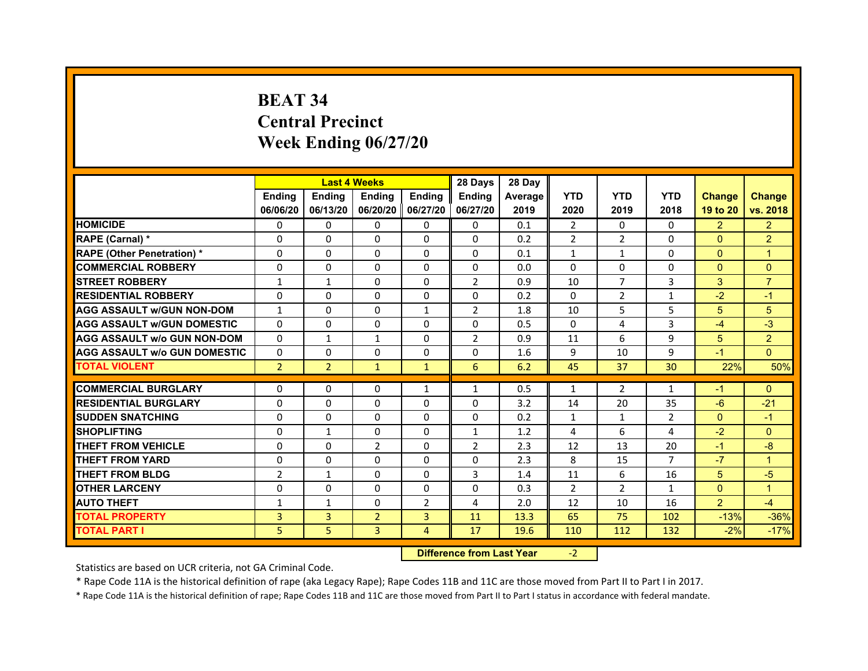# **BEAT 34Central Precinct Week Ending 06/27/20**

|                                     |                | <b>Last 4 Weeks</b> |                     |                | 28 Days        | 28 Day  |                |                |                |                |                |
|-------------------------------------|----------------|---------------------|---------------------|----------------|----------------|---------|----------------|----------------|----------------|----------------|----------------|
|                                     | <b>Endina</b>  | <b>Ending</b>       | <b>Endina</b>       | <b>Endina</b>  | <b>Endina</b>  | Average | <b>YTD</b>     | <b>YTD</b>     | <b>YTD</b>     | <b>Change</b>  | <b>Change</b>  |
|                                     | 06/06/20       | 06/13/20            | 06/20/20   06/27/20 |                | 06/27/20       | 2019    | 2020           | 2019           | 2018           | 19 to 20       | vs. 2018       |
| <b>HOMICIDE</b>                     | $\mathbf{0}$   | 0                   | $\Omega$            | 0              | 0              | 0.1     | $\overline{2}$ | $\Omega$       | $\Omega$       | $\overline{2}$ | $\overline{2}$ |
| RAPE (Carnal) *                     | $\Omega$       | $\Omega$            | $\Omega$            | $\Omega$       | $\mathbf{0}$   | 0.2     | $\overline{2}$ | $\overline{2}$ | $\Omega$       | $\Omega$       | $\overline{2}$ |
| <b>RAPE (Other Penetration)*</b>    | 0              | $\Omega$            | $\Omega$            | $\mathbf{0}$   | $\Omega$       | 0.1     | $\mathbf{1}$   | $\mathbf{1}$   | $\Omega$       | $\Omega$       | $\mathbf 1$    |
| <b>COMMERCIAL ROBBERY</b>           | 0              | 0                   | $\Omega$            | 0              | $\Omega$       | 0.0     | $\Omega$       | 0              | $\Omega$       | $\mathbf{0}$   | $\Omega$       |
| <b>STREET ROBBERY</b>               | $\mathbf{1}$   | $\mathbf{1}$        | 0                   | $\mathbf{0}$   | $\overline{2}$ | 0.9     | 10             | 7              | 3              | 3              | $\overline{7}$ |
| <b>RESIDENTIAL ROBBERY</b>          | 0              | $\Omega$            | 0                   | $\Omega$       | $\Omega$       | 0.2     | $\Omega$       | 2              | $\mathbf{1}$   | $-2$           | $-1$           |
| <b>AGG ASSAULT w/GUN NON-DOM</b>    | $\mathbf{1}$   | $\Omega$            | $\Omega$            | $\mathbf{1}$   | $\overline{2}$ | 1.8     | 10             | 5              | 5              | 5              | 5              |
| <b>AGG ASSAULT W/GUN DOMESTIC</b>   | 0              | 0                   | $\Omega$            | 0              | $\Omega$       | 0.5     | $\Omega$       | 4              | 3              | $-4$           | $-3$           |
| AGG ASSAULT w/o GUN NON-DOM         | $\Omega$       | 1                   | $\mathbf{1}$        | $\Omega$       | $\overline{2}$ | 0.9     | 11             | 6              | 9              | 5              | $\overline{2}$ |
| <b>AGG ASSAULT W/o GUN DOMESTIC</b> | $\Omega$       | 0                   | $\Omega$            | 0              | $\Omega$       | 1.6     | 9              | 10             | 9              | $-1$           | $\Omega$       |
| <b>TOTAL VIOLENT</b>                | $\overline{2}$ | $\overline{2}$      | $\mathbf{1}$        | $\mathbf{1}$   | 6              | 6.2     | 45             | 37             | 30             | 22%            | 50%            |
|                                     |                |                     |                     |                |                |         |                |                |                |                |                |
| <b>COMMERCIAL BURGLARY</b>          | 0              | 0                   | 0                   | $\mathbf{1}$   | $\mathbf{1}$   | 0.5     | $\mathbf{1}$   | 2              | $\mathbf{1}$   | $-1$           | $\Omega$       |
| <b>RESIDENTIAL BURGLARY</b>         | 0              | 0                   | 0                   | 0              | 0              | 3.2     | 14             | 20             | 35             | $-6$           | $-21$          |
| <b>SUDDEN SNATCHING</b>             | 0              | $\Omega$            | $\Omega$            | $\Omega$       | $\Omega$       | 0.2     | $\mathbf{1}$   | $\mathbf{1}$   | $\overline{2}$ | $\Omega$       | $-1$           |
| <b>SHOPLIFTING</b>                  | $\Omega$       | $\mathbf{1}$        | $\Omega$            | $\mathbf{0}$   | $\mathbf{1}$   | 1.2     | 4              | 6              | $\overline{a}$ | $-2$           | $\Omega$       |
| THEFT FROM VEHICLE                  | $\Omega$       | $\Omega$            | $\overline{2}$      | 0              | $\overline{2}$ | 2.3     | 12             | 13             | 20             | $-1$           | $-8$           |
| <b>THEFT FROM YARD</b>              | 0              | 0                   | $\Omega$            | $\Omega$       | $\Omega$       | 2.3     | 8              | 15             | $\overline{7}$ | $-7$           | $\mathbf 1$    |
| <b>THEFT FROM BLDG</b>              | $\overline{2}$ | $\mathbf{1}$        | 0                   | $\Omega$       | 3              | 1.4     | 11             | 6              | 16             | 5              | $-5$           |
| <b>OTHER LARCENY</b>                | 0              | $\Omega$            | $\Omega$            | $\Omega$       | $\Omega$       | 0.3     | $\overline{2}$ | 2              | $\mathbf{1}$   | $\Omega$       | 1              |
| <b>AUTO THEFT</b>                   | $\mathbf{1}$   | $\mathbf{1}$        | $\Omega$            | $\overline{2}$ | 4              | 2.0     | 12             | 10             | 16             | $\overline{2}$ | $-4$           |
| <b>TOTAL PROPERTY</b>               | 3              | 3                   | $\overline{2}$      | 3              | 11             | 13.3    | 65             | 75             | 102            | $-13%$         | $-36%$         |
| <b>TOTAL PART I</b>                 | 5              | 5                   | 3                   | $\overline{4}$ | 17             | 19.6    | 110            | 112            | 132            | $-2%$          | $-17%$         |

 **Difference from Last Year**‐2

Statistics are based on UCR criteria, not GA Criminal Code.

\* Rape Code 11A is the historical definition of rape (aka Legacy Rape); Rape Codes 11B and 11C are those moved from Part II to Part I in 2017.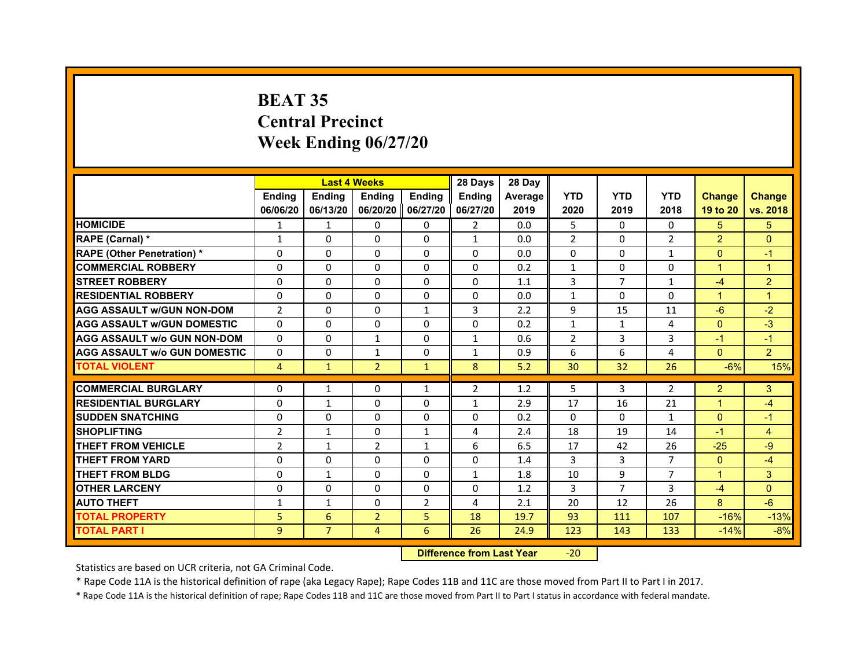# **BEAT 35Central PrecinctWeek Ending 06/27/20**

|                                     |                | <b>Last 4 Weeks</b> |                     |                | 28 Days       | 28 Day  |                |              |                |                |                |
|-------------------------------------|----------------|---------------------|---------------------|----------------|---------------|---------|----------------|--------------|----------------|----------------|----------------|
|                                     | <b>Endina</b>  | <b>Endina</b>       | <b>Endina</b>       | <b>Endina</b>  | <b>Endina</b> | Average | <b>YTD</b>     | <b>YTD</b>   | <b>YTD</b>     | <b>Change</b>  | <b>Change</b>  |
|                                     | 06/06/20       | 06/13/20            | 06/20/20   06/27/20 |                | 06/27/20      | 2019    | 2020           | 2019         | 2018           | 19 to 20       | vs. 2018       |
| <b>HOMICIDE</b>                     | 1              | 1                   | $\Omega$            | 0              | 2             | 0.0     | 5              | $\Omega$     | $\Omega$       | 5.             | 5.             |
| RAPE (Carnal) *                     | $\mathbf{1}$   | $\Omega$            | $\Omega$            | $\Omega$       | $\mathbf{1}$  | 0.0     | $\overline{2}$ | $\Omega$     | $\overline{2}$ | $\overline{2}$ | $\Omega$       |
| <b>RAPE (Other Penetration)*</b>    | $\Omega$       | $\Omega$            | $\Omega$            | $\Omega$       | $\Omega$      | 0.0     | $\Omega$       | $\Omega$     | $\mathbf{1}$   | $\Omega$       | $-1$           |
| <b>COMMERCIAL ROBBERY</b>           | 0              | 0                   | $\Omega$            | 0              | 0             | 0.2     | $\mathbf{1}$   | 0            | 0              | 1              | 1              |
| <b>STREET ROBBERY</b>               | 0              | $\Omega$            | 0                   | $\Omega$       | 0             | 1.1     | 3              | 7            | $\mathbf{1}$   | $-4$           | $\overline{2}$ |
| <b>RESIDENTIAL ROBBERY</b>          | 0              | $\Omega$            | $\Omega$            | $\Omega$       | $\Omega$      | 0.0     | $\mathbf{1}$   | $\Omega$     | $\Omega$       | $\mathbf 1$    | $\overline{1}$ |
| <b>AGG ASSAULT w/GUN NON-DOM</b>    | $\overline{2}$ | $\Omega$            | $\Omega$            | $\mathbf{1}$   | 3             | 2.2     | 9              | 15           | 11             | $-6$           | $-2$           |
| <b>AGG ASSAULT W/GUN DOMESTIC</b>   | $\Omega$       | $\Omega$            | $\Omega$            | $\Omega$       | $\Omega$      | 0.2     | $\mathbf{1}$   | $\mathbf{1}$ | $\overline{a}$ | $\Omega$       | $-3$           |
| <b>AGG ASSAULT W/o GUN NON-DOM</b>  | $\Omega$       | 0                   | $\mathbf{1}$        | 0              | $\mathbf{1}$  | 0.6     | 2              | 3            | 3              | $-1$           | $-1$           |
| <b>AGG ASSAULT W/o GUN DOMESTIC</b> | 0              | 0                   | 1                   | 0              | 1             | 0.9     | 6              | 6            | 4              | $\mathbf{0}$   | $\overline{2}$ |
| <b>TOTAL VIOLENT</b>                | 4              | $\mathbf{1}$        | $\overline{2}$      | $\mathbf{1}$   | 8             | 5.2     | 30             | 32           | 26             | $-6%$          | 15%            |
|                                     |                |                     |                     |                |               |         |                |              |                |                |                |
| <b>COMMERCIAL BURGLARY</b>          | 0              | 1                   | 0                   | $\mathbf{1}$   | 2             | 1.2     | 5              | 3            | 2              | 2              | 3              |
| <b>RESIDENTIAL BURGLARY</b>         | 0              | $\mathbf{1}$        | 0                   | $\Omega$       | $\mathbf{1}$  | 2.9     | 17             | 16           | 21             | 1              | $-4$           |
| <b>SUDDEN SNATCHING</b>             | 0              | 0                   | $\Omega$            | $\Omega$       | $\Omega$      | 0.2     | $\Omega$       | $\Omega$     | $\mathbf{1}$   | $\Omega$       | $-1$           |
| <b>SHOPLIFTING</b>                  | $\overline{2}$ | $\mathbf{1}$        | $\Omega$            | $\mathbf{1}$   | 4             | 2.4     | 18             | 19           | 14             | $-1$           | $\overline{4}$ |
| <b>THEFT FROM VEHICLE</b>           | $\overline{2}$ | $\mathbf{1}$        | $\overline{2}$      | $\mathbf{1}$   | 6             | 6.5     | 17             | 42           | 26             | $-25$          | -9             |
| <b>THEFT FROM YARD</b>              | $\Omega$       | 0                   | $\Omega$            | $\Omega$       | $\Omega$      | 1.4     | 3              | 3            | 7              | $\Omega$       | $-4$           |
| <b>THEFT FROM BLDG</b>              | $\Omega$       | 1                   | $\Omega$            | $\mathbf{0}$   | 1             | 1.8     | 10             | 9            | 7              | 1              | 3              |
| <b>OTHER LARCENY</b>                | 0              | 0                   | $\Omega$            | $\Omega$       | $\Omega$      | 1.2     | 3              | 7            | 3              | $-4$           | $\Omega$       |
| <b>AUTO THEFT</b>                   | $\mathbf{1}$   | 1                   | $\Omega$            | $\overline{2}$ | 4             | 2.1     | 20             | 12           | 26             | 8              | $-6$           |
| <b>TOTAL PROPERTY</b>               | 5              | 6                   | $\overline{2}$      | 5              | 18            | 19.7    | 93             | 111          | 107            | $-16%$         | $-13%$         |
| <b>TOTAL PART I</b>                 | 9              | $\overline{7}$      | $\overline{4}$      | 6              | 26            | 24.9    | 123            | 143          | 133            | $-14%$         | $-8%$          |

 **Difference from Last Year**‐20

Statistics are based on UCR criteria, not GA Criminal Code.

\* Rape Code 11A is the historical definition of rape (aka Legacy Rape); Rape Codes 11B and 11C are those moved from Part II to Part I in 2017.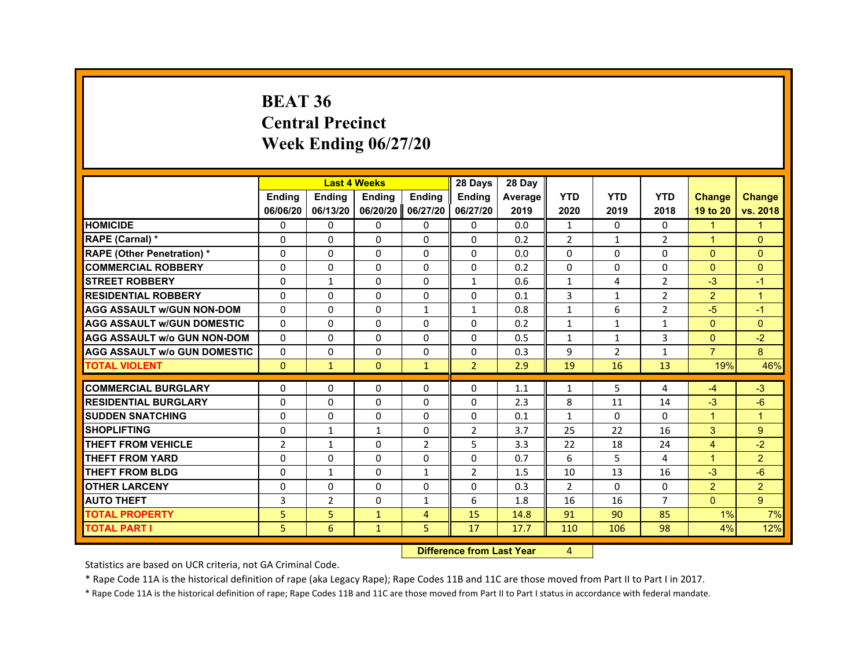#### **BEAT 36Central PrecinctWeek Ending 06/27/20**

|                                     |                |                | <b>Last 4 Weeks</b> |                | 28 Days        | 28 Day  |                |                |                |                      |                |
|-------------------------------------|----------------|----------------|---------------------|----------------|----------------|---------|----------------|----------------|----------------|----------------------|----------------|
|                                     | <b>Ending</b>  | <b>Ending</b>  | <b>Ending</b>       | <b>Endina</b>  | <b>Endina</b>  | Average | <b>YTD</b>     | <b>YTD</b>     | <b>YTD</b>     | <b>Change</b>        | <b>Change</b>  |
|                                     | 06/06/20       | 06/13/20       | 06/20/20 06/27/20   |                | 06/27/20       | 2019    | 2020           | 2019           | 2018           | 19 to 20             | vs. 2018       |
| <b>HOMICIDE</b>                     | 0              | 0              | $\mathbf{0}$        | 0              | 0              | 0.0     | $\mathbf{1}$   | 0              | $\Omega$       | $\blacktriangleleft$ | $\mathbf{1}$   |
| RAPE (Carnal) *                     | 0              | 0              | $\Omega$            | $\Omega$       | 0              | 0.2     | 2              | $\mathbf{1}$   | 2              | $\blacktriangleleft$ | $\Omega$       |
| <b>RAPE (Other Penetration) *</b>   | $\Omega$       | $\mathbf{0}$   | 0                   | $\Omega$       | 0              | 0.0     | 0              | 0              | 0              | $\mathbf{0}$         | $\Omega$       |
| <b>COMMERCIAL ROBBERY</b>           | $\Omega$       | 0              | 0                   | $\mathbf 0$    | 0              | 0.2     | 0              | 0              | 0              | $\Omega$             | $\Omega$       |
| <b>STREET ROBBERY</b>               | $\Omega$       | $\mathbf{1}$   | $\Omega$            | $\mathbf 0$    | $\mathbf{1}$   | 0.6     | $\mathbf{1}$   | 4              | $\overline{2}$ | $-3$                 | $-1$           |
| <b>RESIDENTIAL ROBBERY</b>          | $\Omega$       | $\Omega$       | 0                   | $\Omega$       | $\Omega$       | 0.1     | $\overline{3}$ | $\mathbf{1}$   | $\overline{2}$ | $\overline{2}$       | $\overline{1}$ |
| <b>AGG ASSAULT w/GUN NON-DOM</b>    | $\Omega$       | $\Omega$       | 0                   | $\mathbf{1}$   | 1              | 0.8     | $\mathbf{1}$   | 6              | $\overline{2}$ | $-5$                 | $-1$           |
| <b>AGG ASSAULT w/GUN DOMESTIC</b>   | $\Omega$       | $\Omega$       | 0                   | $\Omega$       | 0              | 0.2     | $\mathbf{1}$   | 1              | 1              | $\Omega$             | $\Omega$       |
| <b>AGG ASSAULT w/o GUN NON-DOM</b>  | $\Omega$       | $\Omega$       | 0                   | $\Omega$       | 0              | 0.5     | $\mathbf{1}$   | $\mathbf{1}$   | 3              | $\mathbf{0}$         | $-2$           |
| <b>AGG ASSAULT w/o GUN DOMESTIC</b> | $\Omega$       | 0              | 0                   | $\mathbf 0$    | $\mathbf 0$    | 0.3     | 9              | $\overline{2}$ | 1              | $\overline{7}$       | 8              |
| <b>TOTAL VIOLENT</b>                | $\mathbf{0}$   | $\mathbf{1}$   | $\mathbf{0}$        | $\mathbf{1}$   | $\overline{2}$ | 2.9     | 19             | 16             | 13             | 19%                  | 46%            |
|                                     |                |                |                     |                |                |         |                |                |                |                      |                |
| <b>COMMERCIAL BURGLARY</b>          | 0              | 0              | 0                   | $\Omega$       | 0              | 1.1     | 1              | 5              | 4              | $-4$                 | $-3$           |
| <b>RESIDENTIAL BURGLARY</b>         | $\Omega$       | $\Omega$       | 0                   | $\Omega$       | $\Omega$       | 2.3     | 8              | 11             | 14             | $-3$                 | $-6$           |
| <b>SUDDEN SNATCHING</b>             | $\Omega$       | $\Omega$       | $\Omega$            | $\mathbf{0}$   | $\mathbf{0}$   | 0.1     | $\mathbf{1}$   | $\Omega$       | $\Omega$       | $\mathbf{1}$         | $\overline{1}$ |
| <b>SHOPLIFTING</b>                  | $\Omega$       | $\mathbf{1}$   | 1                   | $\Omega$       | $\overline{2}$ | 3.7     | 25             | 22             | 16             | 3                    | 9              |
| THEFT FROM VEHICLE                  | $\overline{2}$ | $\mathbf{1}$   | 0                   | $\overline{2}$ | 5              | 3.3     | 22             | 18             | 24             | $\overline{4}$       | $-2$           |
| <b>THEFT FROM YARD</b>              | 0              | 0              | 0                   | $\Omega$       | 0              | 0.7     | 6              | 5              | 4              | 1                    | $\overline{2}$ |
| <b>THEFT FROM BLDG</b>              | 0              | $\mathbf{1}$   | 0                   | $\mathbf{1}$   | $\overline{2}$ | 1.5     | 10             | 13             | 16             | $-3$                 | $-6$           |
| <b>OTHER LARCENY</b>                | $\Omega$       | $\Omega$       | $\Omega$            | $\Omega$       | $\Omega$       | 0.3     | $\overline{2}$ | $\Omega$       | $\Omega$       | $\overline{2}$       | $\overline{2}$ |
| <b>AUTO THEFT</b>                   | 3              | $\overline{2}$ | $\Omega$            | $\mathbf{1}$   | 6              | 1.8     | 16             | 16             | $\overline{7}$ | $\Omega$             | 9              |
| <b>TOTAL PROPERTY</b>               | 5              | 5              | $\mathbf{1}$        | 4              | 15             | 14.8    | 91             | 90             | 85             | 1%                   | 7%             |
| <b>TOTAL PART I</b>                 | 5              | 6              | $\mathbf{1}$        | 5              | 17             | 17.7    | 110            | 106            | 98             | 4%                   | 12%            |

 **Difference from Last Yearr** 4

Statistics are based on UCR criteria, not GA Criminal Code.

\* Rape Code 11A is the historical definition of rape (aka Legacy Rape); Rape Codes 11B and 11C are those moved from Part II to Part I in 2017.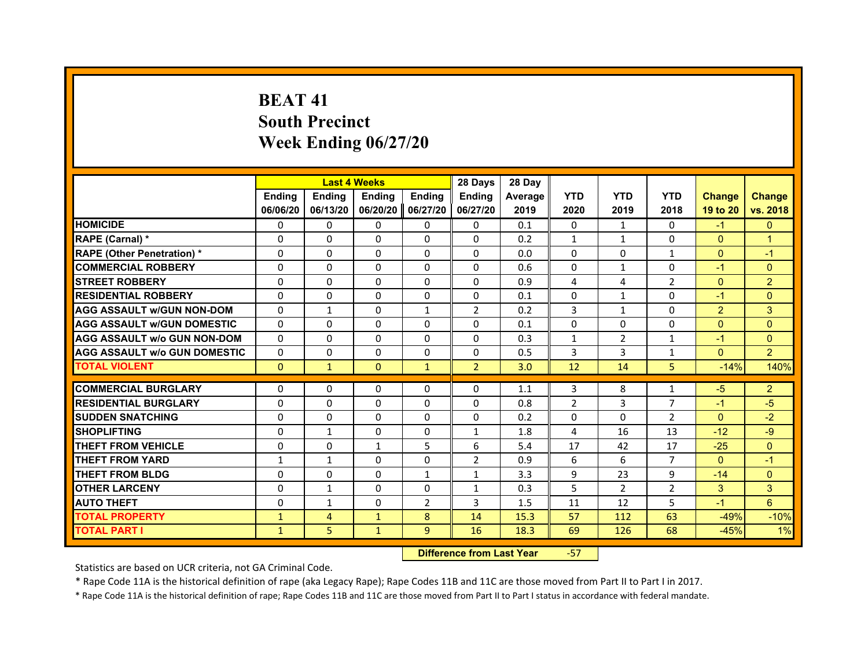# **BEAT 41South Precinct Week Ending 06/27/20**

|                                     |               |               | <b>Last 4 Weeks</b> |                | 28 Days        | 28 Day  |                |                |                |                |                |
|-------------------------------------|---------------|---------------|---------------------|----------------|----------------|---------|----------------|----------------|----------------|----------------|----------------|
|                                     | <b>Endina</b> | <b>Endina</b> | <b>Endina</b>       | <b>Endina</b>  | <b>Ending</b>  | Average | <b>YTD</b>     | <b>YTD</b>     | <b>YTD</b>     | <b>Change</b>  | <b>Change</b>  |
|                                     | 06/06/20      | 06/13/20      | 06/20/20            | 06/27/20       | 06/27/20       | 2019    | 2020           | 2019           | 2018           | 19 to 20       | vs. 2018       |
| <b>HOMICIDE</b>                     | 0             | $\Omega$      | $\Omega$            | 0              | 0              | 0.1     | $\Omega$       | $\mathbf{1}$   | $\mathbf{0}$   | $-1$           | $\Omega$       |
| RAPE (Carnal) *                     | $\Omega$      | $\Omega$      | $\Omega$            | $\Omega$       | $\Omega$       | 0.2     | $\mathbf{1}$   | $\mathbf{1}$   | $\Omega$       | $\Omega$       | $\mathbf{1}$   |
| <b>RAPE (Other Penetration) *</b>   | 0             | $\Omega$      | $\Omega$            | $\Omega$       | $\Omega$       | 0.0     | $\Omega$       | 0              | $\mathbf{1}$   | $\Omega$       | $-1$           |
| <b>COMMERCIAL ROBBERY</b>           | 0             | $\Omega$      | $\Omega$            | $\Omega$       | $\Omega$       | 0.6     | $\Omega$       | $\mathbf{1}$   | 0              | $-1$           | $\Omega$       |
| <b>STREET ROBBERY</b>               | $\Omega$      | $\Omega$      | $\Omega$            | $\Omega$       | $\Omega$       | 0.9     | 4              | 4              | $\overline{2}$ | $\mathbf{0}$   | $\overline{2}$ |
| <b>RESIDENTIAL ROBBERY</b>          | $\Omega$      | $\Omega$      | $\Omega$            | $\Omega$       | $\Omega$       | 0.1     | $\Omega$       | $\mathbf{1}$   | $\Omega$       | $-1$           | $\Omega$       |
| <b>AGG ASSAULT w/GUN NON-DOM</b>    | $\Omega$      | $\mathbf{1}$  | $\Omega$            | $\mathbf{1}$   | $\overline{2}$ | 0.2     | 3              | $\mathbf{1}$   | $\Omega$       | $\overline{2}$ | 3              |
| <b>AGG ASSAULT W/GUN DOMESTIC</b>   | $\Omega$      | $\Omega$      | $\Omega$            | 0              | $\Omega$       | 0.1     | 0              | 0              | $\Omega$       | $\Omega$       | $\Omega$       |
| <b>AGG ASSAULT W/o GUN NON-DOM</b>  | $\Omega$      | $\Omega$      | $\Omega$            | $\Omega$       | $\Omega$       | 0.3     | 1              | $\overline{2}$ | 1              | $-1$           | $\Omega$       |
| <b>AGG ASSAULT W/o GUN DOMESTIC</b> | $\Omega$      | $\Omega$      | $\Omega$            | $\Omega$       | $\Omega$       | 0.5     | 3              | 3              | $\mathbf{1}$   | $\Omega$       | $\overline{2}$ |
| <b>TOTAL VIOLENT</b>                | $\pmb{0}$     | $\mathbf{1}$  | $\mathbf{0}$        | $\mathbf{1}$   | $\overline{2}$ | 3.0     | 12             | 14             | 5              | $-14%$         | 140%           |
|                                     |               |               |                     |                |                |         |                |                |                |                |                |
| <b>COMMERCIAL BURGLARY</b>          | 0             | $\Omega$      | $\Omega$            | 0              | 0              | 1.1     | 3              | 8              | 1              | $-5$           | $\overline{2}$ |
| <b>RESIDENTIAL BURGLARY</b>         | $\Omega$      | $\Omega$      | $\Omega$            | $\Omega$       | $\Omega$       | 0.8     | $\overline{2}$ | 3              | $\overline{7}$ | $-1$           | $-5$           |
| <b>SUDDEN SNATCHING</b>             | $\Omega$      | $\Omega$      | $\Omega$            | $\Omega$       | $\Omega$       | 0.2     | $\Omega$       | $\Omega$       | $\overline{2}$ | $\Omega$       | $-2$           |
| <b>SHOPLIFTING</b>                  | $\Omega$      | $\mathbf{1}$  | $\Omega$            | $\Omega$       | $\mathbf{1}$   | 1.8     | 4              | 16             | 13             | $-12$          | $-9$           |
| <b>THEFT FROM VEHICLE</b>           | 0             | $\Omega$      | $\mathbf{1}$        | 5              | 6              | 5.4     | 17             | 42             | 17             | $-25$          | $\Omega$       |
| <b>THEFT FROM YARD</b>              | 1             | $\mathbf{1}$  | 0                   | $\Omega$       | 2              | 0.9     | 6              | 6              | $\overline{7}$ | $\Omega$       | $-1$           |
| <b>THEFT FROM BLDG</b>              | $\Omega$      | $\Omega$      | $\Omega$            | $\mathbf{1}$   | $\mathbf{1}$   | 3.3     | 9              | 23             | 9              | $-14$          | $\Omega$       |
| <b>OTHER LARCENY</b>                | 0             | 1             | $\Omega$            | $\Omega$       | $\mathbf{1}$   | 0.3     | 5              | $\overline{2}$ | $\overline{2}$ | 3              | 3              |
| <b>AUTO THEFT</b>                   | $\Omega$      | $\mathbf{1}$  | $\Omega$            | $\overline{2}$ | 3              | 1.5     | 11             | 12             | 5              | $-1$           | $6\phantom{1}$ |
| <b>TOTAL PROPERTY</b>               | $\mathbf{1}$  | 4             | $\mathbf{1}$        | 8              | 14             | 15.3    | 57             | 112            | 63             | $-49%$         | $-10%$         |
| <b>TOTAL PART I</b>                 | $\mathbf{1}$  | 5             | $\mathbf{1}$        | 9              | 16             | 18.3    | 69             | 126            | 68             | $-45%$         | 1%             |

 **Difference from Last Year**‐57

Statistics are based on UCR criteria, not GA Criminal Code.

\* Rape Code 11A is the historical definition of rape (aka Legacy Rape); Rape Codes 11B and 11C are those moved from Part II to Part I in 2017.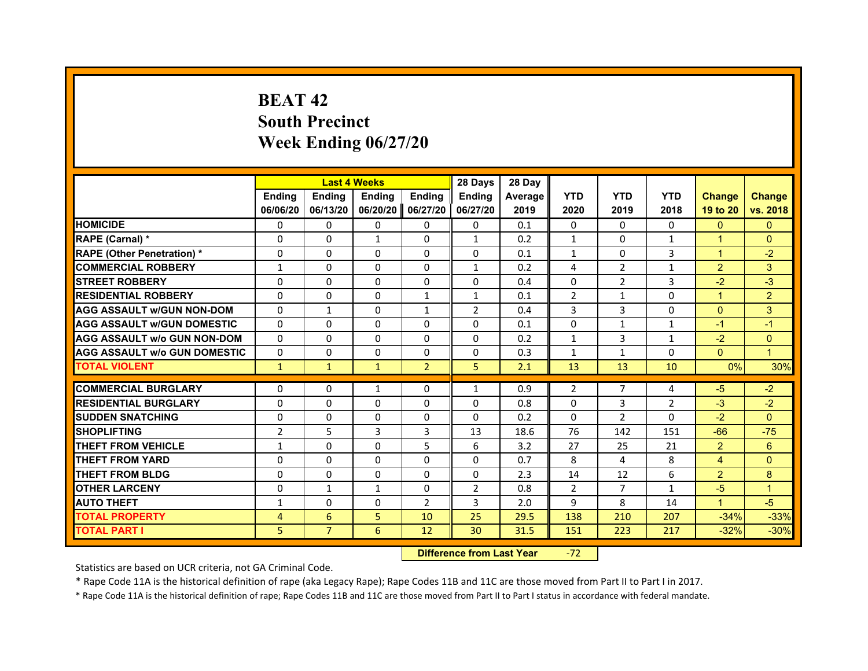# **BEAT 42South Precinct Week Ending 06/27/20**

|                                     |                |                | <b>Last 4 Weeks</b> |                | 28 Days        | 28 Day  |                |                |                |                      |                |
|-------------------------------------|----------------|----------------|---------------------|----------------|----------------|---------|----------------|----------------|----------------|----------------------|----------------|
|                                     | <b>Endina</b>  | <b>Ending</b>  | <b>Endina</b>       | <b>Endina</b>  | <b>Endina</b>  | Average | <b>YTD</b>     | <b>YTD</b>     | <b>YTD</b>     | <b>Change</b>        | <b>Change</b>  |
|                                     | 06/06/20       | 06/13/20       | 06/20/20            | 06/27/20       | 06/27/20       | 2019    | 2020           | 2019           | 2018           | 19 to 20             | vs. 2018       |
| <b>HOMICIDE</b>                     | $\Omega$       | $\Omega$       | $\Omega$            | 0              | 0              | 0.1     | 0              | $\Omega$       | $\Omega$       | $\Omega$             | $\Omega$       |
| RAPE (Carnal) *                     | $\Omega$       | $\Omega$       | $\mathbf{1}$        | $\Omega$       | $\mathbf{1}$   | 0.2     | $\mathbf{1}$   | $\Omega$       | $\mathbf{1}$   | $\overline{1}$       | $\Omega$       |
| <b>RAPE (Other Penetration) *</b>   | $\Omega$       | 0              | $\Omega$            | 0              | $\Omega$       | 0.1     | $\mathbf{1}$   | 0              | 3              | $\blacktriangleleft$ | $-2$           |
| <b>COMMERCIAL ROBBERY</b>           | 1              | $\Omega$       | 0                   | $\Omega$       | $\mathbf{1}$   | 0.2     | 4              | 2              | $\mathbf{1}$   | $\overline{2}$       | 3              |
| <b>STREET ROBBERY</b>               | $\Omega$       | $\Omega$       | $\Omega$            | $\Omega$       | $\Omega$       | 0.4     | $\Omega$       | $\overline{2}$ | 3              | $-2$                 | $-3$           |
| <b>RESIDENTIAL ROBBERY</b>          | 0              | 0              | 0                   | $\mathbf{1}$   | $\mathbf{1}$   | 0.1     | $\overline{2}$ | $\mathbf{1}$   | 0              | $\blacktriangleleft$ | $\overline{2}$ |
| <b>AGG ASSAULT W/GUN NON-DOM</b>    | $\Omega$       | $\mathbf{1}$   | $\Omega$            | $\mathbf{1}$   | $\overline{2}$ | 0.4     | $\overline{3}$ | $\overline{3}$ | $\Omega$       | $\Omega$             | 3              |
| <b>AGG ASSAULT W/GUN DOMESTIC</b>   | $\Omega$       | $\Omega$       | $\Omega$            | $\Omega$       | $\Omega$       | 0.1     | $\Omega$       | $\mathbf{1}$   | $\mathbf{1}$   | $-1$                 | $-1$           |
| <b>AGG ASSAULT w/o GUN NON-DOM</b>  | $\Omega$       | $\Omega$       | $\Omega$            | 0              | $\Omega$       | 0.2     | $\mathbf{1}$   | 3              | $\mathbf{1}$   | $-2$                 | $\Omega$       |
| <b>AGG ASSAULT W/o GUN DOMESTIC</b> | $\Omega$       | $\Omega$       | 0                   | 0              | $\Omega$       | 0.3     | $\mathbf{1}$   | $\mathbf{1}$   | 0              | $\Omega$             | $\overline{1}$ |
| <b>TOTAL VIOLENT</b>                | $\mathbf{1}$   | $\mathbf{1}$   | $\mathbf{1}$        | $\overline{2}$ | 5              | 2.1     | 13             | 13             | 10             | 0%                   | 30%            |
|                                     |                |                |                     |                |                |         |                |                |                |                      |                |
| <b>COMMERCIAL BURGLARY</b>          | 0              | 0              | $\mathbf{1}$        | 0              | $\mathbf{1}$   | 0.9     | 2              | 7              | 4              | -5                   | $-2$           |
| <b>RESIDENTIAL BURGLARY</b>         | $\Omega$       | 0              | $\Omega$            | 0              | 0              | 0.8     | $\Omega$       | 3              | $\overline{2}$ | $-3$                 | $-2$           |
| <b>SUDDEN SNATCHING</b>             | $\Omega$       | $\Omega$       | $\Omega$            | $\Omega$       | $\Omega$       | 0.2     | $\Omega$       | $\overline{2}$ | 0              | $-2$                 | $\Omega$       |
| <b>SHOPLIFTING</b>                  | $\overline{2}$ | 5              | 3                   | 3              | 13             | 18.6    | 76             | 142            | 151            | $-66$                | $-75$          |
| <b>THEFT FROM VEHICLE</b>           | $\mathbf{1}$   | $\Omega$       | $\Omega$            | 5              | 6              | 3.2     | 27             | 25             | 21             | 2                    | 6              |
| <b>THEFT FROM YARD</b>              | $\Omega$       | $\Omega$       | $\Omega$            | 0              | $\Omega$       | 0.7     | 8              | 4              | 8              | 4                    | $\Omega$       |
| <b>THEFT FROM BLDG</b>              | $\Omega$       | 0              | $\Omega$            | $\Omega$       | $\Omega$       | 2.3     | 14             | 12             | 6              | $\overline{2}$       | 8              |
| <b>OTHER LARCENY</b>                | $\Omega$       | $\mathbf{1}$   | $\mathbf{1}$        | $\Omega$       | $\overline{2}$ | 0.8     | 2              | $\overline{7}$ | $\mathbf{1}$   | $-5$                 | $\overline{1}$ |
| <b>AUTO THEFT</b>                   | $\mathbf{1}$   | $\Omega$       | $\Omega$            | $\overline{2}$ | 3              | 2.0     | 9              | 8              | 14             | $\mathbf{1}$         | $-5$           |
| <b>TOTAL PROPERTY</b>               | 4              | 6              | 5                   | 10             | 25             | 29.5    | 138            | 210            | 207            | $-34%$               | $-33%$         |
| <b>TOTAL PART I</b>                 | 5.             | $\overline{7}$ | 6                   | 12             | 30             | 31.5    | 151            | 223            | 217            | $-32%$               | $-30%$         |

 **Difference from Last Year**r -72

Statistics are based on UCR criteria, not GA Criminal Code.

\* Rape Code 11A is the historical definition of rape (aka Legacy Rape); Rape Codes 11B and 11C are those moved from Part II to Part I in 2017.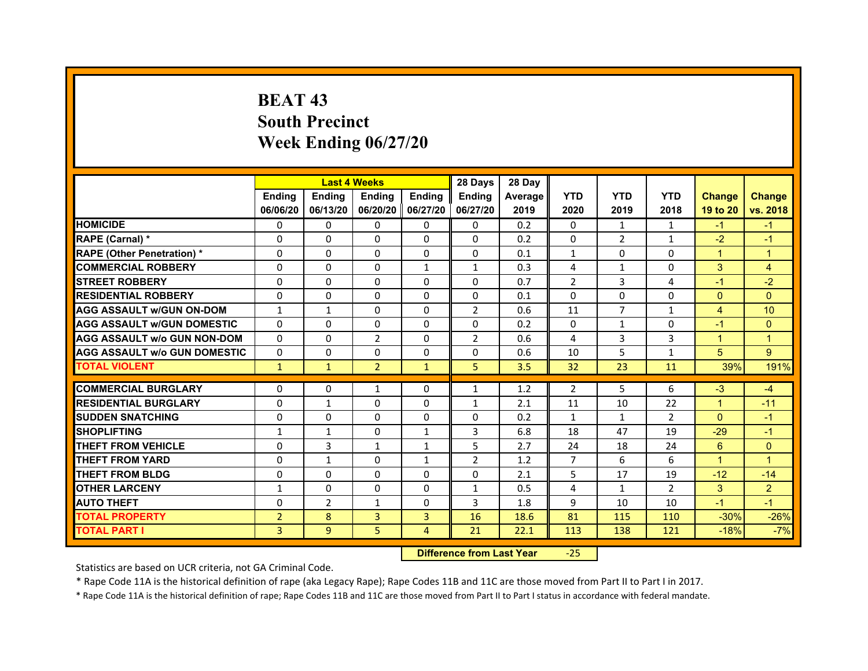# **BEAT 43South PrecinctWeek Ending 06/27/20**

|                                     |                | <b>Last 4 Weeks</b> |                     |                | 28 Days        | 28 Day  |                |                |                |                      |                |
|-------------------------------------|----------------|---------------------|---------------------|----------------|----------------|---------|----------------|----------------|----------------|----------------------|----------------|
|                                     | <b>Endina</b>  | <b>Endina</b>       | <b>Endina</b>       | <b>Endina</b>  | <b>Endina</b>  | Average | <b>YTD</b>     | <b>YTD</b>     | <b>YTD</b>     | <b>Change</b>        | <b>Change</b>  |
|                                     | 06/06/20       | 06/13/20            | 06/20/20   06/27/20 |                | 06/27/20       | 2019    | 2020           | 2019           | 2018           | 19 to 20             | vs. 2018       |
| <b>HOMICIDE</b>                     | 0              | 0                   | $\mathbf{0}$        | 0              | 0              | 0.2     | 0              | 1              | $\mathbf{1}$   | $-1$                 | $-1$           |
| RAPE (Carnal) *                     | $\Omega$       | $\Omega$            | $\Omega$            | $\Omega$       | $\Omega$       | 0.2     | $\Omega$       | 2              | $\mathbf{1}$   | $-2$                 | $-1$           |
| <b>RAPE (Other Penetration) *</b>   | 0              | $\Omega$            | $\Omega$            | $\Omega$       | $\Omega$       | 0.1     | $\mathbf{1}$   | $\Omega$       | $\Omega$       | $\mathbf{1}$         | $\mathbf{1}$   |
| <b>COMMERCIAL ROBBERY</b>           | 0              | 0                   | $\Omega$            | $\mathbf{1}$   | $\mathbf{1}$   | 0.3     | 4              | $\mathbf{1}$   | $\Omega$       | 3                    | $\overline{4}$ |
| <b>STREET ROBBERY</b>               | 0              | $\Omega$            | 0                   | $\Omega$       | 0              | 0.7     | $\overline{2}$ | 3              | $\overline{a}$ | $-1$                 | $-2$           |
| <b>RESIDENTIAL ROBBERY</b>          | 0              | $\Omega$            | 0                   | 0              | 0              | 0.1     | 0              | $\Omega$       | 0              | $\Omega$             | $\Omega$       |
| <b>AGG ASSAULT w/GUN ON-DOM</b>     | $\mathbf{1}$   | $\mathbf{1}$        | $\Omega$            | $\mathbf{0}$   | $\overline{2}$ | 0.6     | 11             | $\overline{7}$ | $\mathbf{1}$   | $\overline{4}$       | 10             |
| <b>AGG ASSAULT W/GUN DOMESTIC</b>   | $\Omega$       | $\Omega$            | $\Omega$            | $\mathbf{0}$   | $\Omega$       | 0.2     | $\Omega$       | $\mathbf{1}$   | $\Omega$       | $-1$                 | $\Omega$       |
| <b>AGG ASSAULT W/o GUN NON-DOM</b>  | $\Omega$       | 0                   | $\overline{2}$      | 0              | $\overline{2}$ | 0.6     | 4              | 3              | 3              | $\mathbf{1}$         | $\overline{1}$ |
| <b>AGG ASSAULT W/o GUN DOMESTIC</b> | $\Omega$       | 0                   | 0                   | $\mathbf{0}$   | $\Omega$       | 0.6     | 10             | 5              | 1              | 5                    | 9              |
| <b>TOTAL VIOLENT</b>                | $\mathbf{1}$   | $\mathbf{1}$        | $\overline{2}$      | $\mathbf{1}$   | 5              | 3.5     | 32             | 23             | 11             | 39%                  | 191%           |
|                                     |                |                     |                     |                |                |         |                |                |                |                      |                |
| <b>COMMERCIAL BURGLARY</b>          | 0              | 0                   | $\mathbf{1}$        | 0              | $\mathbf{1}$   | 1.2     | $\overline{2}$ | 5              | 6              | $-3$                 | $-4$           |
| <b>RESIDENTIAL BURGLARY</b>         | 0              | $\mathbf{1}$        | $\Omega$            | $\Omega$       | 1              | 2.1     | 11             | 10             | 22             | $\mathbf{1}$         | $-11$          |
| <b>SUDDEN SNATCHING</b>             | 0              | 0                   | $\Omega$            | $\Omega$       | $\Omega$       | 0.2     | $\mathbf{1}$   | $\mathbf{1}$   | $\overline{2}$ | $\Omega$             | $-1$           |
| <b>SHOPLIFTING</b>                  | 1              | 1                   | 0                   | $\mathbf{1}$   | 3              | 6.8     | 18             | 47             | 19             | $-29$                | $-1$           |
| <b>THEFT FROM VEHICLE</b>           | $\Omega$       | 3                   | $\mathbf{1}$        | $\mathbf{1}$   | 5              | 2.7     | 24             | 18             | 24             | 6                    | $\Omega$       |
| <b>THEFT FROM YARD</b>              | 0              | $\mathbf{1}$        | $\Omega$            | $\mathbf{1}$   | $\overline{2}$ | 1.2     | $\overline{7}$ | 6              | 6              | $\blacktriangleleft$ | 1              |
| <b>THEFT FROM BLDG</b>              | 0              | 0                   | 0                   | 0              | 0              | 2.1     | 5              | 17             | 19             | $-12$                | $-14$          |
| <b>OTHER LARCENY</b>                | 1              | 0                   | $\Omega$            | 0              | $\mathbf{1}$   | 0.5     | 4              | $\mathbf{1}$   | $\overline{2}$ | 3                    | $\overline{2}$ |
| <b>AUTO THEFT</b>                   | $\mathbf 0$    | $\overline{2}$      | $\mathbf{1}$        | $\Omega$       | 3              | 1.8     | 9              | 10             | 10             | $-1$                 | $-1$           |
| <b>TOTAL PROPERTY</b>               | $\overline{2}$ | 8                   | 3                   | 3              | 16             | 18.6    | 81             | 115            | 110            | $-30%$               | $-26%$         |
| <b>TOTAL PART I</b>                 | 3              | 9                   | 5                   | $\overline{4}$ | 21             | 22.1    | 113            | 138            | 121            | $-18%$               | $-7%$          |

#### **Difference from Last Year**‐25

Statistics are based on UCR criteria, not GA Criminal Code.

\* Rape Code 11A is the historical definition of rape (aka Legacy Rape); Rape Codes 11B and 11C are those moved from Part II to Part I in 2017.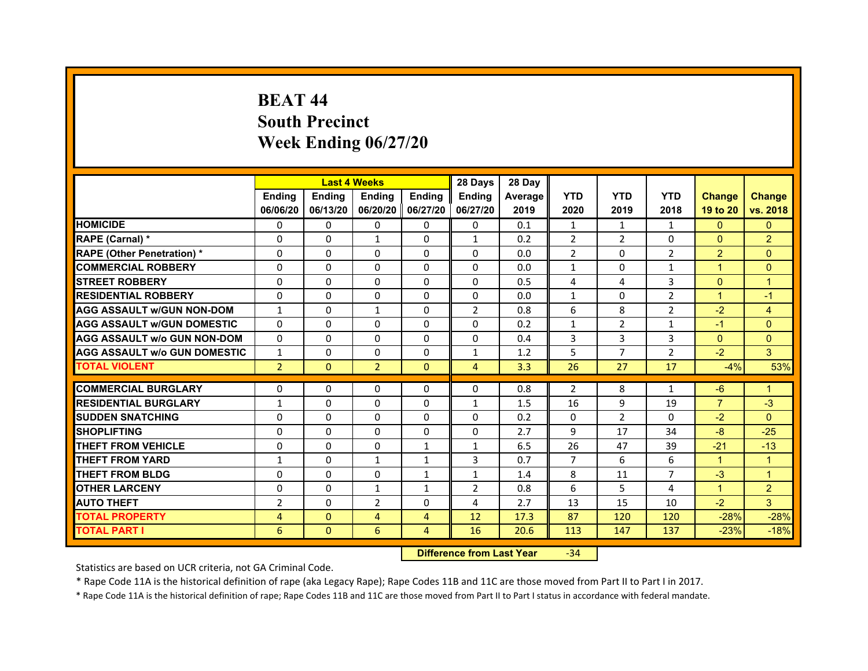# **BEAT 44South Precinct Week Ending 06/27/20**

|                                     |                | <b>Last 4 Weeks</b> |                     |               | 28 Days        | 28 Day  |                |                |                |                |                |
|-------------------------------------|----------------|---------------------|---------------------|---------------|----------------|---------|----------------|----------------|----------------|----------------|----------------|
|                                     | <b>Endina</b>  | <b>Ending</b>       | <b>Endina</b>       | <b>Endina</b> | <b>Endina</b>  | Average | <b>YTD</b>     | <b>YTD</b>     | <b>YTD</b>     | <b>Change</b>  | <b>Change</b>  |
|                                     | 06/06/20       | 06/13/20            | 06/20/20   06/27/20 |               | 06/27/20       | 2019    | 2020           | 2019           | 2018           | 19 to 20       | vs. 2018       |
| <b>HOMICIDE</b>                     | $\Omega$       | $\mathbf{0}$        | $\Omega$            | $\mathbf{0}$  | $\mathbf{0}$   | 0.1     | $\mathbf{1}$   | $\mathbf{1}$   | $\mathbf{1}$   | $\Omega$       | $\Omega$       |
| RAPE (Carnal) *                     | $\Omega$       | $\Omega$            | $\mathbf{1}$        | $\mathbf{0}$  | $\mathbf{1}$   | 0.2     | $\overline{2}$ | $\overline{2}$ | $\Omega$       | $\Omega$       | $\overline{2}$ |
| <b>RAPE (Other Penetration) *</b>   | 0              | $\Omega$            | $\Omega$            | $\Omega$      | $\Omega$       | 0.0     | 2              | $\Omega$       | 2              | $\overline{2}$ | $\Omega$       |
| <b>COMMERCIAL ROBBERY</b>           | 0              | 0                   | $\Omega$            | 0             | $\Omega$       | 0.0     | $\mathbf{1}$   | $\Omega$       | $\mathbf{1}$   | 1              | $\Omega$       |
| <b>STREET ROBBERY</b>               | 0              | $\Omega$            | $\Omega$            | 0             | $\Omega$       | 0.5     | 4              | 4              | 3              | $\Omega$       | $\overline{1}$ |
| <b>RESIDENTIAL ROBBERY</b>          | 0              | 0                   | 0                   | $\Omega$      | $\Omega$       | 0.0     | $\mathbf{1}$   | 0              | $\overline{2}$ | $\mathbf{1}$   | $-1$           |
| <b>AGG ASSAULT w/GUN NON-DOM</b>    | $\mathbf{1}$   | $\Omega$            | $\mathbf{1}$        | $\mathbf{0}$  | $\overline{2}$ | 0.8     | 6              | 8              | $\overline{2}$ | $-2$           | $\overline{4}$ |
| <b>AGG ASSAULT W/GUN DOMESTIC</b>   | $\Omega$       | $\Omega$            | $\Omega$            | 0             | $\Omega$       | 0.2     | $\mathbf{1}$   | $\mathcal{P}$  | $\mathbf{1}$   | $-1$           | $\Omega$       |
| <b>AGG ASSAULT W/o GUN NON-DOM</b>  | 0              | 0                   | $\Omega$            | 0             | $\Omega$       | 0.4     | 3              | 3              | 3              | $\mathbf{0}$   | $\Omega$       |
| <b>AGG ASSAULT W/o GUN DOMESTIC</b> | $\mathbf{1}$   | 0                   | 0                   | 0             | $\mathbf{1}$   | 1.2     | 5              | $\overline{7}$ | $\overline{2}$ | $-2$           | 3              |
| <b>TOTAL VIOLENT</b>                | $\overline{2}$ | $\mathbf{0}$        | $\overline{2}$      | $\mathbf{0}$  | 4              | 3.3     | 26             | 27             | 17             | $-4%$          | 53%            |
|                                     |                |                     |                     |               |                |         |                |                |                |                |                |
| <b>COMMERCIAL BURGLARY</b>          | 0              | 0                   | $\Omega$            | 0             | $\Omega$       | 0.8     | 2              | 8              | 1              | -6             | 1              |
| <b>RESIDENTIAL BURGLARY</b>         | $\mathbf{1}$   | 0                   | $\Omega$            | 0             | $\mathbf{1}$   | 1.5     | 16             | 9              | 19             | $\overline{7}$ | $-3$           |
| <b>SUDDEN SNATCHING</b>             | 0              | 0                   | 0                   | $\Omega$      | 0              | 0.2     | $\Omega$       | $\overline{2}$ | $\Omega$       | $-2$           | $\Omega$       |
| <b>SHOPLIFTING</b>                  | $\Omega$       | $\Omega$            | $\Omega$            | $\mathbf{0}$  | $\Omega$       | 2.7     | 9              | 17             | 34             | $-8$           | $-25$          |
| <b>THEFT FROM VEHICLE</b>           | $\Omega$       | $\Omega$            | $\Omega$            | $\mathbf{1}$  | $\mathbf{1}$   | 6.5     | 26             | 47             | 39             | $-21$          | $-13$          |
| <b>THEFT FROM YARD</b>              | 1              | 0                   | $\mathbf{1}$        | 1             | 3              | 0.7     | 7              | 6              | 6              | 1              | 1              |
| <b>THEFT FROM BLDG</b>              | 0              | 0                   | 0                   | 1             | $\mathbf{1}$   | 1.4     | 8              | 11             | $\overline{7}$ | $-3$           | $\mathbf{1}$   |
| <b>OTHER LARCENY</b>                | 0              | 0                   | $\mathbf{1}$        | $\mathbf{1}$  | $\overline{2}$ | 0.8     | 6              | 5              | $\overline{4}$ | $\mathbf{1}$   | $\overline{2}$ |
| <b>AUTO THEFT</b>                   | $\overline{2}$ | $\Omega$            | $\overline{2}$      | $\mathbf{0}$  | $\overline{a}$ | 2.7     | 13             | 15             | 10             | $-2$           | 3              |
| <b>TOTAL PROPERTY</b>               | 4              | $\mathbf{0}$        | $\overline{4}$      | 4             | 12             | 17.3    | 87             | 120            | 120            | $-28%$         | $-28%$         |
| <b>TOTAL PART I</b>                 | 6              | $\mathbf{0}$        | 6                   | 4             | 16             | 20.6    | 113            | 147            | 137            | $-23%$         | $-18%$         |

 **Difference from Last Year**r -34

Statistics are based on UCR criteria, not GA Criminal Code.

\* Rape Code 11A is the historical definition of rape (aka Legacy Rape); Rape Codes 11B and 11C are those moved from Part II to Part I in 2017.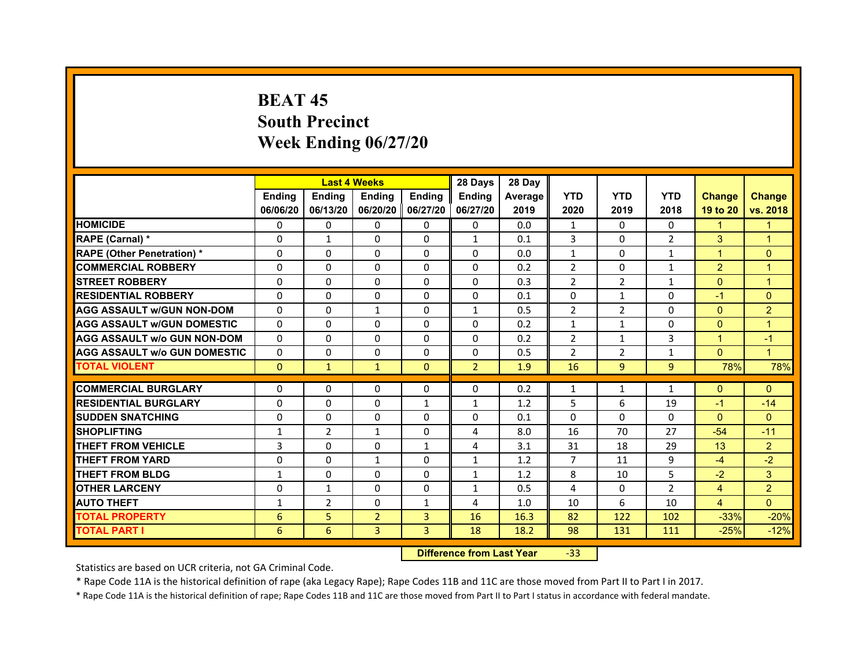# **BEAT 45South PrecinctWeek Ending 06/27/20**

|                                     |               | <b>Last 4 Weeks</b> |                |                   | 28 Days        | 28 Day  |                |                |                |                      |                      |
|-------------------------------------|---------------|---------------------|----------------|-------------------|----------------|---------|----------------|----------------|----------------|----------------------|----------------------|
|                                     | <b>Endina</b> | <b>Ending</b>       | <b>Endina</b>  | <b>Endina</b>     | <b>Endina</b>  | Average | <b>YTD</b>     | <b>YTD</b>     | <b>YTD</b>     | <b>Change</b>        | <b>Change</b>        |
|                                     | 06/06/20      | 06/13/20            |                | 06/20/20 06/27/20 | 06/27/20       | 2019    | 2020           | 2019           | 2018           | 19 to 20             | vs. 2018             |
| <b>HOMICIDE</b>                     | 0             | 0                   | 0              | 0                 | 0              | 0.0     | $\mathbf{1}$   | 0              | 0              | $\blacktriangleleft$ | 1                    |
| RAPE (Carnal) *                     | $\Omega$      | $\mathbf{1}$        | $\Omega$       | $\Omega$          | $\mathbf{1}$   | 0.1     | 3              | $\Omega$       | $\overline{2}$ | 3                    | $\overline{1}$       |
| <b>RAPE (Other Penetration)*</b>    | $\Omega$      | $\Omega$            | $\Omega$       | $\Omega$          | $\Omega$       | 0.0     | $\mathbf{1}$   | $\Omega$       | $\mathbf{1}$   | $\mathbf{1}$         | $\mathbf{0}$         |
| <b>COMMERCIAL ROBBERY</b>           | 0             | 0                   | 0              | 0                 | 0              | 0.2     | $\overline{2}$ | 0              | $\mathbf{1}$   | $\overline{2}$       | $\overline{1}$       |
| <b>STREET ROBBERY</b>               | 0             | $\Omega$            | 0              | 0                 | $\Omega$       | 0.3     | $\overline{2}$ | 2              | $\mathbf{1}$   | $\mathbf{0}$         | $\overline{1}$       |
| <b>RESIDENTIAL ROBBERY</b>          | 0             | $\Omega$            | $\Omega$       | $\Omega$          | $\Omega$       | 0.1     | $\Omega$       | $\mathbf{1}$   | $\Omega$       | $-1$                 | $\mathbf{0}$         |
| <b>AGG ASSAULT w/GUN NON-DOM</b>    | $\Omega$      | $\mathbf{0}$        | $\mathbf{1}$   | $\Omega$          | $\mathbf{1}$   | 0.5     | $\overline{2}$ | 2              | $\Omega$       | $\mathbf{0}$         | $\overline{2}$       |
| <b>AGG ASSAULT W/GUN DOMESTIC</b>   | $\Omega$      | $\Omega$            | $\Omega$       | $\Omega$          | $\Omega$       | 0.2     | $\mathbf{1}$   | $\mathbf{1}$   | $\Omega$       | $\Omega$             | $\overline{1}$       |
| <b>AGG ASSAULT W/o GUN NON-DOM</b>  | $\Omega$      | 0                   | $\Omega$       | 0                 | $\Omega$       | 0.2     | 2              | 1              | 3              | $\blacktriangleleft$ | $-1$                 |
| <b>AGG ASSAULT w/o GUN DOMESTIC</b> | $\Omega$      | 0                   | 0              | 0                 | 0              | 0.5     | $\overline{2}$ | 2              | $\mathbf{1}$   | $\Omega$             | $\blacktriangleleft$ |
| <b>TOTAL VIOLENT</b>                | $\Omega$      | $\mathbf{1}$        | $\mathbf{1}$   | $\mathbf{0}$      | $\overline{2}$ | 1.9     | 16             | $\overline{9}$ | 9              | 78%                  | 78%                  |
|                                     |               |                     |                |                   |                |         |                |                |                |                      |                      |
| <b>COMMERCIAL BURGLARY</b>          | 0             | 0                   | $\Omega$       | 0                 | $\Omega$       | 0.2     | $\mathbf{1}$   | $\mathbf{1}$   | $\mathbf{1}$   | $\Omega$             | $\mathbf{0}$         |
| <b>RESIDENTIAL BURGLARY</b>         | 0             | 0                   | 0              | $\mathbf{1}$      | $\mathbf{1}$   | 1.2     | 5              | 6              | 19             | $-1$                 | $-14$                |
| <b>SUDDEN SNATCHING</b>             | $\Omega$      | $\Omega$            | $\Omega$       | $\Omega$          | $\Omega$       | 0.1     | $\Omega$       | $\Omega$       | $\Omega$       | $\Omega$             | $\Omega$             |
| <b>SHOPLIFTING</b>                  | $\mathbf{1}$  | $\overline{2}$      | $\mathbf{1}$   | $\Omega$          | 4              | 8.0     | 16             | 70             | 27             | $-54$                | $-11$                |
| <b>THEFT FROM VEHICLE</b>           | 3             | $\Omega$            | 0              | $\mathbf{1}$      | $\overline{4}$ | 3.1     | 31             | 18             | 29             | 13                   | $\overline{2}$       |
| <b>THEFT FROM YARD</b>              | $\Omega$      | $\Omega$            | $\mathbf{1}$   | $\Omega$          | $\mathbf{1}$   | 1.2     | $\overline{7}$ | 11             | 9              | $-4$                 | $-2$                 |
| <b>THEFT FROM BLDG</b>              | 1             | 0                   | $\Omega$       | 0                 | 1              | 1.2     | 8              | 10             | 5              | $-2$                 | 3                    |
| <b>OTHER LARCENY</b>                | $\mathbf 0$   | $\mathbf{1}$        | $\Omega$       | $\Omega$          | $\mathbf{1}$   | 0.5     | 4              | $\Omega$       | $\overline{2}$ | $\overline{4}$       | $\overline{2}$       |
| <b>AUTO THEFT</b>                   | $\mathbf{1}$  | $\overline{2}$      | $\Omega$       | $\mathbf{1}$      | 4              | 1.0     | 10             | 6              | 10             | $\overline{4}$       | $\mathbf{0}$         |
| <b>TOTAL PROPERTY</b>               | 6             | 5                   | $\overline{2}$ | $\overline{3}$    | 16             | 16.3    | 82             | 122            | 102            | $-33%$               | $-20%$               |
| <b>TOTAL PART I</b>                 | 6             | 6                   | 3              | 3                 | 18             | 18.2    | 98             | 131            | 111            | $-25%$               | $-12%$               |

 **Difference from Last Year**‐33

Statistics are based on UCR criteria, not GA Criminal Code.

\* Rape Code 11A is the historical definition of rape (aka Legacy Rape); Rape Codes 11B and 11C are those moved from Part II to Part I in 2017.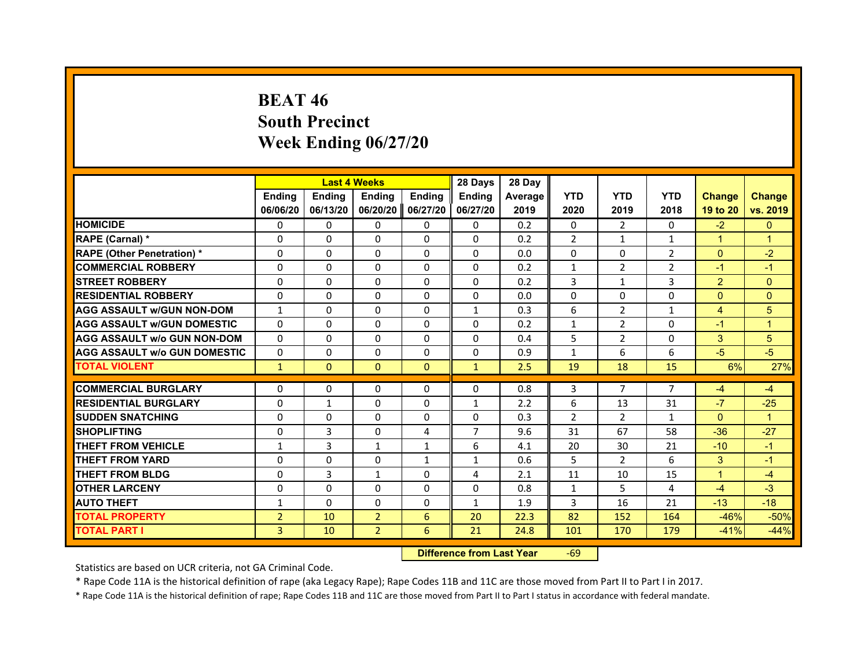# **BEAT 46South Precinct Week Ending 06/27/20**

|                                     |                |               | <b>Last 4 Weeks</b> |               | 28 Days        | 28 Day         |                |                |                |                |                |
|-------------------------------------|----------------|---------------|---------------------|---------------|----------------|----------------|----------------|----------------|----------------|----------------|----------------|
|                                     | <b>Endina</b>  | <b>Endina</b> | <b>Endina</b>       | <b>Endina</b> | <b>Endina</b>  | <b>Average</b> | <b>YTD</b>     | <b>YTD</b>     | <b>YTD</b>     | <b>Change</b>  | <b>Change</b>  |
|                                     | 06/06/20       | 06/13/20      | 06/20/20            | 06/27/20      | 06/27/20       | 2019           | 2020           | 2019           | 2018           | 19 to 20       | vs. 2019       |
| <b>HOMICIDE</b>                     | 0              | 0             | 0                   | 0             | 0              | 0.2            | 0              | 2              | $\Omega$       | $-2$           | $\Omega$       |
| RAPE (Carnal) *                     | $\Omega$       | $\Omega$      | $\Omega$            | $\Omega$      | $\Omega$       | 0.2            | $\overline{2}$ | $\mathbf{1}$   | $\mathbf{1}$   | $\mathbf{1}$   | $\overline{1}$ |
| <b>RAPE (Other Penetration) *</b>   | $\Omega$       | $\Omega$      | $\Omega$            | $\Omega$      | $\Omega$       | 0.0            | $\Omega$       | $\Omega$       | $\overline{2}$ | $\Omega$       | $-2$           |
| <b>COMMERCIAL ROBBERY</b>           | 0              | 0             | 0                   | $\Omega$      | $\Omega$       | 0.2            | $\mathbf{1}$   | $\overline{2}$ | $\overline{2}$ | $-1$           | $-1$           |
| <b>STREET ROBBERY</b>               | $\Omega$       | 0             | $\Omega$            | 0             | $\Omega$       | 0.2            | 3              | $\mathbf{1}$   | 3              | $\overline{2}$ | $\Omega$       |
| <b>RESIDENTIAL ROBBERY</b>          | $\Omega$       | $\Omega$      | $\Omega$            | $\Omega$      | $\Omega$       | 0.0            | $\Omega$       | $\Omega$       | $\Omega$       | $\Omega$       | $\Omega$       |
| <b>AGG ASSAULT w/GUN NON-DOM</b>    | $\mathbf{1}$   | $\Omega$      | $\Omega$            | $\Omega$      | $\mathbf{1}$   | 0.3            | 6              | $\overline{2}$ | $\mathbf{1}$   | $\overline{4}$ | 5              |
| <b>AGG ASSAULT W/GUN DOMESTIC</b>   | $\Omega$       | $\Omega$      | $\Omega$            | $\Omega$      | $\Omega$       | 0.2            | $\mathbf{1}$   | 2              | $\Omega$       | $-1$           | $\overline{1}$ |
| <b>AGG ASSAULT W/o GUN NON-DOM</b>  | $\Omega$       | 0             | $\Omega$            | 0             | $\Omega$       | 0.4            | 5              | $\overline{2}$ | 0              | 3              | 5              |
| <b>AGG ASSAULT W/o GUN DOMESTIC</b> | $\Omega$       | 0             | 0                   | 0             | 0              | 0.9            | $\mathbf{1}$   | 6              | 6              | $-5$           | $-5$           |
| <b>TOTAL VIOLENT</b>                | $\mathbf{1}$   | $\Omega$      | $\Omega$            | $\mathbf{0}$  | $\mathbf{1}$   | 2.5            | 19             | 18             | 15             | 6%             | 27%            |
|                                     |                |               |                     |               |                |                |                |                |                |                |                |
| <b>COMMERCIAL BURGLARY</b>          | $\Omega$       | 0             | $\Omega$            | 0             | 0              | 0.8            | 3              | $\overline{7}$ | $\overline{7}$ | $-4$           | $-4$           |
| <b>RESIDENTIAL BURGLARY</b>         | 0              | 1             | 0                   | 0             | 1              | 2.2            | 6              | 13             | 31             | $-7$           | $-25$          |
| <b>SUDDEN SNATCHING</b>             | $\Omega$       | $\Omega$      | $\Omega$            | $\Omega$      | $\Omega$       | 0.3            | $\overline{2}$ | $\mathcal{P}$  | 1              | $\Omega$       | $\overline{1}$ |
| <b>SHOPLIFTING</b>                  | $\Omega$       | 3             | $\Omega$            | 4             | $\overline{7}$ | 9.6            | 31             | 67             | 58             | $-36$          | $-27$          |
| <b>THEFT FROM VEHICLE</b>           | $\mathbf{1}$   | 3             | $\mathbf{1}$        | $\mathbf{1}$  | 6              | 4.1            | 20             | 30             | 21             | $-10$          | $-1$           |
| <b>THEFT FROM YARD</b>              | $\Omega$       | $\Omega$      | $\Omega$            | $\mathbf{1}$  | $\mathbf{1}$   | 0.6            | 5              | 2              | 6              | 3              | $-1$           |
| <b>THEFT FROM BLDG</b>              | $\Omega$       | 3             | 1                   | $\Omega$      | 4              | 2.1            | 11             | 10             | 15             | 1              | $-4$           |
| <b>OTHER LARCENY</b>                | $\Omega$       | $\Omega$      | $\Omega$            | $\Omega$      | $\Omega$       | 0.8            | $\mathbf{1}$   | 5              | 4              | $-4$           | $-3$           |
| <b>AUTO THEFT</b>                   | 1              | $\Omega$      | $\Omega$            | 0             | $\mathbf{1}$   | 1.9            | 3              | 16             | 21             | $-13$          | $-18$          |
| <b>TOTAL PROPERTY</b>               | $\overline{2}$ | 10            | $\overline{2}$      | 6             | 20             | 22.3           | 82             | 152            | 164            | $-46%$         | $-50%$         |
| <b>TOTAL PART I</b>                 | 3              | 10            | $\overline{2}$      | 6             | 21             | 24.8           | 101            | 170            | 179            | $-41%$         | $-44%$         |

 **Difference from Last Year**r -69

Statistics are based on UCR criteria, not GA Criminal Code.

\* Rape Code 11A is the historical definition of rape (aka Legacy Rape); Rape Codes 11B and 11C are those moved from Part II to Part I in 2017.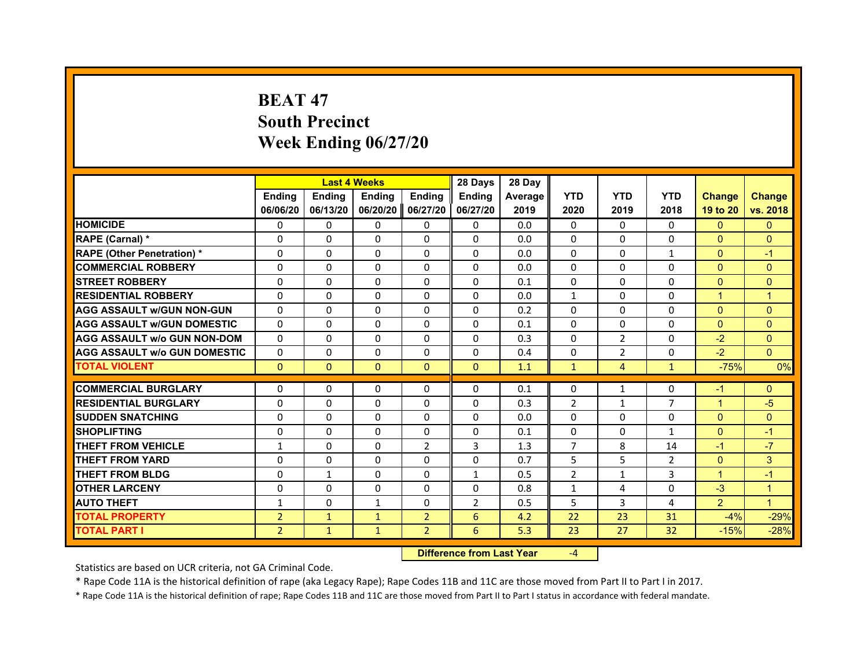# **BEAT 47South Precinct Week Ending 06/27/20**

|                                     |                | <b>Last 4 Weeks</b> |               |                | 28 Days        | 28 Day  |                |                |                |                      |                |
|-------------------------------------|----------------|---------------------|---------------|----------------|----------------|---------|----------------|----------------|----------------|----------------------|----------------|
|                                     | <b>Endina</b>  | Ending              | <b>Endina</b> | <b>Endina</b>  | <b>Endina</b>  | Average | <b>YTD</b>     | <b>YTD</b>     | <b>YTD</b>     | <b>Change</b>        | <b>Change</b>  |
|                                     | 06/06/20       | 06/13/20            | 06/20/20      | 06/27/20       | 06/27/20       | 2019    | 2020           | 2019           | 2018           | 19 to 20             | vs. 2018       |
| <b>HOMICIDE</b>                     | 0              | 0                   | 0             | 0              | 0              | 0.0     | $\mathbf{0}$   | 0              | $\mathbf{0}$   | $\mathbf{0}$         | $\mathbf{0}$   |
| RAPE (Carnal) *                     | $\Omega$       | $\Omega$            | $\Omega$      | $\Omega$       | $\Omega$       | 0.0     | $\Omega$       | $\Omega$       | $\Omega$       | $\Omega$             | $\mathbf{0}$   |
| <b>RAPE (Other Penetration)*</b>    | $\Omega$       | $\Omega$            | $\Omega$      | $\Omega$       | $\Omega$       | 0.0     | $\Omega$       | 0              | $\mathbf{1}$   | $\Omega$             | $-1$           |
| <b>COMMERCIAL ROBBERY</b>           | $\Omega$       | $\Omega$            | $\Omega$      | $\Omega$       | $\Omega$       | 0.0     | $\Omega$       | $\Omega$       | $\Omega$       | $\Omega$             | $\mathbf{0}$   |
| <b>STREET ROBBERY</b>               | $\Omega$       | $\Omega$            | $\Omega$      | $\Omega$       | $\Omega$       | 0.1     | $\Omega$       | $\Omega$       | 0              | $\mathbf{0}$         | $\mathbf{0}$   |
| <b>RESIDENTIAL ROBBERY</b>          | 0              | 0                   | 0             | 0              | 0              | 0.0     | $\mathbf{1}$   | 0              | 0              | $\overline{1}$       | $\overline{1}$ |
| <b>AGG ASSAULT W/GUN NON-GUN</b>    | $\Omega$       | $\Omega$            | $\Omega$      | $\Omega$       | $\Omega$       | 0.2     | $\Omega$       | $\Omega$       | $\Omega$       | $\Omega$             | $\mathbf{0}$   |
| <b>AGG ASSAULT W/GUN DOMESTIC</b>   | $\Omega$       | $\Omega$            | $\Omega$      | $\Omega$       | $\Omega$       | 0.1     | $\Omega$       | $\Omega$       | $\Omega$       | $\Omega$             | $\mathbf{0}$   |
| <b>AGG ASSAULT W/o GUN NON-DOM</b>  | $\Omega$       | $\Omega$            | $\Omega$      | $\Omega$       | $\Omega$       | 0.3     | $\Omega$       | 2              | $\Omega$       | $-2$                 | $\Omega$       |
| <b>AGG ASSAULT W/o GUN DOMESTIC</b> | $\Omega$       | $\Omega$            | $\Omega$      | $\Omega$       | $\Omega$       | 0.4     | $\Omega$       | 2              | 0              | $-2$                 | $\Omega$       |
| <b>TOTAL VIOLENT</b>                | $\mathbf{0}$   | $\mathbf{0}$        | $\mathbf{0}$  | $\mathbf{0}$   | $\mathbf{0}$   | 1.1     | $\mathbf{1}$   | $\overline{4}$ | $\mathbf{1}$   | $-75%$               | 0%             |
|                                     |                |                     |               |                |                |         |                |                |                |                      |                |
| <b>COMMERCIAL BURGLARY</b>          | 0              | 0                   | 0             | 0              | 0              | 0.1     | 0              | $\mathbf{1}$   | 0              | $-1$                 | $\mathbf{0}$   |
| <b>RESIDENTIAL BURGLARY</b>         | $\Omega$       | $\Omega$            | $\Omega$      | $\Omega$       | $\Omega$       | 0.3     | 2              | $\mathbf{1}$   | $\overline{7}$ | $\overline{1}$       | $-5$           |
| <b>SUDDEN SNATCHING</b>             | $\Omega$       | $\Omega$            | $\Omega$      | $\Omega$       | $\Omega$       | 0.0     | $\Omega$       | $\Omega$       | $\Omega$       | $\Omega$             | $\mathbf{0}$   |
| <b>SHOPLIFTING</b>                  | $\Omega$       | $\Omega$            | $\Omega$      | $\Omega$       | $\Omega$       | 0.1     | $\Omega$       | $\Omega$       | $\mathbf{1}$   | $\Omega$             | $-1$           |
| <b>THEFT FROM VEHICLE</b>           | $\mathbf{1}$   | $\Omega$            | $\Omega$      | $\overline{2}$ | 3              | 1.3     | $\overline{7}$ | 8              | 14             | $-1$                 | $-7$           |
| <b>THEFT FROM YARD</b>              | 0              | 0                   | $\Omega$      | 0              | 0              | 0.7     | 5              | 5              | 2              | $\Omega$             | 3              |
| <b>THEFT FROM BLDG</b>              | $\Omega$       | $\mathbf{1}$        | $\Omega$      | $\Omega$       | $\mathbf{1}$   | 0.5     | $\overline{2}$ | $\mathbf{1}$   | 3              | $\blacktriangleleft$ | $-1$           |
| <b>OTHER LARCENY</b>                | $\Omega$       | $\Omega$            | $\Omega$      | $\Omega$       | $\Omega$       | 0.8     | $\mathbf{1}$   | 4              | $\Omega$       | $-3$                 | $\overline{1}$ |
| <b>AUTO THEFT</b>                   | $\mathbf{1}$   | $\Omega$            | $\mathbf{1}$  | $\Omega$       | $\overline{2}$ | 0.5     | 5              | 3              | 4              | $\overline{2}$       | $\mathbf{1}$   |
| <b>TOTAL PROPERTY</b>               | $\overline{2}$ | $\mathbf{1}$        | $\mathbf{1}$  | $\overline{2}$ | 6              | 4.2     | 22             | 23             | 31             | $-4%$                | $-29%$         |
| TOTAL PART I                        | $\overline{2}$ | $\mathbf{1}$        | $\mathbf{1}$  | $\overline{2}$ | 6              | 5.3     | 23             | 27             | 32             | $-15%$               | $-28%$         |

 **Difference from Last Year**‐4

Statistics are based on UCR criteria, not GA Criminal Code.

\* Rape Code 11A is the historical definition of rape (aka Legacy Rape); Rape Codes 11B and 11C are those moved from Part II to Part I in 2017.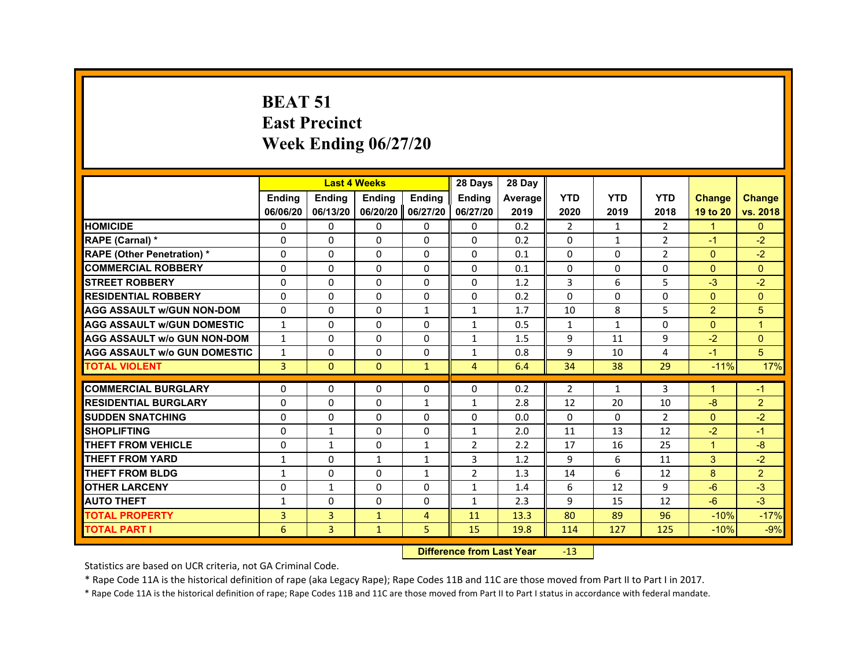#### **BEAT 51East Precinct Week Ending 06/27/20**

|                                     |                | <b>Last 4 Weeks</b> |               |                | 28 Days        | 28 Day  |                |              |                |                |                |
|-------------------------------------|----------------|---------------------|---------------|----------------|----------------|---------|----------------|--------------|----------------|----------------|----------------|
|                                     | <b>Endina</b>  | <b>Endina</b>       | <b>Endina</b> | <b>Ending</b>  | <b>Endina</b>  | Average | <b>YTD</b>     | <b>YTD</b>   | <b>YTD</b>     | <b>Change</b>  | <b>Change</b>  |
|                                     | 06/06/20       | 06/13/20            | 06/20/20      | 06/27/20       | 06/27/20       | 2019    | 2020           | 2019         | 2018           | 19 to 20       | vs. 2018       |
| <b>HOMICIDE</b>                     | $\mathbf{0}$   | $\mathbf{0}$        | $\mathbf{0}$  | 0              | 0              | 0.2     | $\overline{2}$ | $\mathbf{1}$ | 2              | $\mathbf{1}$   | $\mathbf{0}$   |
| RAPE (Carnal) *                     | $\Omega$       | 0                   | $\Omega$      | $\Omega$       | $\Omega$       | 0.2     | $\Omega$       | $\mathbf{1}$ | $\overline{2}$ | $-1$           | $-2$           |
| <b>RAPE (Other Penetration)*</b>    | $\Omega$       | 0                   | $\Omega$      | $\Omega$       | $\Omega$       | 0.1     | 0              | $\Omega$     | $\overline{2}$ | $\mathbf{0}$   | $-2$           |
| <b>COMMERCIAL ROBBERY</b>           | 0              | $\Omega$            | $\Omega$      | $\Omega$       | $\Omega$       | 0.1     | 0              | $\Omega$     | 0              | $\Omega$       | $\Omega$       |
| <b>STREET ROBBERY</b>               | $\Omega$       | $\Omega$            | $\Omega$      | $\Omega$       | $\Omega$       | 1.2     | 3              | 6            | 5              | $-3$           | $-2$           |
| <b>RESIDENTIAL ROBBERY</b>          | $\Omega$       | 0                   | 0             | $\Omega$       | $\Omega$       | 0.2     | $\Omega$       | $\Omega$     | 0              | $\mathbf{0}$   | $\Omega$       |
| <b>AGG ASSAULT W/GUN NON-DOM</b>    | $\Omega$       | $\Omega$            | $\Omega$      | $\mathbf{1}$   | 1              | 1.7     | 10             | 8            | 5              | $\overline{2}$ | 5              |
| <b>AGG ASSAULT W/GUN DOMESTIC</b>   | $\mathbf{1}$   | 0                   | 0             | $\Omega$       | 1              | 0.5     | 1              | $\mathbf{1}$ | 0              | $\mathbf{0}$   | $\overline{1}$ |
| <b>AGG ASSAULT w/o GUN NON-DOM</b>  | $\mathbf{1}$   | $\Omega$            | $\Omega$      | $\Omega$       | $\mathbf{1}$   | 1.5     | 9              | 11           | 9              | $-2$           | $\Omega$       |
| <b>AGG ASSAULT W/o GUN DOMESTIC</b> | $\mathbf{1}$   | 0                   | $\Omega$      | $\Omega$       | $\mathbf{1}$   | 0.8     | $\mathbf{q}$   | 10           | $\overline{4}$ | $-1$           | 5              |
| <b>TOTAL VIOLENT</b>                | $\overline{3}$ | $\Omega$            | $\Omega$      | $\mathbf{1}$   | $\overline{4}$ | 6.4     | 34             | 38           | 29             | $-11%$         | 17%            |
| <b>COMMERCIAL BURGLARY</b>          | $\Omega$       | 0                   | $\Omega$      | $\Omega$       | $\Omega$       | 0.2     | $\overline{2}$ | $\mathbf{1}$ | 3              | -1             | $-1$           |
| <b>RESIDENTIAL BURGLARY</b>         | $\Omega$       | $\Omega$            | $\Omega$      | $\mathbf{1}$   | $\mathbf{1}$   | 2.8     | 12             | 20           | 10             | $-8$           | $\overline{2}$ |
| <b>SUDDEN SNATCHING</b>             | $\Omega$       | 0                   | $\Omega$      | $\Omega$       | $\Omega$       | 0.0     | $\Omega$       | $\Omega$     | $\overline{2}$ | $\Omega$       | $-2$           |
| <b>SHOPLIFTING</b>                  | $\Omega$       | $\mathbf{1}$        | $\Omega$      | $\Omega$       | $\mathbf{1}$   | 2.0     | 11             | 13           | 12             | $-2$           | $-1$           |
| <b>THEFT FROM VEHICLE</b>           | $\Omega$       | $\mathbf{1}$        | $\Omega$      | $\mathbf{1}$   | $\overline{2}$ | 2.2     | 17             | 16           | 25             | $\overline{1}$ | $-8$           |
| <b>THEFT FROM YARD</b>              | 1              | $\Omega$            | $\mathbf{1}$  | $\mathbf{1}$   | $\overline{3}$ | 1.2     | 9              | 6            | 11             | 3              | $-2$           |
| <b>THEFT FROM BLDG</b>              | $\mathbf{1}$   | $\Omega$            | $\Omega$      | $\mathbf{1}$   | $\overline{2}$ | 1.3     | 14             | 6            | 12             | 8              | $\overline{2}$ |
| <b>OTHER LARCENY</b>                | 0              | $\mathbf{1}$        | 0             | $\Omega$       | 1              | 1.4     | 6              | 12           | 9              | $-6$           | $-3$           |
| <b>AUTO THEFT</b>                   | 1              | 0                   | 0             | $\Omega$       | $\mathbf{1}$   | 2.3     | 9              | 15           | 12             | $-6$           | $-3$           |
| <b>TOTAL PROPERTY</b>               | 3              | 3                   | $\mathbf{1}$  | $\overline{4}$ | 11             | 13.3    | 80             | 89           | 96             | $-10%$         | $-17%$         |
| <b>TOTAL PART I</b>                 | 6              | 3                   | $\mathbf{1}$  | 5              | 15             | 19.8    | 114            | 127          | 125            | $-10%$         | $-9%$          |
|                                     |                |                     |               |                |                |         | $\sim$         |              |                |                |                |

#### **Difference from Last Year**r -13

Statistics are based on UCR criteria, not GA Criminal Code.

\* Rape Code 11A is the historical definition of rape (aka Legacy Rape); Rape Codes 11B and 11C are those moved from Part II to Part I in 2017.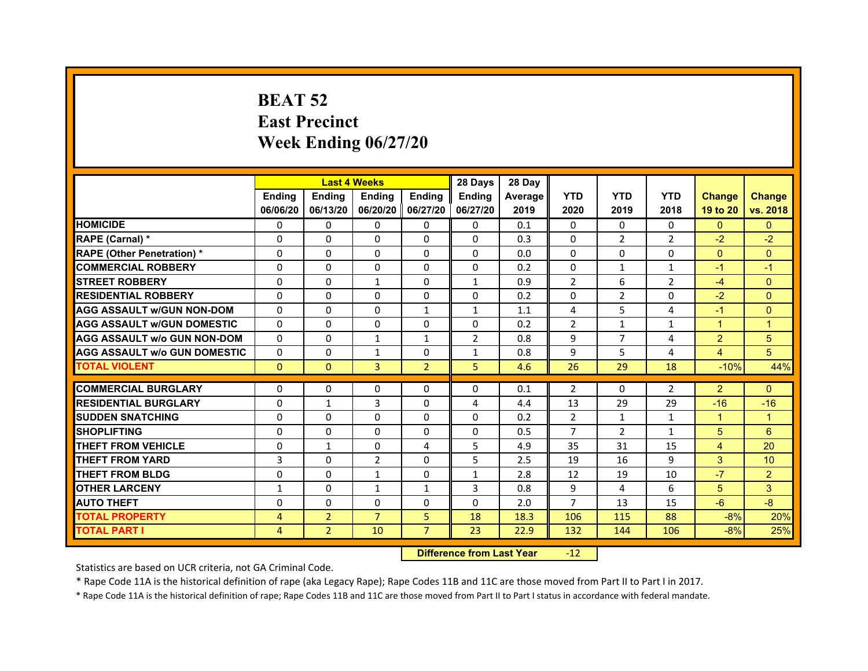# **BEAT 52East Precinct Week Ending 06/27/20**

|                                     |               | <b>Last 4 Weeks</b> |                     |                | 28 Days        | 28 Day  |                |                |                |                |                 |
|-------------------------------------|---------------|---------------------|---------------------|----------------|----------------|---------|----------------|----------------|----------------|----------------|-----------------|
|                                     | <b>Ending</b> | <b>Endina</b>       | Ending              | Ending         | <b>Ending</b>  | Average | <b>YTD</b>     | <b>YTD</b>     | <b>YTD</b>     | <b>Change</b>  | <b>Change</b>   |
|                                     | 06/06/20      | 06/13/20            | 06/20/20   06/27/20 |                | 06/27/20       | 2019    | 2020           | 2019           | 2018           | 19 to 20       | vs. 2018        |
| <b>HOMICIDE</b>                     | $\Omega$      | $\Omega$            | $\Omega$            | $\Omega$       | 0              | 0.1     | $\mathbf{0}$   | $\Omega$       | $\Omega$       | $\Omega$       | $\mathbf{0}$    |
| RAPE (Carnal) *                     | 0             | $\Omega$            | $\Omega$            | $\mathbf{0}$   | $\Omega$       | 0.3     | $\Omega$       | 2              | $\overline{2}$ | $-2$           | $-2$            |
| <b>RAPE (Other Penetration) *</b>   | 0             | $\Omega$            | $\mathbf{0}$        | $\mathbf{0}$   | $\mathbf{0}$   | 0.0     | 0              | 0              | $\Omega$       | $\Omega$       | $\Omega$        |
| <b>COMMERCIAL ROBBERY</b>           | 0             | 0                   | $\Omega$            | $\Omega$       | $\Omega$       | 0.2     | $\Omega$       | $\mathbf{1}$   | 1              | $-1$           | $-1$            |
| <b>STREET ROBBERY</b>               | 0             | 0                   | $\mathbf{1}$        | 0              | $\mathbf{1}$   | 0.9     | $\overline{2}$ | 6              | $\overline{2}$ | $-4$           | $\Omega$        |
| <b>RESIDENTIAL ROBBERY</b>          | $\Omega$      | $\Omega$            | $\Omega$            | $\Omega$       | $\Omega$       | 0.2     | $\Omega$       | $\overline{2}$ | $\Omega$       | $-2$           | $\Omega$        |
| <b>AGG ASSAULT w/GUN NON-DOM</b>    | $\Omega$      | $\Omega$            | $\Omega$            | $\mathbf{1}$   | $\mathbf{1}$   | 1.1     | 4              | 5              | $\overline{a}$ | $-1$           | $\Omega$        |
| <b>AGG ASSAULT W/GUN DOMESTIC</b>   | $\Omega$      | 0                   | 0                   | 0              | 0              | 0.2     | $\overline{2}$ | $\mathbf{1}$   | $\mathbf{1}$   | $\mathbf{1}$   | $\mathbf{1}$    |
| <b>AGG ASSAULT w/o GUN NON-DOM</b>  | 0             | 0                   | $\mathbf{1}$        | 1              | $\overline{2}$ | 0.8     | 9              | 7              | 4              | $\overline{2}$ | 5               |
| <b>AGG ASSAULT W/o GUN DOMESTIC</b> | 0             | 0                   | $\mathbf{1}$        | 0              | $\mathbf{1}$   | 0.8     | 9              | 5              | $\overline{4}$ | $\overline{4}$ | 5               |
| <b>TOTAL VIOLENT</b>                | $\mathbf{0}$  | $\mathbf{0}$        | 3                   | $\overline{2}$ | 5              | 4.6     | 26             | 29             | 18             | $-10%$         | 44%             |
|                                     |               |                     |                     |                |                |         |                |                |                |                |                 |
| <b>COMMERCIAL BURGLARY</b>          | 0             | 0                   | 0                   | 0              | 0              | 0.1     | $\overline{2}$ | 0              | 2              | $\overline{2}$ | $\Omega$        |
| <b>RESIDENTIAL BURGLARY</b>         | 0             | $\mathbf{1}$        | 3                   | 0              | 4              | 4.4     | 13             | 29             | 29             | $-16$          | $-16$           |
| <b>SUDDEN SNATCHING</b>             | 0             | $\Omega$            | 0                   | $\Omega$       | 0              | 0.2     | $\overline{2}$ | $\mathbf{1}$   | $\mathbf{1}$   | $\mathbf{1}$   | $\mathbf{1}$    |
| <b>SHOPLIFTING</b>                  | $\Omega$      | $\Omega$            | $\Omega$            | $\Omega$       | $\Omega$       | 0.5     | $\overline{7}$ | $\overline{2}$ | $\mathbf{1}$   | 5              | 6               |
| <b>THEFT FROM VEHICLE</b>           | 0             | $\mathbf{1}$        | $\Omega$            | 4              | 5              | 4.9     | 35             | 31             | 15             | $\overline{4}$ | 20              |
| <b>THEFT FROM YARD</b>              | 3             | 0                   | $\overline{2}$      | $\Omega$       | 5              | 2.5     | 19             | 16             | 9              | 3              | 10 <sup>°</sup> |
| <b>THEFT FROM BLDG</b>              | 0             | $\Omega$            | $\mathbf{1}$        | 0              | $\mathbf{1}$   | 2.8     | 12             | 19             | 10             | $-7$           | $\overline{2}$  |
| <b>OTHER LARCENY</b>                | $\mathbf{1}$  | $\Omega$            | $\mathbf{1}$        | $\mathbf{1}$   | 3              | 0.8     | 9              | 4              | 6              | 5              | 3               |
| <b>AUTO THEFT</b>                   | $\Omega$      | $\Omega$            | $\Omega$            | $\mathbf{0}$   | $\Omega$       | 2.0     | $\overline{7}$ | 13             | 15             | $-6$           | $-8$            |
| <b>TOTAL PROPERTY</b>               | 4             | $\overline{2}$      | $\overline{7}$      | 5              | 18             | 18.3    | 106            | 115            | 88             | $-8%$          | 20%             |
| <b>TOTAL PART I</b>                 | 4             | 2                   | 10                  | $\overline{7}$ | 23             | 22.9    | 132            | 144            | 106            | $-8%$          | 25%             |

#### **Difference from Last Year**r -12

Statistics are based on UCR criteria, not GA Criminal Code.

\* Rape Code 11A is the historical definition of rape (aka Legacy Rape); Rape Codes 11B and 11C are those moved from Part II to Part I in 2017.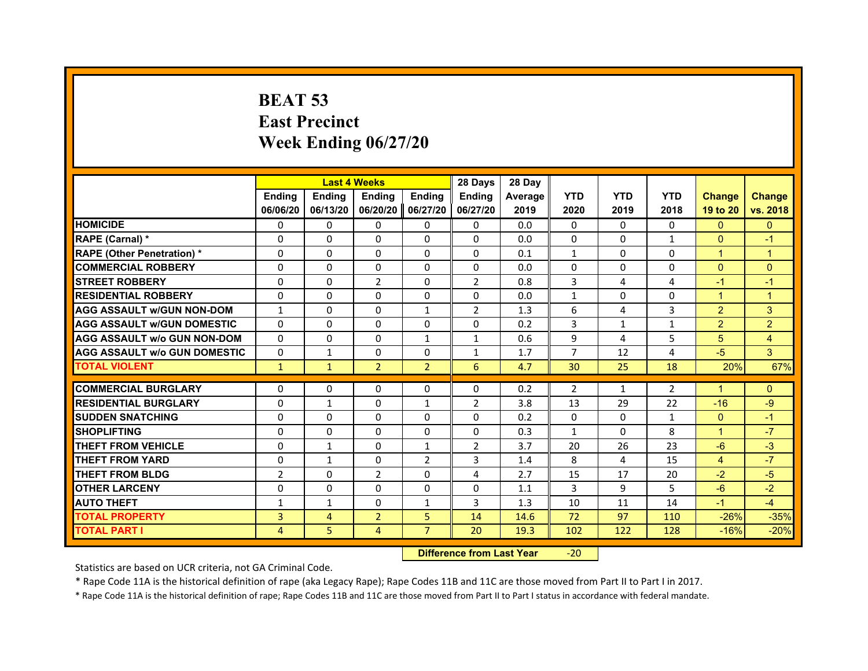# **BEAT 53East Precinct Week Ending 06/27/20**

|                                     |                | <b>Last 4 Weeks</b> |                |                | 28 Days        | 28 Day  |                |              |                |                |                      |
|-------------------------------------|----------------|---------------------|----------------|----------------|----------------|---------|----------------|--------------|----------------|----------------|----------------------|
|                                     | <b>Endina</b>  | <b>Ending</b>       | <b>Endina</b>  | Ending         | <b>Endina</b>  | Average | <b>YTD</b>     | <b>YTD</b>   | <b>YTD</b>     | <b>Change</b>  | <b>Change</b>        |
|                                     | 06/06/20       | 06/13/20            | 06/20/20       | 06/27/20       | 06/27/20       | 2019    | 2020           | 2019         | 2018           | 19 to 20       | vs. 2018             |
| <b>HOMICIDE</b>                     | 0              | $\Omega$            | 0              | $\Omega$       | $\mathbf{0}$   | 0.0     | 0              | $\Omega$     | $\Omega$       | $\Omega$       | $\Omega$             |
| RAPE (Carnal) *                     | $\Omega$       | $\Omega$            | $\Omega$       | $\Omega$       | $\mathbf{0}$   | 0.0     | $\Omega$       | $\Omega$     | $\mathbf{1}$   | $\Omega$       | $-1$                 |
| <b>RAPE (Other Penetration) *</b>   | $\Omega$       | $\Omega$            | $\Omega$       | $\Omega$       | $\mathbf{0}$   | 0.1     | $\mathbf{1}$   | $\Omega$     | $\Omega$       | $\mathbf{1}$   | $\mathbf{1}$         |
| <b>COMMERCIAL ROBBERY</b>           | 0              | 0                   | 0              | $\Omega$       | 0              | 0.0     | 0              | 0            | $\Omega$       | $\Omega$       | $\Omega$             |
| <b>STREET ROBBERY</b>               | $\Omega$       | $\Omega$            | $\overline{2}$ | $\Omega$       | $\overline{2}$ | 0.8     | 3              | 4            | $\overline{a}$ | $-1$           | $\blacktriangleleft$ |
| <b>RESIDENTIAL ROBBERY</b>          | $\Omega$       | $\Omega$            | $\Omega$       | $\Omega$       | $\Omega$       | 0.0     | $\mathbf{1}$   | $\Omega$     | $\mathbf 0$    | $\mathbf{1}$   | $\mathbf{1}$         |
| <b>AGG ASSAULT w/GUN NON-DOM</b>    | $\mathbf{1}$   | $\Omega$            | $\Omega$       | $\mathbf{1}$   | $\overline{2}$ | 1.3     | 6              | 4            | 3              | $\overline{2}$ | 3                    |
| <b>AGG ASSAULT W/GUN DOMESTIC</b>   | $\Omega$       | $\Omega$            | $\Omega$       | $\Omega$       | $\Omega$       | 0.2     | 3              | $\mathbf{1}$ | $\mathbf{1}$   | $\overline{2}$ | $\overline{2}$       |
| <b>AGG ASSAULT W/o GUN NON-DOM</b>  | $\Omega$       | 0                   | 0              | 1              | $\mathbf{1}$   | 0.6     | 9              | 4            | 5              | 5              | 4                    |
| <b>AGG ASSAULT w/o GUN DOMESTIC</b> | $\Omega$       | $\mathbf{1}$        | 0              | 0              | $\mathbf{1}$   | 1.7     | $\overline{7}$ | 12           | $\overline{a}$ | $-5$           | 3                    |
| <b>TOTAL VIOLENT</b>                | $\mathbf{1}$   | $\mathbf{1}$        | $\overline{2}$ | $\overline{2}$ | 6              | 4.7     | 30             | 25           | 18             | 20%            | 67%                  |
|                                     |                |                     |                |                |                |         |                |              |                |                |                      |
| <b>COMMERCIAL BURGLARY</b>          | 0              | 0                   | 0              | $\Omega$       | 0              | 0.2     | 2              | 1            | 2              | 1              | $\Omega$             |
| <b>RESIDENTIAL BURGLARY</b>         | $\Omega$       | 1                   | $\Omega$       | 1              | $\overline{2}$ | 3.8     | 13             | 29           | 22             | $-16$          | $-9$                 |
| <b>SUDDEN SNATCHING</b>             | 0              | 0                   | 0              | $\Omega$       | $\Omega$       | 0.2     | 0              | 0            | $\mathbf{1}$   | $\mathbf{0}$   | $-1$                 |
| <b>SHOPLIFTING</b>                  | $\Omega$       | $\Omega$            | $\Omega$       | $\Omega$       | $\Omega$       | 0.3     | $\mathbf{1}$   | $\Omega$     | 8              | $\mathbf{1}$   | $-7$                 |
| <b>THEFT FROM VEHICLE</b>           | $\Omega$       | $\mathbf{1}$        | $\Omega$       | $\mathbf{1}$   | $\overline{2}$ | 3.7     | 20             | 26           | 23             | $-6$           | $-3$                 |
| <b>THEFT FROM YARD</b>              | 0              | 1                   | $\Omega$       | $\overline{2}$ | 3              | 1.4     | 8              | 4            | 15             | 4              | $-7$                 |
| <b>THEFT FROM BLDG</b>              | $\overline{2}$ | $\Omega$            | $\overline{2}$ | $\Omega$       | 4              | 2.7     | 15             | 17           | 20             | $-2$           | $-5$                 |
| <b>OTHER LARCENY</b>                | 0              | 0                   | 0              | $\Omega$       | $\Omega$       | 1.1     | 3              | 9            | 5              | $-6$           | $-2$                 |
| <b>AUTO THEFT</b>                   | $\mathbf{1}$   | $\mathbf{1}$        | $\Omega$       | $\mathbf{1}$   | 3              | 1.3     | 10             | 11           | 14             | $-1$           | $-4$                 |
| <b>TOTAL PROPERTY</b>               | 3              | 4                   | $\overline{2}$ | 5              | 14             | 14.6    | 72             | 97           | 110            | $-26%$         | $-35%$               |
| <b>TOTAL PART I</b>                 | 4              | 5                   | 4              | $\overline{7}$ | 20             | 19.3    | 102            | 122          | 128            | $-16%$         | $-20%$               |

 **Difference from Last Year**‐20

Statistics are based on UCR criteria, not GA Criminal Code.

\* Rape Code 11A is the historical definition of rape (aka Legacy Rape); Rape Codes 11B and 11C are those moved from Part II to Part I in 2017.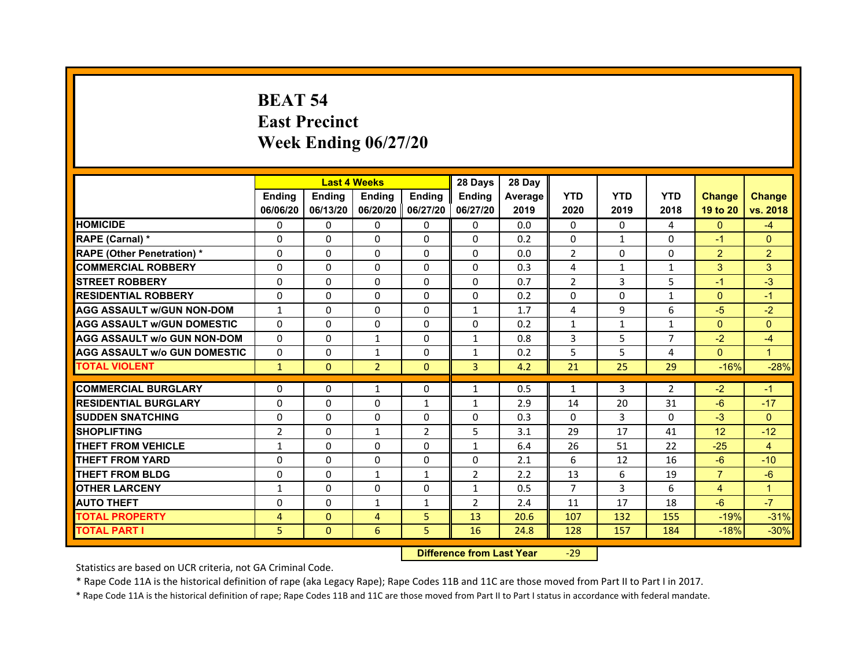# **BEAT 54East Precinct Week Ending 06/27/20**

|                                     |                |               | <b>Last 4 Weeks</b> |                | 28 Days        | 28 Day  |                |              |                |                |                |
|-------------------------------------|----------------|---------------|---------------------|----------------|----------------|---------|----------------|--------------|----------------|----------------|----------------|
|                                     | <b>Ending</b>  | <b>Endina</b> | Ending              | Ending         | <b>Ending</b>  | Average | <b>YTD</b>     | <b>YTD</b>   | <b>YTD</b>     | <b>Change</b>  | <b>Change</b>  |
|                                     | 06/06/20       | 06/13/20      | 06/20/20   06/27/20 |                | 06/27/20       | 2019    | 2020           | 2019         | 2018           | 19 to 20       | vs. 2018       |
| <b>HOMICIDE</b>                     | $\Omega$       | $\Omega$      | $\Omega$            | $\Omega$       | 0              | 0.0     | $\mathbf{0}$   | $\Omega$     | 4              | $\mathbf{0}$   | $-4$           |
| RAPE (Carnal) *                     | 0              | $\Omega$      | $\Omega$            | $\mathbf{0}$   | $\Omega$       | 0.2     | $\Omega$       | $\mathbf{1}$ | $\Omega$       | $-1$           | $\Omega$       |
| <b>RAPE (Other Penetration) *</b>   | 0              | $\Omega$      | $\mathbf{0}$        | $\mathbf{0}$   | $\mathbf{0}$   | 0.0     | 2              | 0            | 0              | $\overline{2}$ | 2              |
| <b>COMMERCIAL ROBBERY</b>           | 0              | 0             | $\Omega$            | $\Omega$       | $\Omega$       | 0.3     | 4              | $\mathbf{1}$ | 1              | 3              | 3              |
| <b>STREET ROBBERY</b>               | 0              | 0             | $\Omega$            | 0              | 0              | 0.7     | $\overline{2}$ | 3            | 5              | $-1$           | $-3$           |
| <b>RESIDENTIAL ROBBERY</b>          | 0              | $\Omega$      | $\Omega$            | $\Omega$       | $\Omega$       | 0.2     | $\Omega$       | $\Omega$     | 1              | $\Omega$       | $-1$           |
| <b>AGG ASSAULT w/GUN NON-DOM</b>    | $\mathbf{1}$   | $\Omega$      | $\Omega$            | $\mathbf{0}$   | $\mathbf{1}$   | 1.7     | 4              | 9            | 6              | $-5$           | $-2$           |
| <b>AGG ASSAULT W/GUN DOMESTIC</b>   | $\Omega$       | 0             | 0                   | 0              | 0              | 0.2     | $\mathbf{1}$   | $\mathbf{1}$ | $\mathbf{1}$   | $\Omega$       | $\Omega$       |
| <b>AGG ASSAULT w/o GUN NON-DOM</b>  | 0              | 0             | $\mathbf{1}$        | 0              | $\mathbf{1}$   | 0.8     | 3              | 5            | 7              | $-2$           | -4             |
| <b>AGG ASSAULT W/o GUN DOMESTIC</b> | 0              | 0             | $\mathbf{1}$        | 0              | $\mathbf{1}$   | 0.2     | 5              | 5            | $\overline{4}$ | $\Omega$       | $\overline{1}$ |
| <b>TOTAL VIOLENT</b>                | $\mathbf{1}$   | $\mathbf{0}$  | $\overline{2}$      | $\mathbf{0}$   | 3              | 4.2     | 21             | 25           | 29             | $-16%$         | $-28%$         |
|                                     |                |               |                     |                |                |         |                |              |                |                |                |
| <b>COMMERCIAL BURGLARY</b>          | 0              | 0             | 1                   | 0              | 1              | 0.5     | $\mathbf{1}$   | 3            | 2              | $-2$           | $-1$           |
| <b>RESIDENTIAL BURGLARY</b>         | 0              | 0             | 0                   | 1              | $\mathbf{1}$   | 2.9     | 14             | 20           | 31             | $-6$           | $-17$          |
| <b>SUDDEN SNATCHING</b>             | 0              | $\Omega$      | 0                   | 0              | 0              | 0.3     | $\Omega$       | 3            | $\Omega$       | $-3$           | $\Omega$       |
| <b>SHOPLIFTING</b>                  | $\overline{2}$ | $\Omega$      | $\mathbf{1}$        | $\overline{2}$ | 5              | 3.1     | 29             | 17           | 41             | 12             | $-12$          |
| <b>THEFT FROM VEHICLE</b>           | 1              | 0             | $\Omega$            | $\Omega$       | $\mathbf{1}$   | 6.4     | 26             | 51           | 22             | $-25$          | $\overline{4}$ |
| <b>THEFT FROM YARD</b>              | 0              | 0             | $\Omega$            | $\Omega$       | $\Omega$       | 2.1     | 6              | 12           | 16             | $-6$           | $-10$          |
| <b>THEFT FROM BLDG</b>              | 0              | $\Omega$      | $\mathbf{1}$        | $\mathbf{1}$   | $\overline{2}$ | 2.2     | 13             | 6            | 19             | $\overline{7}$ | $-6$           |
| <b>OTHER LARCENY</b>                | $\mathbf{1}$   | $\Omega$      | 0                   | 0              | $\mathbf{1}$   | 0.5     | $\overline{7}$ | 3            | 6              | $\overline{4}$ | $\overline{1}$ |
| <b>AUTO THEFT</b>                   | $\Omega$       | $\Omega$      | $\mathbf{1}$        | 1              | $\overline{2}$ | 2.4     | 11             | 17           | 18             | $-6$           | $-7$           |
| <b>TOTAL PROPERTY</b>               | $\overline{4}$ | $\mathbf{0}$  | $\overline{4}$      | 5              | 13             | 20.6    | 107            | 132          | 155            | $-19%$         | $-31%$         |
| <b>TOTAL PART I</b>                 | 5              | $\Omega$      | 6                   | 5              | 16             | 24.8    | 128            | 157          | 184            | $-18%$         | $-30%$         |

 **Difference from Last Year**‐29

Statistics are based on UCR criteria, not GA Criminal Code.

\* Rape Code 11A is the historical definition of rape (aka Legacy Rape); Rape Codes 11B and 11C are those moved from Part II to Part I in 2017.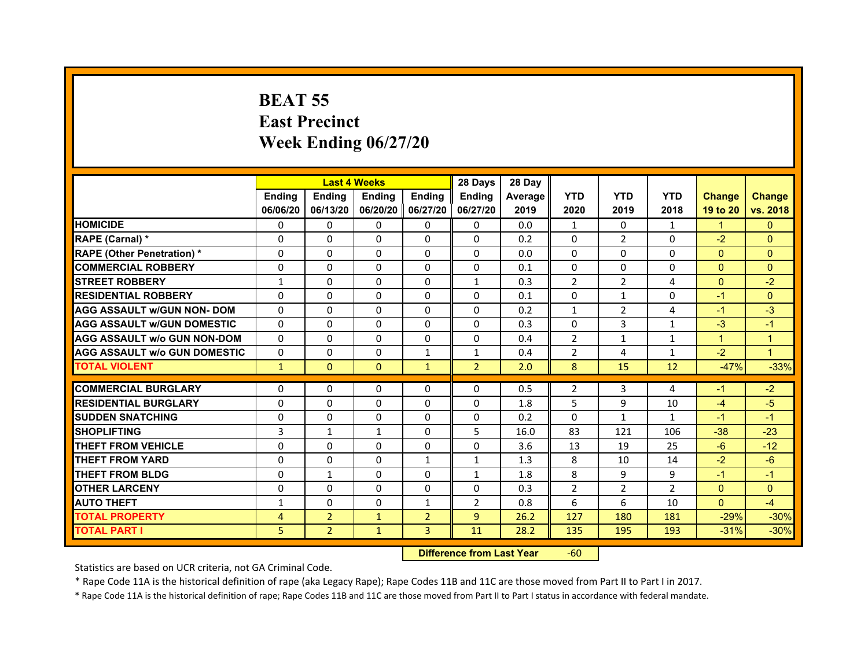# **BEAT 55East Precinct Week Ending 06/27/20**

|                                     |                |                | <b>Last 4 Weeks</b> |                | 28 Days        | 28 Day  |                |                |                |               |               |
|-------------------------------------|----------------|----------------|---------------------|----------------|----------------|---------|----------------|----------------|----------------|---------------|---------------|
|                                     | <b>Endina</b>  | <b>Endina</b>  | <b>Endina</b>       | Ending         | <b>Ending</b>  | Average | <b>YTD</b>     | <b>YTD</b>     | <b>YTD</b>     | <b>Change</b> | <b>Change</b> |
|                                     | 06/06/20       | 06/13/20       | 06/20/20            | 06/27/20       | 06/27/20       | 2019    | 2020           | 2019           | 2018           | 19 to 20      | vs. 2018      |
| <b>HOMICIDE</b>                     | $\Omega$       | $\Omega$       | 0                   | $\mathbf{0}$   | 0              | 0.0     | $\mathbf{1}$   | 0              | $\mathbf{1}$   | $\mathbf{1}$  | $\Omega$      |
| RAPE (Carnal) *                     | $\Omega$       | $\Omega$       | $\Omega$            | $\Omega$       | $\Omega$       | 0.2     | $\Omega$       | $\overline{2}$ | $\Omega$       | $-2$          | $\Omega$      |
| <b>RAPE (Other Penetration) *</b>   | $\Omega$       | $\Omega$       | $\Omega$            | 0              | $\Omega$       | 0.0     | $\Omega$       | 0              | $\Omega$       | $\Omega$      | $\Omega$      |
| <b>COMMERCIAL ROBBERY</b>           | $\Omega$       | $\Omega$       | $\Omega$            | $\Omega$       | $\Omega$       | 0.1     | $\Omega$       | $\Omega$       | $\Omega$       | $\mathbf{0}$  | $\Omega$      |
| <b>STREET ROBBERY</b>               | $\mathbf{1}$   | $\Omega$       | $\Omega$            | $\Omega$       | $\mathbf{1}$   | 0.3     | $\overline{2}$ | $\overline{2}$ | 4              | $\mathbf{0}$  | $-2$          |
| <b>RESIDENTIAL ROBBERY</b>          | $\Omega$       | $\Omega$       | $\Omega$            | $\Omega$       | $\Omega$       | 0.1     | 0              | $\mathbf{1}$   | $\Omega$       | $-1$          | $\Omega$      |
| <b>AGG ASSAULT w/GUN NON- DOM</b>   | $\Omega$       | $\Omega$       | $\Omega$            | $\Omega$       | $\Omega$       | 0.2     | $\mathbf{1}$   | $\overline{2}$ | 4              | $-1$          | $-3$          |
| <b>AGG ASSAULT W/GUN DOMESTIC</b>   | $\Omega$       | $\Omega$       | 0                   | 0              | 0              | 0.3     | $\Omega$       | 3              | $\mathbf{1}$   | $-3$          | $-1$          |
| <b>AGG ASSAULT w/o GUN NON-DOM</b>  | $\Omega$       | $\Omega$       | $\Omega$            | $\Omega$       | $\Omega$       | 0.4     | 2              | $\mathbf{1}$   | $\mathbf{1}$   | $\mathbf{1}$  | $\mathbf{1}$  |
| <b>AGG ASSAULT W/o GUN DOMESTIC</b> | $\Omega$       | $\Omega$       | $\Omega$            | $\mathbf{1}$   | $\mathbf{1}$   | 0.4     | $\overline{2}$ | 4              | 1              | $-2$          | $\mathbf{1}$  |
| <b>TOTAL VIOLENT</b>                | $\mathbf{1}$   | $\mathbf{0}$   | $\mathbf{0}$        | $\mathbf{1}$   | $\overline{2}$ | 2.0     | 8              | 15             | 12             | $-47%$        | $-33%$        |
|                                     |                |                |                     |                |                |         |                |                |                |               |               |
| <b>COMMERCIAL BURGLARY</b>          | $\Omega$       | $\Omega$       | 0                   | 0              | 0              | 0.5     | 2              | 3              | 4              | $-1$          | $-2$          |
| <b>RESIDENTIAL BURGLARY</b>         | $\Omega$       | $\Omega$       | $\Omega$            | $\Omega$       | $\Omega$       | 1.8     | 5              | 9              | 10             | $-4$          | $-5$          |
| <b>SUDDEN SNATCHING</b>             | $\Omega$       | $\Omega$       | $\Omega$            | $\Omega$       | 0              | 0.2     | $\Omega$       | $\mathbf{1}$   | $\mathbf{1}$   | $-1$          | $-1$          |
| <b>SHOPLIFTING</b>                  | 3              | $\mathbf{1}$   | $\mathbf{1}$        | $\Omega$       | 5              | 16.0    | 83             | 121            | 106            | $-38$         | $-23$         |
| <b>THEFT FROM VEHICLE</b>           | $\Omega$       | $\Omega$       | 0                   | 0              | $\Omega$       | 3.6     | 13             | 19             | 25             | $-6$          | $-12$         |
| <b>THEFT FROM YARD</b>              | $\Omega$       | $\Omega$       | $\Omega$            | 1              | 1              | 1.3     | 8              | 10             | 14             | $-2$          | $-6$          |
| <b>THEFT FROM BLDG</b>              | $\Omega$       | $\mathbf{1}$   | $\Omega$            | $\Omega$       | 1              | 1.8     | 8              | 9              | 9              | $-1$          | $-1$          |
| <b>OTHER LARCENY</b>                | $\Omega$       | $\Omega$       | $\Omega$            | 0              | 0              | 0.3     | $\overline{2}$ | $\overline{2}$ | $\overline{2}$ | $\mathbf{0}$  | $\mathbf{0}$  |
| <b>AUTO THEFT</b>                   | $\mathbf{1}$   | $\Omega$       | $\Omega$            | $\mathbf{1}$   | $\overline{2}$ | 0.8     | 6              | 6              | 10             | $\Omega$      | $-4$          |
| <b>TOTAL PROPERTY</b>               | 4              | $\overline{2}$ | $\mathbf{1}$        | $\overline{2}$ | 9              | 26.2    | 127            | 180            | 181            | $-29%$        | $-30%$        |
| <b>TOTAL PART I</b>                 | 5 <sup>1</sup> | $\overline{2}$ | $\mathbf{1}$        | 3              | 11             | 28.2    | 135            | 195            | 193            | $-31%$        | $-30%$        |

 **Difference from Last Year**r -60

Statistics are based on UCR criteria, not GA Criminal Code.

\* Rape Code 11A is the historical definition of rape (aka Legacy Rape); Rape Codes 11B and 11C are those moved from Part II to Part I in 2017.